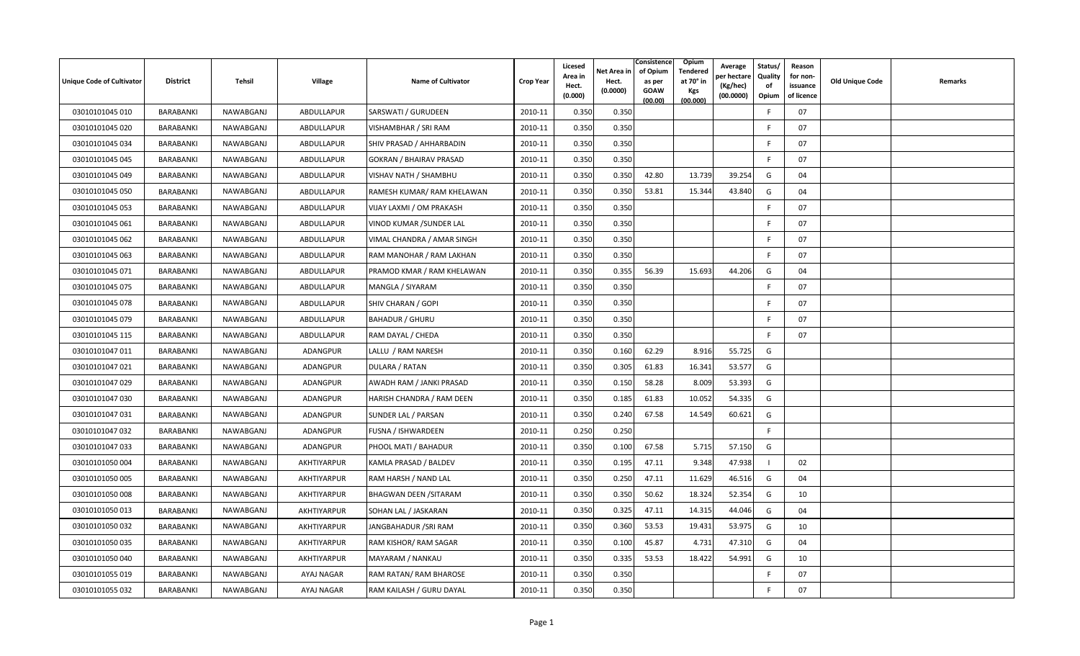| <b>Unique Code of Cultivator</b> | <b>District</b>  | Tehsil    | <b>Village</b>  | <b>Name of Cultivator</b>      | <b>Crop Year</b> | Licesed<br>Area in<br>Hect.<br>(0.000) | Net Area in<br>Hect.<br>(0.0000) | Consistence<br>of Opium<br>as per<br><b>GOAW</b><br>(00.00) | Opium<br>Tendered<br>at 70° in<br>Kgs<br>(00.000) | Average<br>er hectare)<br>(Kg/hec)<br>(00.0000) | Status/<br>Quality<br>of<br>Opium | Reason<br>for non-<br>issuance<br>of licence | <b>Old Unique Code</b> | Remarks |
|----------------------------------|------------------|-----------|-----------------|--------------------------------|------------------|----------------------------------------|----------------------------------|-------------------------------------------------------------|---------------------------------------------------|-------------------------------------------------|-----------------------------------|----------------------------------------------|------------------------|---------|
| 03010101045 010                  | BARABANKI        | NAWABGANJ | ABDULLAPUR      | SARSWATI / GURUDEEN            | 2010-11          | 0.350                                  | 0.350                            |                                                             |                                                   |                                                 | -F                                | 07                                           |                        |         |
| 03010101045 020                  | BARABANKI        | NAWABGANJ | ABDULLAPUR      | VISHAMBHAR / SRI RAM           | 2010-11          | 0.350                                  | 0.350                            |                                                             |                                                   |                                                 | E                                 | 07                                           |                        |         |
| 03010101045 034                  | BARABANKI        | NAWABGANJ | ABDULLAPUR      | SHIV PRASAD / AHHARBADIN       | 2010-11          | 0.350                                  | 0.350                            |                                                             |                                                   |                                                 |                                   | 07                                           |                        |         |
| 03010101045 045                  | BARABANKI        | NAWABGANJ | ABDULLAPUR      | <b>GOKRAN / BHAIRAV PRASAD</b> | 2010-11          | 0.350                                  | 0.350                            |                                                             |                                                   |                                                 | -F                                | 07                                           |                        |         |
| 03010101045 049                  | BARABANKI        | NAWABGANJ | ABDULLAPUR      | VISHAV NATH / SHAMBHU          | 2010-11          | 0.350                                  | 0.350                            | 42.80                                                       | 13.739                                            | 39.254                                          | G                                 | 04                                           |                        |         |
| 03010101045 050                  | BARABANKI        | NAWABGANJ | ABDULLAPUR      | RAMESH KUMAR/ RAM KHELAWAN     | 2010-11          | 0.350                                  | 0.350                            | 53.81                                                       | 15.344                                            | 43.840                                          | G                                 | 04                                           |                        |         |
| 03010101045 053                  | BARABANKI        | NAWABGANJ | ABDULLAPUR      | VIJAY LAXMI / OM PRAKASH       | 2010-11          | 0.350                                  | 0.350                            |                                                             |                                                   |                                                 | -F                                | 07                                           |                        |         |
| 03010101045 061                  | BARABANKI        | NAWABGANJ | ABDULLAPUR      | VINOD KUMAR / SUNDER LAL       | 2010-11          | 0.350                                  | 0.350                            |                                                             |                                                   |                                                 | -F                                | 07                                           |                        |         |
| 03010101045 062                  | BARABANKI        | NAWABGANJ | ABDULLAPUR      | VIMAL CHANDRA / AMAR SINGH     | 2010-11          | 0.350                                  | 0.350                            |                                                             |                                                   |                                                 | -F                                | 07                                           |                        |         |
| 03010101045 063                  | <b>BARABANKI</b> | NAWABGANJ | ABDULLAPUR      | RAM MANOHAR / RAM LAKHAN       | 2010-11          | 0.350                                  | 0.350                            |                                                             |                                                   |                                                 | F.                                | 07                                           |                        |         |
| 03010101045 071                  | BARABANKI        | NAWABGANJ | ABDULLAPUR      | PRAMOD KMAR / RAM KHELAWAN     | 2010-11          | 0.350                                  | 0.355                            | 56.39                                                       | 15.693                                            | 44.206                                          | G                                 | 04                                           |                        |         |
| 03010101045 075                  | BARABANKI        | NAWABGANJ | ABDULLAPUR      | MANGLA / SIYARAM               | 2010-11          | 0.350                                  | 0.350                            |                                                             |                                                   |                                                 | -F                                | 07                                           |                        |         |
| 03010101045 078                  | BARABANKI        | NAWABGANJ | ABDULLAPUR      | SHIV CHARAN / GOPI             | 2010-11          | 0.350                                  | 0.350                            |                                                             |                                                   |                                                 |                                   | 07                                           |                        |         |
| 03010101045 079                  | BARABANKI        | NAWABGANJ | ABDULLAPUR      | <b>BAHADUR / GHURU</b>         | 2010-11          | 0.350                                  | 0.350                            |                                                             |                                                   |                                                 | -F                                | 07                                           |                        |         |
| 03010101045 115                  | BARABANKI        | NAWABGANJ | ABDULLAPUR      | RAM DAYAL / CHEDA              | 2010-11          | 0.350                                  | 0.350                            |                                                             |                                                   |                                                 | E                                 | 07                                           |                        |         |
| 03010101047 011                  | BARABANKI        | NAWABGANJ | ADANGPUR        | LALLU / RAM NARESH             | 2010-11          | 0.350                                  | 0.160                            | 62.29                                                       | 8.916                                             | 55.725                                          | G                                 |                                              |                        |         |
| 03010101047 021                  | BARABANKI        | NAWABGANJ | ADANGPUR        | DULARA / RATAN                 | 2010-11          | 0.350                                  | 0.305                            | 61.83                                                       | 16.341                                            | 53.577                                          | G                                 |                                              |                        |         |
| 03010101047 029                  | BARABANKI        | NAWABGANJ | <b>ADANGPUR</b> | AWADH RAM / JANKI PRASAD       | 2010-11          | 0.350                                  | 0.150                            | 58.28                                                       | 8.009                                             | 53.393                                          | G                                 |                                              |                        |         |
| 03010101047 030                  | BARABANKI        | NAWABGANJ | <b>ADANGPUR</b> | HARISH CHANDRA / RAM DEEN      | 2010-11          | 0.350                                  | 0.185                            | 61.83                                                       | 10.052                                            | 54.335                                          | G                                 |                                              |                        |         |
| 03010101047 031                  | <b>BARABANKI</b> | NAWABGANJ | ADANGPUR        | SUNDER LAL / PARSAN            | 2010-11          | 0.350                                  | 0.240                            | 67.58                                                       | 14.549                                            | 60.621                                          | G                                 |                                              |                        |         |
| 03010101047 032                  | <b>BARABANKI</b> | NAWABGANJ | ADANGPUR        | FUSNA / ISHWARDEEN             | 2010-11          | 0.250                                  | 0.250                            |                                                             |                                                   |                                                 | F                                 |                                              |                        |         |
| 03010101047 033                  | BARABANKI        | NAWABGANJ | ADANGPUR        | PHOOL MATI / BAHADUR           | 2010-11          | 0.350                                  | 0.100                            | 67.58                                                       | 5.715                                             | 57.150                                          | G                                 |                                              |                        |         |
| 03010101050 004                  | BARABANKI        | NAWABGANJ | AKHTIYARPUR     | KAMLA PRASAD / BALDEV          | 2010-11          | 0.350                                  | 0.195                            | 47.11                                                       | 9.348                                             | 47.938                                          |                                   | 02                                           |                        |         |
| 03010101050 005                  | BARABANKI        | NAWABGANJ | AKHTIYARPUR     | RAM HARSH / NAND LAL           | 2010-11          | 0.350                                  | 0.250                            | 47.11                                                       | 11.629                                            | 46.516                                          | G                                 | 04                                           |                        |         |
| 03010101050 008                  | BARABANKI        | NAWABGANJ | AKHTIYARPUR     | <b>BHAGWAN DEEN / SITARAM</b>  | 2010-11          | 0.350                                  | 0.350                            | 50.62                                                       | 18.324                                            | 52.354                                          | G                                 | 10                                           |                        |         |
| 03010101050 013                  | BARABANKI        | NAWABGANJ | AKHTIYARPUR     | SOHAN LAL / JASKARAN           | 2010-11          | 0.350                                  | 0.325                            | 47.11                                                       | 14.315                                            | 44.046                                          | G                                 | 04                                           |                        |         |
| 03010101050 032                  | BARABANKI        | NAWABGANJ | AKHTIYARPUR     | JANGBAHADUR / SRI RAM          | 2010-11          | 0.350                                  | 0.360                            | 53.53                                                       | 19.431                                            | 53.975                                          | G                                 | 10                                           |                        |         |
| 03010101050 035                  | BARABANKI        | NAWABGANJ | AKHTIYARPUR     | RAM KISHOR/ RAM SAGAR          | 2010-11          | 0.350                                  | 0.100                            | 45.87                                                       | 4.731                                             | 47.310                                          | G                                 | 04                                           |                        |         |
| 03010101050 040                  | BARABANKI        | NAWABGANJ | AKHTIYARPUR     | MAYARAM / NANKAU               | 2010-11          | 0.350                                  | 0.335                            | 53.53                                                       | 18.422                                            | 54.991                                          | G                                 | 10                                           |                        |         |
| 03010101055 019                  | <b>BARABANKI</b> | NAWABGANJ | AYAJ NAGAR      | RAM RATAN/ RAM BHAROSE         | 2010-11          | 0.350                                  | 0.350                            |                                                             |                                                   |                                                 | -F                                | 07                                           |                        |         |
| 03010101055 032                  | BARABANKI        | NAWABGANJ | AYAJ NAGAR      | RAM KAILASH / GURU DAYAL       | 2010-11          | 0.350                                  | 0.350                            |                                                             |                                                   |                                                 | -F                                | 07                                           |                        |         |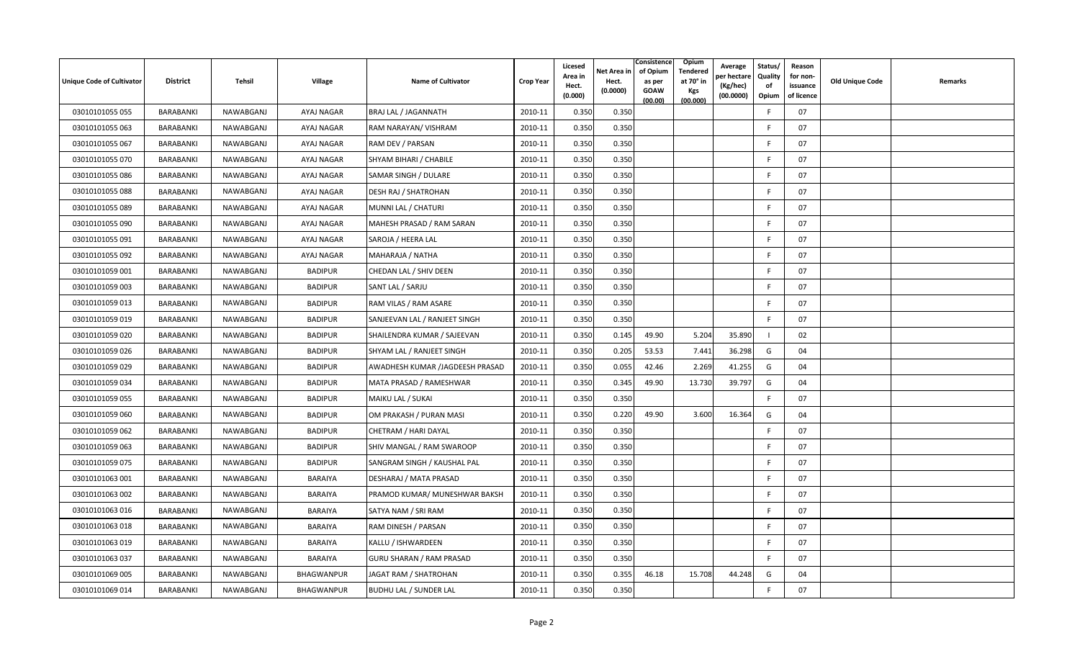| <b>Unique Code of Cultivator</b> | <b>District</b>  | Tehsil    | Village        | <b>Name of Cultivator</b>       | <b>Crop Year</b> | Licesed<br>Area in<br>Hect.<br>(0.000) | Net Area in<br>Hect.<br>(0.0000) | Consistence<br>of Opium<br>as per<br><b>GOAW</b><br>(00.00) | Opium<br>Tendered<br>at 70° in<br>Kgs<br>(00.000) | Average<br>er hectare)<br>(Kg/hec)<br>(00.0000) | Status/<br>Quality<br>of<br>Opium | Reason<br>for non-<br>issuance<br>of licence | <b>Old Unique Code</b> | Remarks |
|----------------------------------|------------------|-----------|----------------|---------------------------------|------------------|----------------------------------------|----------------------------------|-------------------------------------------------------------|---------------------------------------------------|-------------------------------------------------|-----------------------------------|----------------------------------------------|------------------------|---------|
| 03010101055 055                  | BARABANKI        | NAWABGANJ | AYAJ NAGAR     | BRAJ LAL / JAGANNATH            | 2010-11          | 0.350                                  | 0.350                            |                                                             |                                                   |                                                 | -F                                | 07                                           |                        |         |
| 03010101055 063                  | BARABANKI        | NAWABGANJ | AYAJ NAGAR     | RAM NARAYAN/ VISHRAM            | 2010-11          | 0.350                                  | 0.350                            |                                                             |                                                   |                                                 | E                                 | 07                                           |                        |         |
| 03010101055 067                  | BARABANKI        | NAWABGANJ | AYAJ NAGAR     | RAM DEV / PARSAN                | 2010-11          | 0.350                                  | 0.350                            |                                                             |                                                   |                                                 | F                                 | 07                                           |                        |         |
| 03010101055 070                  | BARABANKI        | NAWABGANJ | AYAJ NAGAR     | SHYAM BIHARI / CHABILE          | 2010-11          | 0.350                                  | 0.350                            |                                                             |                                                   |                                                 | F                                 | 07                                           |                        |         |
| 03010101055 086                  | BARABANKI        | NAWABGANJ | AYAJ NAGAR     | SAMAR SINGH / DULARE            | 2010-11          | 0.350                                  | 0.350                            |                                                             |                                                   |                                                 | -F                                | 07                                           |                        |         |
| 03010101055 088                  | BARABANKI        | NAWABGANJ | AYAJ NAGAR     | <b>DESH RAJ / SHATROHAN</b>     | 2010-11          | 0.350                                  | 0.350                            |                                                             |                                                   |                                                 | E                                 | 07                                           |                        |         |
| 03010101055 089                  | BARABANKI        | NAWABGANJ | AYAJ NAGAR     | MUNNI LAL / CHATURI             | 2010-11          | 0.350                                  | 0.350                            |                                                             |                                                   |                                                 | F.                                | 07                                           |                        |         |
| 03010101055 090                  | BARABANKI        | NAWABGANJ | AYAJ NAGAR     | MAHESH PRASAD / RAM SARAN       | 2010-11          | 0.350                                  | 0.350                            |                                                             |                                                   |                                                 | <b>F</b>                          | 07                                           |                        |         |
| 03010101055 091                  | BARABANKI        | NAWABGANJ | AYAJ NAGAR     | SAROJA / HEERA LAL              | 2010-11          | 0.350                                  | 0.350                            |                                                             |                                                   |                                                 | -F                                | 07                                           |                        |         |
| 03010101055 092                  | BARABANKI        | NAWABGANJ | AYAJ NAGAR     | MAHARAJA / NATHA                | 2010-11          | 0.350                                  | 0.350                            |                                                             |                                                   |                                                 | F.                                | 07                                           |                        |         |
| 03010101059 001                  | BARABANKI        | NAWABGANJ | <b>BADIPUR</b> | CHEDAN LAL / SHIV DEEN          | 2010-11          | 0.350                                  | 0.350                            |                                                             |                                                   |                                                 | -F                                | 07                                           |                        |         |
| 03010101059 003                  | BARABANKI        | NAWABGANJ | <b>BADIPUR</b> | SANT LAL / SARJU                | 2010-11          | 0.350                                  | 0.350                            |                                                             |                                                   |                                                 | F.                                | 07                                           |                        |         |
| 03010101059 013                  | BARABANKI        | NAWABGANJ | <b>BADIPUR</b> | RAM VILAS / RAM ASARE           | 2010-11          | 0.350                                  | 0.350                            |                                                             |                                                   |                                                 | -F                                | 07                                           |                        |         |
| 03010101059 019                  | BARABANKI        | NAWABGANJ | <b>BADIPUR</b> | SANJEEVAN LAL / RANJEET SINGH   | 2010-11          | 0.350                                  | 0.350                            |                                                             |                                                   |                                                 | E                                 | 07                                           |                        |         |
| 03010101059 020                  | BARABANKI        | NAWABGANJ | <b>BADIPUR</b> | SHAILENDRA KUMAR / SAJEEVAN     | 2010-11          | 0.350                                  | 0.145                            | 49.90                                                       | 5.204                                             | 35.890                                          |                                   | 02                                           |                        |         |
| 03010101059 026                  | BARABANKI        | NAWABGANJ | <b>BADIPUR</b> | SHYAM LAL / RANJEET SINGH       | 2010-11          | 0.350                                  | 0.205                            | 53.53                                                       | 7.441                                             | 36.298                                          | G                                 | 04                                           |                        |         |
| 03010101059 029                  | BARABANKI        | NAWABGANJ | <b>BADIPUR</b> | AWADHESH KUMAR /JAGDEESH PRASAD | 2010-11          | 0.350                                  | 0.055                            | 42.46                                                       | 2.269                                             | 41.255                                          | G                                 | 04                                           |                        |         |
| 03010101059 034                  | BARABANKI        | NAWABGANJ | <b>BADIPUR</b> | MATA PRASAD / RAMESHWAR         | 2010-11          | 0.350                                  | 0.345                            | 49.90                                                       | 13.730                                            | 39.797                                          | G                                 | 04                                           |                        |         |
| 03010101059 055                  | BARABANKI        | NAWABGANJ | <b>BADIPUR</b> | MAIKU LAL / SUKAI               | 2010-11          | 0.350                                  | 0.350                            |                                                             |                                                   |                                                 | F.                                | 07                                           |                        |         |
| 03010101059 060                  | BARABANKI        | NAWABGANJ | <b>BADIPUR</b> | OM PRAKASH / PURAN MASI         | 2010-11          | 0.350                                  | 0.220                            | 49.90                                                       | 3.600                                             | 16.364                                          | G                                 | 04                                           |                        |         |
| 03010101059 062                  | BARABANKI        | NAWABGANJ | <b>BADIPUR</b> | CHETRAM / HARI DAYAL            | 2010-11          | 0.350                                  | 0.350                            |                                                             |                                                   |                                                 | E                                 | 07                                           |                        |         |
| 03010101059 063                  | <b>BARABANKI</b> | NAWABGANJ | <b>BADIPUR</b> | SHIV MANGAL / RAM SWAROOP       | 2010-11          | 0.350                                  | 0.350                            |                                                             |                                                   |                                                 | F.                                | 07                                           |                        |         |
| 03010101059 075                  | BARABANKI        | NAWABGANJ | <b>BADIPUR</b> | SANGRAM SINGH / KAUSHAL PAL     | 2010-11          | 0.350                                  | 0.350                            |                                                             |                                                   |                                                 | -F                                | 07                                           |                        |         |
| 03010101063 001                  | BARABANKI        | NAWABGANJ | BARAIYA        | <b>DESHARAJ / MATA PRASAD</b>   | 2010-11          | 0.350                                  | 0.350                            |                                                             |                                                   |                                                 | E                                 | 07                                           |                        |         |
| 03010101063 002                  | BARABANKI        | NAWABGANJ | BARAIYA        | PRAMOD KUMAR/ MUNESHWAR BAKSH   | 2010-11          | 0.350                                  | 0.350                            |                                                             |                                                   |                                                 | E                                 | 07                                           |                        |         |
| 03010101063 016                  | BARABANKI        | NAWABGANJ | BARAIYA        | SATYA NAM / SRI RAM             | 2010-11          | 0.350                                  | 0.350                            |                                                             |                                                   |                                                 | F.                                | 07                                           |                        |         |
| 03010101063 018                  | BARABANKI        | NAWABGANJ | BARAIYA        | RAM DINESH / PARSAN             | 2010-11          | 0.350                                  | 0.350                            |                                                             |                                                   |                                                 | -F                                | 07                                           |                        |         |
| 03010101063 019                  | BARABANKI        | NAWABGANJ | BARAIYA        | KALLU / ISHWARDEEN              | 2010-11          | 0.350                                  | 0.350                            |                                                             |                                                   |                                                 | -F                                | 07                                           |                        |         |
| 03010101063 037                  | BARABANKI        | NAWABGANJ | BARAIYA        | <b>GURU SHARAN / RAM PRASAD</b> | 2010-11          | 0.350                                  | 0.350                            |                                                             |                                                   |                                                 | -F                                | 07                                           |                        |         |
| 03010101069 005                  | <b>BARABANKI</b> | NAWABGANJ | BHAGWANPUR     | JAGAT RAM / SHATROHAN           | 2010-11          | 0.350                                  | 0.355                            | 46.18                                                       | 15.708                                            | 44.248                                          | G                                 | 04                                           |                        |         |
| 03010101069 014                  | BARABANKI        | NAWABGANJ | BHAGWANPUR     | <b>BUDHU LAL / SUNDER LAL</b>   | 2010-11          | 0.350                                  | 0.350                            |                                                             |                                                   |                                                 | E                                 | 07                                           |                        |         |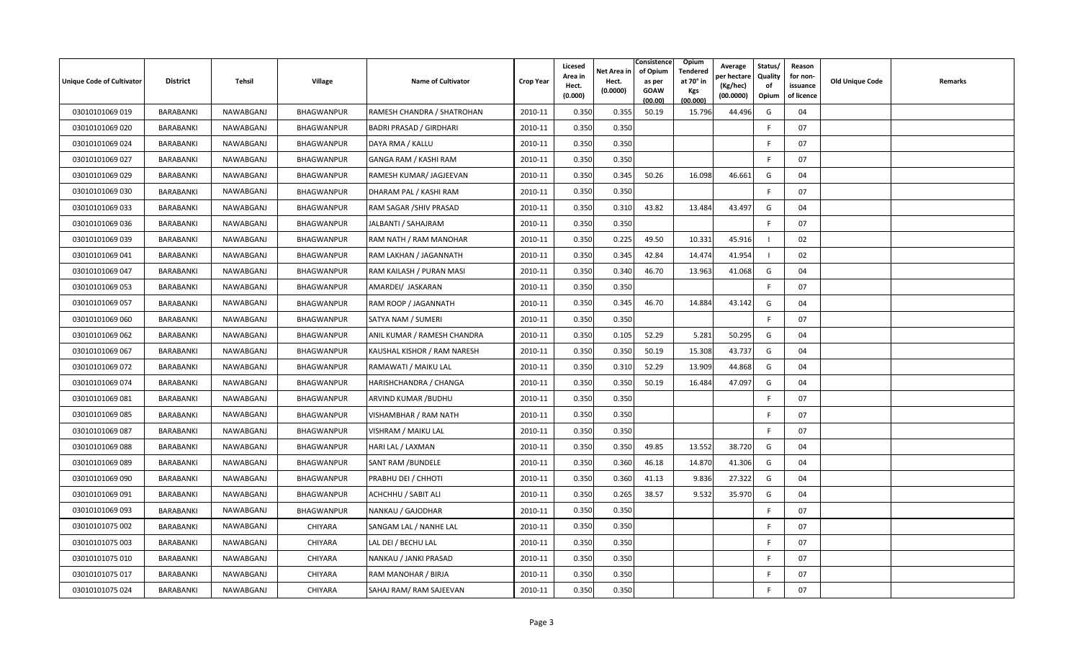| Unique Code of Cultivator | <b>District</b>  | Tehsil    | <b>Village</b>    | <b>Name of Cultivator</b>      | <b>Crop Year</b> | Licesed<br>Area in<br>Hect.<br>(0.000) | Net Area in<br>Hect.<br>(0.0000) | Consistence<br>of Opium<br>as per<br><b>GOAW</b><br>(00.00) | <b>Opium</b><br>Tendered<br>at 70 $^{\circ}$ in<br><b>Kgs</b><br>(00.000) | Average<br>วer hectarง<br>(Kg/hec)<br>(00.0000) | Status/<br>Quality<br>of<br>Opium | Reason<br>for non-<br>issuance<br>of licence | <b>Old Unique Code</b> | Remarks |
|---------------------------|------------------|-----------|-------------------|--------------------------------|------------------|----------------------------------------|----------------------------------|-------------------------------------------------------------|---------------------------------------------------------------------------|-------------------------------------------------|-----------------------------------|----------------------------------------------|------------------------|---------|
| 03010101069 019           | BARABANKI        | NAWABGANJ | BHAGWANPUR        | RAMESH CHANDRA / SHATROHAN     | 2010-11          | 0.350                                  | 0.355                            | 50.19                                                       | 15.796                                                                    | 44.496                                          | G                                 | 04                                           |                        |         |
| 03010101069 020           | BARABANKI        | NAWABGANJ | BHAGWANPUR        | <b>BADRI PRASAD / GIRDHARI</b> | 2010-11          | 0.350                                  | 0.350                            |                                                             |                                                                           |                                                 | E                                 | 07                                           |                        |         |
| 03010101069 024           | BARABANKI        | NAWABGANJ | BHAGWANPUR        | DAYA RMA / KALLU               | 2010-11          | 0.350                                  | 0.350                            |                                                             |                                                                           |                                                 | E                                 | 07                                           |                        |         |
| 03010101069 027           | BARABANKI        | NAWABGANJ | BHAGWANPUR        | GANGA RAM / KASHI RAM          | 2010-11          | 0.350                                  | 0.350                            |                                                             |                                                                           |                                                 | F                                 | 07                                           |                        |         |
| 03010101069 029           | <b>BARABANKI</b> | NAWABGANJ | BHAGWANPUR        | RAMESH KUMAR/ JAGJEEVAN        | 2010-11          | 0.350                                  | 0.345                            | 50.26                                                       | 16.098                                                                    | 46.661                                          | G                                 | 04                                           |                        |         |
| 03010101069 030           | BARABANKI        | NAWABGANJ | BHAGWANPUR        | DHARAM PAL / KASHI RAM         | 2010-11          | 0.350                                  | 0.350                            |                                                             |                                                                           |                                                 | E                                 | 07                                           |                        |         |
| 03010101069 033           | <b>BARABANKI</b> | NAWABGANJ | BHAGWANPUR        | RAM SAGAR / SHIV PRASAD        | 2010-11          | 0.350                                  | 0.310                            | 43.82                                                       | 13.484                                                                    | 43.497                                          | G                                 | 04                                           |                        |         |
| 03010101069 036           | BARABANKI        | NAWABGANJ | <b>BHAGWANPUR</b> | JALBANTI / SAHAJRAM            | 2010-11          | 0.350                                  | 0.350                            |                                                             |                                                                           |                                                 | F.                                | 07                                           |                        |         |
| 03010101069 039           | BARABANKI        | NAWABGANJ | BHAGWANPUR        | RAM NATH / RAM MANOHAR         | 2010-11          | 0.350                                  | 0.225                            | 49.50                                                       | 10.331                                                                    | 45.916                                          |                                   | 02                                           |                        |         |
| 03010101069 041           | BARABANKI        | NAWABGANJ | BHAGWANPUR        | RAM LAKHAN / JAGANNATH         | 2010-11          | 0.350                                  | 0.345                            | 42.84                                                       | 14.474                                                                    | 41.954                                          |                                   | 02                                           |                        |         |
| 03010101069 047           | BARABANKI        | NAWABGANJ | BHAGWANPUR        | RAM KAILASH / PURAN MASI       | 2010-11          | 0.350                                  | 0.340                            | 46.70                                                       | 13.963                                                                    | 41.068                                          | G                                 | 04                                           |                        |         |
| 03010101069 053           | BARABANKI        | NAWABGANJ | BHAGWANPUR        | AMARDEI/ JASKARAN              | 2010-11          | 0.350                                  | 0.350                            |                                                             |                                                                           |                                                 | -F                                | 07                                           |                        |         |
| 03010101069 057           | BARABANKI        | NAWABGANJ | BHAGWANPUR        | RAM ROOP / JAGANNATH           | 2010-11          | 0.350                                  | 0.345                            | 46.70                                                       | 14.884                                                                    | 43.142                                          | G                                 | 04                                           |                        |         |
| 03010101069 060           | BARABANKI        | NAWABGANJ | BHAGWANPUR        | SATYA NAM / SUMERI             | 2010-11          | 0.350                                  | 0.350                            |                                                             |                                                                           |                                                 | F                                 | 07                                           |                        |         |
| 03010101069 062           | <b>BARABANKI</b> | NAWABGANJ | BHAGWANPUR        | ANIL KUMAR / RAMESH CHANDRA    | 2010-11          | 0.350                                  | 0.105                            | 52.29                                                       | 5.281                                                                     | 50.295                                          | G                                 | 04                                           |                        |         |
| 03010101069 067           | BARABANKI        | NAWABGANJ | BHAGWANPUR        | KAUSHAL KISHOR / RAM NARESH    | 2010-11          | 0.350                                  | 0.350                            | 50.19                                                       | 15.308                                                                    | 43.737                                          | G                                 | 04                                           |                        |         |
| 03010101069 072           | <b>BARABANKI</b> | NAWABGANJ | BHAGWANPUR        | RAMAWATI / MAIKU LAL           | 2010-11          | 0.350                                  | 0.310                            | 52.29                                                       | 13.909                                                                    | 44.868                                          | G                                 | 04                                           |                        |         |
| 03010101069 074           | BARABANKI        | NAWABGANJ | BHAGWANPUR        | HARISHCHANDRA / CHANGA         | 2010-11          | 0.350                                  | 0.350                            | 50.19                                                       | 16.484                                                                    | 47.097                                          | G                                 | 04                                           |                        |         |
| 03010101069081            | BARABANKI        | NAWABGANJ | BHAGWANPUR        | ARVIND KUMAR / BUDHU           | 2010-11          | 0.350                                  | 0.350                            |                                                             |                                                                           |                                                 | E                                 | 07                                           |                        |         |
| 03010101069 085           | BARABANKI        | NAWABGANJ | BHAGWANPUR        | VISHAMBHAR / RAM NATH          | 2010-11          | 0.350                                  | 0.350                            |                                                             |                                                                           |                                                 | F                                 | 07                                           |                        |         |
| 03010101069 087           | BARABANKI        | NAWABGANJ | BHAGWANPUR        | VISHRAM / MAIKU LAL            | 2010-11          | 0.350                                  | 0.350                            |                                                             |                                                                           |                                                 | -F                                | 07                                           |                        |         |
| 03010101069088            | BARABANKI        | NAWABGANJ | BHAGWANPUR        | HARI LAL / LAXMAN              | 2010-11          | 0.350                                  | 0.350                            | 49.85                                                       | 13.552                                                                    | 38.720                                          | G                                 | 04                                           |                        |         |
| 03010101069089            | BARABANKI        | NAWABGANJ | BHAGWANPUR        | <b>SANT RAM /BUNDELE</b>       | 2010-11          | 0.350                                  | 0.360                            | 46.18                                                       | 14.870                                                                    | 41.306                                          | G                                 | 04                                           |                        |         |
| 03010101069 090           | BARABANKI        | NAWABGANJ | BHAGWANPUR        | PRABHU DEI / CHHOTI            | 2010-11          | 0.350                                  | 0.360                            | 41.13                                                       | 9.836                                                                     | 27.322                                          | G                                 | 04                                           |                        |         |
| 03010101069 091           | BARABANKI        | NAWABGANJ | BHAGWANPUR        | <b>ACHCHHU / SABIT ALI</b>     | 2010-11          | 0.350                                  | 0.265                            | 38.57                                                       | 9.532                                                                     | 35.970                                          | G                                 | 04                                           |                        |         |
| 03010101069 093           | BARABANKI        | NAWABGANJ | BHAGWANPUR        | NANKAU / GAJODHAR              | 2010-11          | 0.350                                  | 0.350                            |                                                             |                                                                           |                                                 | F                                 | 07                                           |                        |         |
| 03010101075 002           | BARABANKI        | NAWABGANJ | CHIYARA           | SANGAM LAL / NANHE LAL         | 2010-11          | 0.350                                  | 0.350                            |                                                             |                                                                           |                                                 | F                                 | 07                                           |                        |         |
| 03010101075 003           | BARABANKI        | NAWABGANJ | <b>CHIYARA</b>    | LAL DEI / BECHU LAL            | 2010-11          | 0.350                                  | 0.350                            |                                                             |                                                                           |                                                 | F                                 | 07                                           |                        |         |
| 03010101075 010           | BARABANKI        | NAWABGANJ | CHIYARA           | NANKAU / JANKI PRASAD          | 2010-11          | 0.350                                  | 0.350                            |                                                             |                                                                           |                                                 |                                   | 07                                           |                        |         |
| 03010101075 017           | BARABANKI        | NAWABGANJ | <b>CHIYARA</b>    | RAM MANOHAR / BIRJA            | 2010-11          | 0.350                                  | 0.350                            |                                                             |                                                                           |                                                 | F                                 | 07                                           |                        |         |
| 03010101075 024           | BARABANKI        | NAWABGANJ | CHIYARA           | SAHAJ RAM/RAM SAJEEVAN         | 2010-11          | 0.350                                  | 0.350                            |                                                             |                                                                           |                                                 | F                                 | 07                                           |                        |         |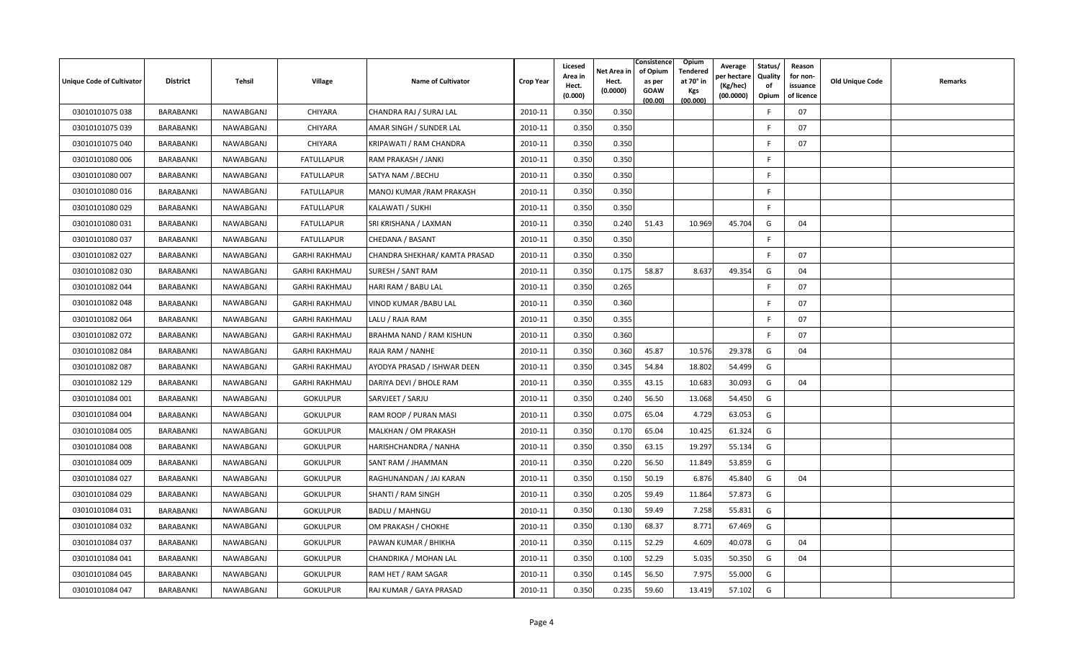| <b>Unique Code of Cultivator</b> | <b>District</b>  | Tehsil    | Village              | <b>Name of Cultivator</b>       | <b>Crop Year</b> | Licesed<br>Area in<br>Hect.<br>(0.000) | Net Area in<br>Hect.<br>(0.0000) | Consistence<br>of Opium<br>as per<br><b>GOAW</b><br>(00.00) | <b>Opium</b><br>Tendered<br>at 70° in<br>Kgs<br>(00.000) | Average<br>er hectare)<br>(Kg/hec)<br>(00.0000) | Status/<br>Quality<br>of<br>Opium | Reason<br>for non-<br>issuance<br>of licence | <b>Old Unique Code</b> | Remarks |
|----------------------------------|------------------|-----------|----------------------|---------------------------------|------------------|----------------------------------------|----------------------------------|-------------------------------------------------------------|----------------------------------------------------------|-------------------------------------------------|-----------------------------------|----------------------------------------------|------------------------|---------|
| 03010101075 038                  | BARABANKI        | NAWABGANJ | CHIYARA              | CHANDRA RAJ / SURAJ LAL         | 2010-11          | 0.350                                  | 0.350                            |                                                             |                                                          |                                                 | -F                                | 07                                           |                        |         |
| 03010101075 039                  | BARABANKI        | NAWABGANJ | CHIYARA              | AMAR SINGH / SUNDER LAL         | 2010-11          | 0.350                                  | 0.350                            |                                                             |                                                          |                                                 | E                                 | 07                                           |                        |         |
| 03010101075 040                  | BARABANKI        | NAWABGANJ | CHIYARA              | KRIPAWATI / RAM CHANDRA         | 2010-11          | 0.350                                  | 0.350                            |                                                             |                                                          |                                                 | F                                 | 07                                           |                        |         |
| 03010101080 006                  | BARABANKI        | NAWABGANJ | <b>FATULLAPUR</b>    | RAM PRAKASH / JANKI             | 2010-11          | 0.350                                  | 0.350                            |                                                             |                                                          |                                                 | -F                                |                                              |                        |         |
| 03010101080 007                  | BARABANKI        | NAWABGANJ | <b>FATULLAPUR</b>    | SATYA NAM / BECHU               | 2010-11          | 0.350                                  | 0.350                            |                                                             |                                                          |                                                 | -F                                |                                              |                        |         |
| 03010101080 016                  | BARABANKI        | NAWABGANJ | <b>FATULLAPUR</b>    | MANOJ KUMAR / RAM PRAKASH       | 2010-11          | 0.350                                  | 0.350                            |                                                             |                                                          |                                                 | F.                                |                                              |                        |         |
| 03010101080029                   | BARABANKI        | NAWABGANJ | <b>FATULLAPUR</b>    | KALAWATI / SUKHI                | 2010-11          | 0.350                                  | 0.350                            |                                                             |                                                          |                                                 | F.                                |                                              |                        |         |
| 03010101080 031                  | BARABANKI        | NAWABGANJ | <b>FATULLAPUR</b>    | SRI KRISHANA / LAXMAN           | 2010-11          | 0.350                                  | 0.240                            | 51.43                                                       | 10.969                                                   | 45.704                                          | G                                 | 04                                           |                        |         |
| 03010101080 037                  | BARABANKI        | NAWABGANJ | <b>FATULLAPUR</b>    | CHEDANA / BASANT                | 2010-11          | 0.350                                  | 0.350                            |                                                             |                                                          |                                                 | -F                                |                                              |                        |         |
| 03010101082 027                  | <b>BARABANKI</b> | NAWABGANJ | <b>GARHI RAKHMAU</b> | CHANDRA SHEKHAR/ KAMTA PRASAD   | 2010-11          | 0.350                                  | 0.350                            |                                                             |                                                          |                                                 | F.                                | 07                                           |                        |         |
| 03010101082 030                  | BARABANKI        | NAWABGANJ | <b>GARHI RAKHMAU</b> | <b>SURESH / SANT RAM</b>        | 2010-11          | 0.350                                  | 0.175                            | 58.87                                                       | 8.637                                                    | 49.354                                          | G                                 | 04                                           |                        |         |
| 03010101082 044                  | BARABANKI        | NAWABGANJ | <b>GARHI RAKHMAU</b> | HARI RAM / BABU LAL             | 2010-11          | 0.350                                  | 0.265                            |                                                             |                                                          |                                                 | E                                 | 07                                           |                        |         |
| 03010101082 048                  | BARABANKI        | NAWABGANJ | <b>GARHI RAKHMAU</b> | VINOD KUMAR / BABU LAL          | 2010-11          | 0.350                                  | 0.360                            |                                                             |                                                          |                                                 | F                                 | 07                                           |                        |         |
| 03010101082064                   | BARABANKI        | NAWABGANJ | <b>GARHI RAKHMAU</b> | LALU / RAJA RAM                 | 2010-11          | 0.350                                  | 0.355                            |                                                             |                                                          |                                                 | -F                                | 07                                           |                        |         |
| 03010101082 072                  | BARABANKI        | NAWABGANJ | <b>GARHI RAKHMAU</b> | <b>BRAHMA NAND / RAM KISHUN</b> | 2010-11          | 0.350                                  | 0.360                            |                                                             |                                                          |                                                 | E                                 | 07                                           |                        |         |
| 03010101082 084                  | BARABANKI        | NAWABGANJ | <b>GARHI RAKHMAU</b> | RAJA RAM / NANHE                | 2010-11          | 0.350                                  | 0.360                            | 45.87                                                       | 10.576                                                   | 29.378                                          | G                                 | 04                                           |                        |         |
| 03010101082 087                  | BARABANKI        | NAWABGANJ | <b>GARHI RAKHMAU</b> | AYODYA PRASAD / ISHWAR DEEN     | 2010-11          | 0.350                                  | 0.345                            | 54.84                                                       | 18.802                                                   | 54.499                                          | G                                 |                                              |                        |         |
| 03010101082 129                  | BARABANKI        | NAWABGANJ | <b>GARHI RAKHMAU</b> | DARIYA DEVI / BHOLE RAM         | 2010-11          | 0.350                                  | 0.355                            | 43.15                                                       | 10.683                                                   | 30.093                                          | G                                 | 04                                           |                        |         |
| 03010101084 001                  | BARABANKI        | NAWABGANJ | <b>GOKULPUR</b>      | SARVJEET / SARJU                | 2010-11          | 0.350                                  | 0.240                            | 56.50                                                       | 13.068                                                   | 54.450                                          | G                                 |                                              |                        |         |
| 03010101084 004                  | <b>BARABANKI</b> | NAWABGANJ | <b>GOKULPUR</b>      | RAM ROOP / PURAN MASI           | 2010-11          | 0.350                                  | 0.075                            | 65.04                                                       | 4.729                                                    | 63.053                                          | G                                 |                                              |                        |         |
| 03010101084 005                  | BARABANKI        | NAWABGANJ | <b>GOKULPUR</b>      | MALKHAN / OM PRAKASH            | 2010-11          | 0.350                                  | 0.170                            | 65.04                                                       | 10.425                                                   | 61.324                                          | G                                 |                                              |                        |         |
| 03010101084 008                  | BARABANKI        | NAWABGANJ | <b>GOKULPUR</b>      | HARISHCHANDRA / NANHA           | 2010-11          | 0.350                                  | 0.350                            | 63.15                                                       | 19.297                                                   | 55.134                                          | G                                 |                                              |                        |         |
| 03010101084 009                  | BARABANKI        | NAWABGANJ | <b>GOKULPUR</b>      | SANT RAM / JHAMMAN              | 2010-11          | 0.350                                  | 0.220                            | 56.50                                                       | 11.849                                                   | 53.859                                          | G                                 |                                              |                        |         |
| 03010101084 027                  | BARABANKI        | NAWABGANJ | <b>GOKULPUR</b>      | RAGHUNANDAN / JAI KARAN         | 2010-11          | 0.350                                  | 0.150                            | 50.19                                                       | 6.876                                                    | 45.840                                          | G                                 | 04                                           |                        |         |
| 03010101084 029                  | <b>BARABANKI</b> | NAWABGANJ | <b>GOKULPUR</b>      | SHANTI / RAM SINGH              | 2010-11          | 0.350                                  | 0.205                            | 59.49                                                       | 11.864                                                   | 57.873                                          | G                                 |                                              |                        |         |
| 03010101084 031                  | BARABANKI        | NAWABGANJ | <b>GOKULPUR</b>      | BADLU / MAHNGU                  | 2010-11          | 0.350                                  | 0.130                            | 59.49                                                       | 7.258                                                    | 55.831                                          | G                                 |                                              |                        |         |
| 03010101084 032                  | BARABANKI        | NAWABGANJ | <b>GOKULPUR</b>      | OM PRAKASH / CHOKHE             | 2010-11          | 0.350                                  | 0.130                            | 68.37                                                       | 8.771                                                    | 67.469                                          | G                                 |                                              |                        |         |
| 03010101084 037                  | BARABANKI        | NAWABGANJ | <b>GOKULPUR</b>      | PAWAN KUMAR / BHIKHA            | 2010-11          | 0.350                                  | 0.115                            | 52.29                                                       | 4.609                                                    | 40.078                                          | G                                 | 04                                           |                        |         |
| 03010101084 041                  | BARABANKI        | NAWABGANJ | <b>GOKULPUR</b>      | CHANDRIKA / MOHAN LAL           | 2010-11          | 0.350                                  | 0.100                            | 52.29                                                       | 5.035                                                    | 50.350                                          | G                                 | 04                                           |                        |         |
| 03010101084 045                  | <b>BARABANKI</b> | NAWABGANJ | <b>GOKULPUR</b>      | RAM HET / RAM SAGAR             | 2010-11          | 0.350                                  | 0.145                            | 56.50                                                       | 7.975                                                    | 55.000                                          | G                                 |                                              |                        |         |
| 03010101084 047                  | BARABANKI        | NAWABGANJ | <b>GOKULPUR</b>      | RAJ KUMAR / GAYA PRASAD         | 2010-11          | 0.350                                  | 0.235                            | 59.60                                                       | 13.419                                                   | 57.102                                          | G                                 |                                              |                        |         |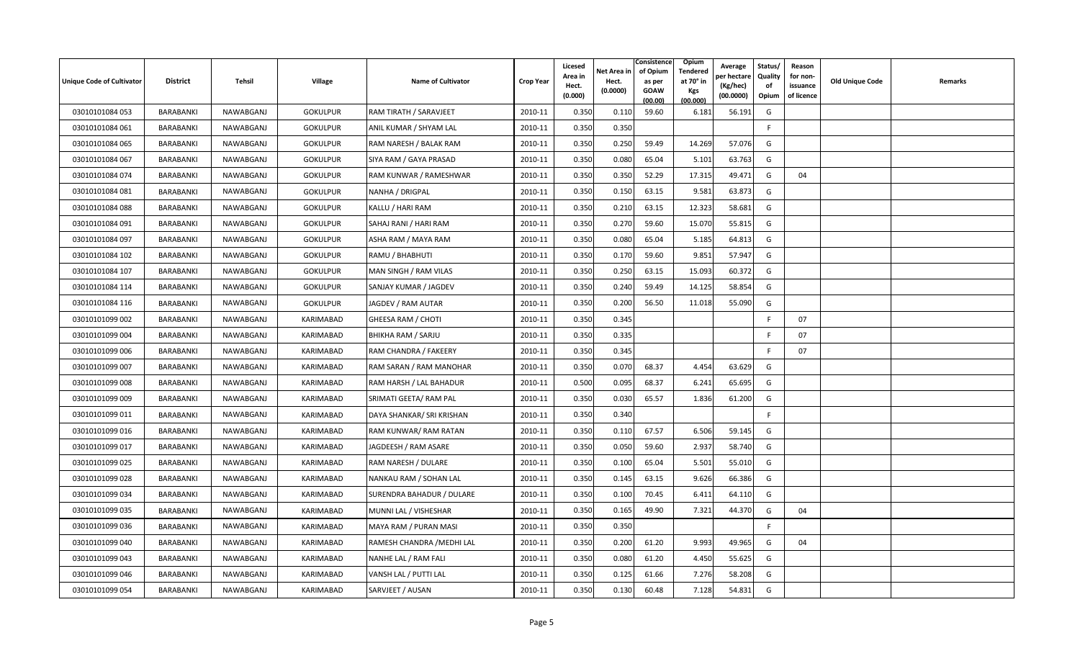| <b>Unique Code of Cultivator</b> | <b>District</b>  | Tehsil    | Village         | <b>Name of Cultivator</b>  | <b>Crop Year</b> | Licesed<br>Area in<br>Hect.<br>(0.000) | Net Area in<br>Hect.<br>(0.0000) | Consistence<br>of Opium<br>as per<br><b>GOAW</b><br>(00.00) | <b>Opium</b><br>Tendered<br>at 70° in<br>Kgs<br>(00.000) | Average<br>er hectare)<br>(Kg/hec)<br>(00.0000) | Status/<br>Quality<br>of<br>Opium | Reason<br>for non-<br>issuance<br>of licence | <b>Old Unique Code</b> | Remarks |
|----------------------------------|------------------|-----------|-----------------|----------------------------|------------------|----------------------------------------|----------------------------------|-------------------------------------------------------------|----------------------------------------------------------|-------------------------------------------------|-----------------------------------|----------------------------------------------|------------------------|---------|
| 03010101084 053                  | BARABANKI        | NAWABGANJ | <b>GOKULPUR</b> | RAM TIRATH / SARAVJEET     | 2010-11          | 0.350                                  | 0.110                            | 59.60                                                       | 6.181                                                    | 56.191                                          | G                                 |                                              |                        |         |
| 03010101084 061                  | BARABANKI        | NAWABGANJ | <b>GOKULPUR</b> | ANIL KUMAR / SHYAM LAL     | 2010-11          | 0.350                                  | 0.350                            |                                                             |                                                          |                                                 | E                                 |                                              |                        |         |
| 03010101084 065                  | BARABANKI        | NAWABGANJ | <b>GOKULPUR</b> | RAM NARESH / BALAK RAM     | 2010-11          | 0.350                                  | 0.250                            | 59.49                                                       | 14.269                                                   | 57.076                                          | G                                 |                                              |                        |         |
| 03010101084 067                  | BARABANKI        | NAWABGANJ | <b>GOKULPUR</b> | SIYA RAM / GAYA PRASAD     | 2010-11          | 0.350                                  | 0.080                            | 65.04                                                       | 5.101                                                    | 63.763                                          | G                                 |                                              |                        |         |
| 03010101084 074                  | BARABANKI        | NAWABGANJ | <b>GOKULPUR</b> | RAM KUNWAR / RAMESHWAR     | 2010-11          | 0.350                                  | 0.350                            | 52.29                                                       | 17.315                                                   | 49.471                                          | G                                 | 04                                           |                        |         |
| 03010101084 081                  | BARABANKI        | NAWABGANJ | <b>GOKULPUR</b> | NANHA / DRIGPAL            | 2010-11          | 0.350                                  | 0.150                            | 63.15                                                       | 9.581                                                    | 63.873                                          | G                                 |                                              |                        |         |
| 03010101084 088                  | BARABANKI        | NAWABGANJ | <b>GOKULPUR</b> | KALLU / HARI RAM           | 2010-11          | 0.350                                  | 0.210                            | 63.15                                                       | 12.323                                                   | 58.681                                          | G                                 |                                              |                        |         |
| 03010101084 091                  | BARABANKI        | NAWABGANJ | <b>GOKULPUR</b> | SAHAJ RANI / HARI RAM      | 2010-11          | 0.350                                  | 0.270                            | 59.60                                                       | 15.070                                                   | 55.815                                          | G                                 |                                              |                        |         |
| 03010101084 097                  | BARABANKI        | NAWABGANJ | <b>GOKULPUR</b> | ASHA RAM / MAYA RAM        | 2010-11          | 0.350                                  | 0.080                            | 65.04                                                       | 5.185                                                    | 64.813                                          | G                                 |                                              |                        |         |
| 03010101084 102                  | BARABANKI        | NAWABGANJ | <b>GOKULPUR</b> | RAMU / BHABHUTI            | 2010-11          | 0.350                                  | 0.170                            | 59.60                                                       | 9.851                                                    | 57.947                                          | G                                 |                                              |                        |         |
| 03010101084 107                  | BARABANKI        | NAWABGANJ | <b>GOKULPUR</b> | MAN SINGH / RAM VILAS      | 2010-11          | 0.350                                  | 0.250                            | 63.15                                                       | 15.093                                                   | 60.372                                          | G                                 |                                              |                        |         |
| 03010101084 114                  | BARABANKI        | NAWABGANJ | <b>GOKULPUR</b> | SANJAY KUMAR / JAGDEV      | 2010-11          | 0.350                                  | 0.240                            | 59.49                                                       | 14.125                                                   | 58.854                                          | G                                 |                                              |                        |         |
| 03010101084 116                  | BARABANKI        | NAWABGANJ | <b>GOKULPUR</b> | JAGDEV / RAM AUTAR         | 2010-11          | 0.350                                  | 0.200                            | 56.50                                                       | 11.018                                                   | 55.090                                          | G                                 |                                              |                        |         |
| 03010101099 002                  | BARABANKI        | NAWABGANJ | KARIMABAD       | GHEESA RAM / CHOTI         | 2010-11          | 0.350                                  | 0.345                            |                                                             |                                                          |                                                 | -F                                | 07                                           |                        |         |
| 03010101099 004                  | BARABANKI        | NAWABGANJ | KARIMABAD       | <b>BHIKHA RAM / SARJU</b>  | 2010-11          | 0.350                                  | 0.335                            |                                                             |                                                          |                                                 |                                   | 07                                           |                        |         |
| 03010101099 006                  | BARABANKI        | NAWABGANJ | KARIMABAD       | RAM CHANDRA / FAKEERY      | 2010-11          | 0.350                                  | 0.345                            |                                                             |                                                          |                                                 | E                                 | 07                                           |                        |         |
| 03010101099 007                  | BARABANKI        | NAWABGANJ | KARIMABAD       | RAM SARAN / RAM MANOHAR    | 2010-11          | 0.350                                  | 0.070                            | 68.37                                                       | 4.454                                                    | 63.629                                          | G                                 |                                              |                        |         |
| 03010101099 008                  | BARABANKI        | NAWABGANJ | KARIMABAD       | RAM HARSH / LAL BAHADUR    | 2010-11          | 0.500                                  | 0.095                            | 68.37                                                       | 6.241                                                    | 65.695                                          | G                                 |                                              |                        |         |
| 03010101099 009                  | BARABANKI        | NAWABGANJ | KARIMABAD       | SRIMATI GEETA/ RAM PAL     | 2010-11          | 0.350                                  | 0.030                            | 65.57                                                       | 1.836                                                    | 61.200                                          | G                                 |                                              |                        |         |
| 03010101099 011                  | BARABANKI        | NAWABGANJ | KARIMABAD       | DAYA SHANKAR/ SRI KRISHAN  | 2010-11          | 0.350                                  | 0.340                            |                                                             |                                                          |                                                 | -F                                |                                              |                        |         |
| 03010101099 016                  | BARABANKI        | NAWABGANJ | KARIMABAD       | RAM KUNWAR/ RAM RATAN      | 2010-11          | 0.350                                  | 0.110                            | 67.57                                                       | 6.506                                                    | 59.145                                          | G                                 |                                              |                        |         |
| 03010101099 017                  | <b>BARABANKI</b> | NAWABGANJ | KARIMABAD       | JAGDEESH / RAM ASARE       | 2010-11          | 0.350                                  | 0.050                            | 59.60                                                       | 2.937                                                    | 58.740                                          | G                                 |                                              |                        |         |
| 03010101099 025                  | BARABANKI        | NAWABGANJ | KARIMABAD       | RAM NARESH / DULARE        | 2010-11          | 0.350                                  | 0.100                            | 65.04                                                       | 5.501                                                    | 55.010                                          | G                                 |                                              |                        |         |
| 03010101099 028                  | <b>BARABANKI</b> | NAWABGANJ | KARIMABAD       | NANKAU RAM / SOHAN LAL     | 2010-11          | 0.350                                  | 0.145                            | 63.15                                                       | 9.626                                                    | 66.386                                          | G                                 |                                              |                        |         |
| 03010101099 034                  | BARABANKI        | NAWABGANJ | KARIMABAD       | SURENDRA BAHADUR / DULARE  | 2010-11          | 0.350                                  | 0.100                            | 70.45                                                       | 6.411                                                    | 64.110                                          | G                                 |                                              |                        |         |
| 03010101099 035                  | BARABANKI        | NAWABGANJ | KARIMABAD       | MUNNI LAL / VISHESHAR      | 2010-11          | 0.350                                  | 0.165                            | 49.90                                                       | 7.321                                                    | 44.370                                          | G                                 | 04                                           |                        |         |
| 03010101099 036                  | BARABANKI        | NAWABGANJ | KARIMABAD       | MAYA RAM / PURAN MASI      | 2010-11          | 0.350                                  | 0.350                            |                                                             |                                                          |                                                 | F                                 |                                              |                        |         |
| 03010101099 040                  | BARABANKI        | NAWABGANJ | KARIMABAD       | RAMESH CHANDRA / MEDHI LAL | 2010-11          | 0.350                                  | 0.200                            | 61.20                                                       | 9.993                                                    | 49.965                                          | G                                 | 04                                           |                        |         |
| 03010101099 043                  | BARABANKI        | NAWABGANJ | KARIMABAD       | NANHE LAL / RAM FALI       | 2010-11          | 0.350                                  | 0.080                            | 61.20                                                       | 4.450                                                    | 55.625                                          | G                                 |                                              |                        |         |
| 03010101099 046                  | <b>BARABANKI</b> | NAWABGANJ | KARIMABAD       | VANSH LAL / PUTTI LAL      | 2010-11          | 0.350                                  | 0.125                            | 61.66                                                       | 7.276                                                    | 58.208                                          | G                                 |                                              |                        |         |
| 03010101099 054                  | BARABANKI        | NAWABGANJ | KARIMABAD       | SARVJEET / AUSAN           | 2010-11          | 0.350                                  | 0.130                            | 60.48                                                       | 7.128                                                    | 54.831                                          | G                                 |                                              |                        |         |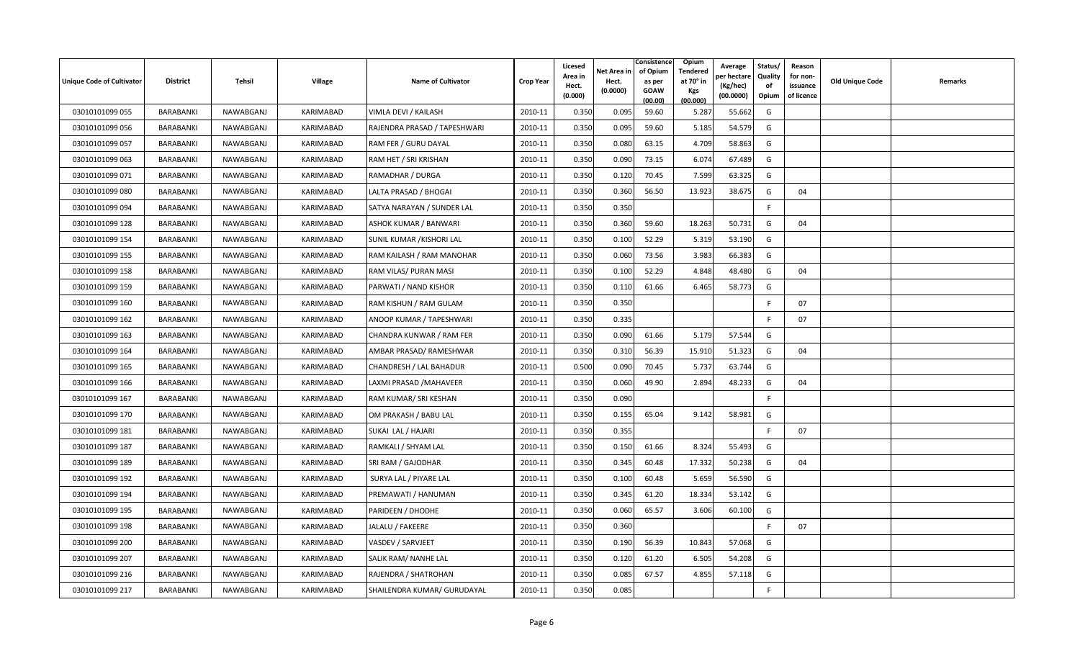| <b>Unique Code of Cultivator</b> | <b>District</b>  | Tehsil    | <b>Village</b> | <b>Name of Cultivator</b>    | <b>Crop Year</b> | Licesed<br>Area in<br>Hect.<br>(0.000) | Net Area in<br>Hect.<br>(0.0000) | Consistence<br>of Opium<br>as per<br><b>GOAW</b><br>(00.00) | Opium<br>Tendered<br>at 70° in<br>Kgs<br>(00.000) | Average<br>er hectare)<br>(Kg/hec)<br>(00.0000) | Status/<br>Quality<br>of<br>Opium | Reason<br>for non-<br>issuance<br>of licence | <b>Old Unique Code</b> | Remarks |
|----------------------------------|------------------|-----------|----------------|------------------------------|------------------|----------------------------------------|----------------------------------|-------------------------------------------------------------|---------------------------------------------------|-------------------------------------------------|-----------------------------------|----------------------------------------------|------------------------|---------|
| 03010101099 055                  | BARABANKI        | NAWABGANJ | KARIMABAD      | VIMLA DEVI / KAILASH         | 2010-11          | 0.350                                  | 0.095                            | 59.60                                                       | 5.287                                             | 55.662                                          | G                                 |                                              |                        |         |
| 03010101099 056                  | BARABANKI        | NAWABGANJ | KARIMABAD      | RAJENDRA PRASAD / TAPESHWARI | 2010-11          | 0.350                                  | 0.095                            | 59.60                                                       | 5.185                                             | 54.579                                          | G                                 |                                              |                        |         |
| 03010101099 057                  | BARABANKI        | NAWABGANJ | KARIMABAD      | RAM FER / GURU DAYAL         | 2010-11          | 0.350                                  | 0.080                            | 63.15                                                       | 4.709                                             | 58.863                                          | G                                 |                                              |                        |         |
| 03010101099 063                  | BARABANKI        | NAWABGANJ | KARIMABAD      | RAM HET / SRI KRISHAN        | 2010-11          | 0.350                                  | 0.090                            | 73.15                                                       | 6.074                                             | 67.489                                          | G                                 |                                              |                        |         |
| 03010101099 071                  | BARABANKI        | NAWABGANJ | KARIMABAD      | RAMADHAR / DURGA             | 2010-11          | 0.350                                  | 0.120                            | 70.45                                                       | 7.599                                             | 63.325                                          | G                                 |                                              |                        |         |
| 03010101099 080                  | BARABANKI        | NAWABGANJ | KARIMABAD      | LALTA PRASAD / BHOGAI        | 2010-11          | 0.350                                  | 0.360                            | 56.50                                                       | 13.923                                            | 38.675                                          | G                                 | 04                                           |                        |         |
| 03010101099 094                  | BARABANKI        | NAWABGANJ | KARIMABAD      | SATYA NARAYAN / SUNDER LAL   | 2010-11          | 0.350                                  | 0.350                            |                                                             |                                                   |                                                 | E                                 |                                              |                        |         |
| 03010101099 128                  | BARABANKI        | NAWABGANJ | KARIMABAD      | ASHOK KUMAR / BANWARI        | 2010-11          | 0.350                                  | 0.360                            | 59.60                                                       | 18.263                                            | 50.731                                          | G                                 | 04                                           |                        |         |
| 03010101099 154                  | BARABANKI        | NAWABGANJ | KARIMABAD      | SUNIL KUMAR / KISHORI LAL    | 2010-11          | 0.350                                  | 0.100                            | 52.29                                                       | 5.319                                             | 53.190                                          | G                                 |                                              |                        |         |
| 03010101099 155                  | BARABANKI        | NAWABGANJ | KARIMABAD      | RAM KAILASH / RAM MANOHAR    | 2010-11          | 0.350                                  | 0.060                            | 73.56                                                       | 3.983                                             | 66.383                                          | G                                 |                                              |                        |         |
| 03010101099 158                  | BARABANKI        | NAWABGANJ | KARIMABAD      | RAM VILAS/ PURAN MASI        | 2010-11          | 0.350                                  | 0.100                            | 52.29                                                       | 4.848                                             | 48.480                                          | G                                 | 04                                           |                        |         |
| 03010101099 159                  | BARABANKI        | NAWABGANJ | KARIMABAD      | PARWATI / NAND KISHOR        | 2010-11          | 0.350                                  | 0.110                            | 61.66                                                       | 6.465                                             | 58.773                                          | G                                 |                                              |                        |         |
| 03010101099 160                  | BARABANKI        | NAWABGANJ | KARIMABAD      | RAM KISHUN / RAM GULAM       | 2010-11          | 0.350                                  | 0.350                            |                                                             |                                                   |                                                 | -F                                | 07                                           |                        |         |
| 03010101099 162                  | BARABANKI        | NAWABGANJ | KARIMABAD      | ANOOP KUMAR / TAPESHWARI     | 2010-11          | 0.350                                  | 0.335                            |                                                             |                                                   |                                                 | E                                 | 07                                           |                        |         |
| 03010101099 163                  | <b>BARABANKI</b> | NAWABGANJ | KARIMABAD      | CHANDRA KUNWAR / RAM FER     | 2010-11          | 0.350                                  | 0.090                            | 61.66                                                       | 5.179                                             | 57.544                                          | G                                 |                                              |                        |         |
| 03010101099 164                  | BARABANKI        | NAWABGANJ | KARIMABAD      | AMBAR PRASAD/ RAMESHWAR      | 2010-11          | 0.350                                  | 0.310                            | 56.39                                                       | 15.910                                            | 51.323                                          | G                                 | 04                                           |                        |         |
| 03010101099 165                  | BARABANKI        | NAWABGANJ | KARIMABAD      | CHANDRESH / LAL BAHADUR      | 2010-11          | 0.500                                  | 0.090                            | 70.45                                                       | 5.737                                             | 63.744                                          | G                                 |                                              |                        |         |
| 03010101099 166                  | BARABANKI        | NAWABGANJ | KARIMABAD      | LAXMI PRASAD / MAHAVEER      | 2010-11          | 0.350                                  | 0.060                            | 49.90                                                       | 2.894                                             | 48.233                                          | G                                 | 04                                           |                        |         |
| 03010101099 167                  | BARABANKI        | NAWABGANJ | KARIMABAD      | RAM KUMAR/ SRI KESHAN        | 2010-11          | 0.350                                  | 0.090                            |                                                             |                                                   |                                                 | F                                 |                                              |                        |         |
| 03010101099 170                  | BARABANKI        | NAWABGANJ | KARIMABAD      | OM PRAKASH / BABU LAL        | 2010-11          | 0.350                                  | 0.155                            | 65.04                                                       | 9.142                                             | 58.981                                          | G                                 |                                              |                        |         |
| 03010101099 181                  | BARABANKI        | NAWABGANJ | KARIMABAD      | SUKAI LAL / HAJARI           | 2010-11          | 0.350                                  | 0.355                            |                                                             |                                                   |                                                 | F.                                | 07                                           |                        |         |
| 03010101099 187                  | <b>BARABANKI</b> | NAWABGANJ | KARIMABAD      | RAMKALI / SHYAM LAL          | 2010-11          | 0.350                                  | 0.150                            | 61.66                                                       | 8.324                                             | 55.493                                          | G                                 |                                              |                        |         |
| 03010101099 189                  | BARABANKI        | NAWABGANJ | KARIMABAD      | SRI RAM / GAJODHAR           | 2010-11          | 0.350                                  | 0.345                            | 60.48                                                       | 17.332                                            | 50.238                                          | G                                 | 04                                           |                        |         |
| 03010101099 192                  | <b>BARABANKI</b> | NAWABGANJ | KARIMABAD      | SURYA LAL / PIYARE LAL       | 2010-11          | 0.350                                  | 0.100                            | 60.48                                                       | 5.659                                             | 56.590                                          | G                                 |                                              |                        |         |
| 03010101099 194                  | BARABANKI        | NAWABGANJ | KARIMABAD      | PREMAWATI / HANUMAN          | 2010-11          | 0.350                                  | 0.345                            | 61.20                                                       | 18.334                                            | 53.142                                          | G                                 |                                              |                        |         |
| 03010101099 195                  | BARABANKI        | NAWABGANJ | KARIMABAD      | PARIDEEN / DHODHE            | 2010-11          | 0.350                                  | 0.060                            | 65.57                                                       | 3.606                                             | 60.100                                          | G                                 |                                              |                        |         |
| 03010101099 198                  | BARABANKI        | NAWABGANJ | KARIMABAD      | JALALU / FAKEERE             | 2010-11          | 0.350                                  | 0.360                            |                                                             |                                                   |                                                 | F                                 | 07                                           |                        |         |
| 03010101099 200                  | BARABANKI        | NAWABGANJ | KARIMABAD      | VASDEV / SARVJEET            | 2010-11          | 0.350                                  | 0.190                            | 56.39                                                       | 10.843                                            | 57.068                                          | G                                 |                                              |                        |         |
| 03010101099 207                  | BARABANKI        | NAWABGANJ | KARIMABAD      | SALIK RAM/ NANHE LAL         | 2010-11          | 0.350                                  | 0.120                            | 61.20                                                       | 6.505                                             | 54.208                                          | G                                 |                                              |                        |         |
| 03010101099 216                  | <b>BARABANKI</b> | NAWABGANJ | KARIMABAD      | RAJENDRA / SHATROHAN         | 2010-11          | 0.350                                  | 0.085                            | 67.57                                                       | 4.855                                             | 57.118                                          | G                                 |                                              |                        |         |
| 03010101099 217                  | BARABANKI        | NAWABGANJ | KARIMABAD      | SHAILENDRA KUMAR/ GURUDAYAL  | 2010-11          | 0.350                                  | 0.085                            |                                                             |                                                   |                                                 | F                                 |                                              |                        |         |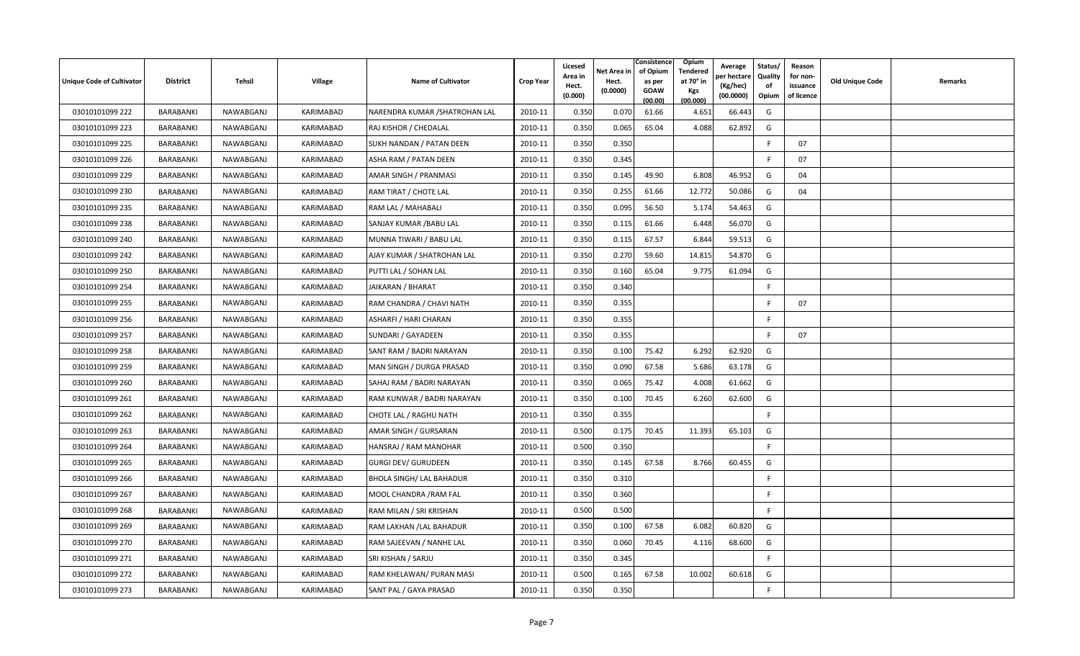| <b>Unique Code of Cultivator</b> | <b>District</b>  | Tehsil    | <b>Village</b> | <b>Name of Cultivator</b>       | <b>Crop Year</b> | Licesed<br>Area in<br>Hect.<br>(0.000) | Net Area in<br>Hect.<br>(0.0000) | Consistence<br>of Opium<br>as per<br><b>GOAW</b><br>(00.00) | Opium<br>Tendered<br>at 70° in<br>Kgs<br>(00.000) | Average<br>er hectare)<br>(Kg/hec)<br>(00.0000) | Status/<br>Quality<br>of<br>Opium | Reason<br>for non-<br>issuance<br>of licence | <b>Old Unique Code</b> | Remarks |
|----------------------------------|------------------|-----------|----------------|---------------------------------|------------------|----------------------------------------|----------------------------------|-------------------------------------------------------------|---------------------------------------------------|-------------------------------------------------|-----------------------------------|----------------------------------------------|------------------------|---------|
| 03010101099 222                  | BARABANKI        | NAWABGANJ | KARIMABAD      | NARENDRA KUMAR / SHATROHAN LAL  | 2010-11          | 0.350                                  | 0.070                            | 61.66                                                       | 4.651                                             | 66.443                                          | G                                 |                                              |                        |         |
| 03010101099 223                  | BARABANKI        | NAWABGANJ | KARIMABAD      | RAJ KISHOR / CHEDALAL           | 2010-11          | 0.350                                  | 0.065                            | 65.04                                                       | 4.088                                             | 62.892                                          | G                                 |                                              |                        |         |
| 03010101099 225                  | BARABANKI        | NAWABGANJ | KARIMABAD      | SUKH NANDAN / PATAN DEEN        | 2010-11          | 0.350                                  | 0.350                            |                                                             |                                                   |                                                 | E                                 | 07                                           |                        |         |
| 03010101099 226                  | BARABANKI        | NAWABGANJ | KARIMABAD      | ASHA RAM / PATAN DEEN           | 2010-11          | 0.350                                  | 0.345                            |                                                             |                                                   |                                                 | -F                                | 07                                           |                        |         |
| 03010101099 229                  | BARABANKI        | NAWABGANJ | KARIMABAD      | AMAR SINGH / PRANMASI           | 2010-11          | 0.350                                  | 0.145                            | 49.90                                                       | 6.808                                             | 46.952                                          | G                                 | 04                                           |                        |         |
| 03010101099 230                  | BARABANKI        | NAWABGANJ | KARIMABAD      | RAM TIRAT / CHOTE LAL           | 2010-11          | 0.350                                  | 0.255                            | 61.66                                                       | 12.772                                            | 50.086                                          | G                                 | 04                                           |                        |         |
| 03010101099 235                  | BARABANKI        | NAWABGANJ | KARIMABAD      | RAM LAL / MAHABALI              | 2010-11          | 0.350                                  | 0.095                            | 56.50                                                       | 5.174                                             | 54.463                                          | G                                 |                                              |                        |         |
| 03010101099 238                  | BARABANKI        | NAWABGANJ | KARIMABAD      | SANJAY KUMAR / BABU LAL         | 2010-11          | 0.350                                  | 0.115                            | 61.66                                                       | 6.448                                             | 56.070                                          | G                                 |                                              |                        |         |
| 03010101099 240                  | BARABANKI        | NAWABGANJ | KARIMABAD      | MUNNA TIWARI / BABU LAL         | 2010-11          | 0.350                                  | 0.115                            | 67.57                                                       | 6.844                                             | 59.513                                          | G                                 |                                              |                        |         |
| 03010101099 242                  | BARABANKI        | NAWABGANJ | KARIMABAD      | AJAY KUMAR / SHATROHAN LAL      | 2010-11          | 0.350                                  | 0.270                            | 59.60                                                       | 14.815                                            | 54.870                                          | G                                 |                                              |                        |         |
| 03010101099 250                  | BARABANKI        | NAWABGANJ | KARIMABAD      | PUTTI LAL / SOHAN LAL           | 2010-11          | 0.350                                  | 0.160                            | 65.04                                                       | 9.775                                             | 61.094                                          | G                                 |                                              |                        |         |
| 03010101099 254                  | BARABANKI        | NAWABGANJ | KARIMABAD      | JAIKARAN / BHARAT               | 2010-11          | 0.350                                  | 0.340                            |                                                             |                                                   |                                                 | E                                 |                                              |                        |         |
| 03010101099 255                  | BARABANKI        | NAWABGANJ | KARIMABAD      | RAM CHANDRA / CHAVI NATH        | 2010-11          | 0.350                                  | 0.355                            |                                                             |                                                   |                                                 | F                                 | 07                                           |                        |         |
| 03010101099 256                  | BARABANKI        | NAWABGANJ | KARIMABAD      | ASHARFI / HARI CHARAN           | 2010-11          | 0.350                                  | 0.355                            |                                                             |                                                   |                                                 | -F                                |                                              |                        |         |
| 03010101099 257                  | BARABANKI        | NAWABGANJ | KARIMABAD      | SUNDARI / GAYADEEN              | 2010-11          | 0.350                                  | 0.355                            |                                                             |                                                   |                                                 | F.                                | 07                                           |                        |         |
| 03010101099 258                  | BARABANKI        | NAWABGANJ | KARIMABAD      | SANT RAM / BADRI NARAYAN        | 2010-11          | 0.350                                  | 0.100                            | 75.42                                                       | 6.292                                             | 62.920                                          | G                                 |                                              |                        |         |
| 03010101099 259                  | BARABANKI        | NAWABGANJ | KARIMABAD      | MAN SINGH / DURGA PRASAD        | 2010-11          | 0.350                                  | 0.090                            | 67.58                                                       | 5.686                                             | 63.178                                          | G                                 |                                              |                        |         |
| 03010101099 260                  | BARABANKI        | NAWABGANJ | KARIMABAD      | SAHAJ RAM / BADRI NARAYAN       | 2010-11          | 0.350                                  | 0.065                            | 75.42                                                       | 4.008                                             | 61.662                                          | G                                 |                                              |                        |         |
| 03010101099 261                  | BARABANKI        | NAWABGANJ | KARIMABAD      | RAM KUNWAR / BADRI NARAYAN      | 2010-11          | 0.350                                  | 0.100                            | 70.45                                                       | 6.260                                             | 62.600                                          | G                                 |                                              |                        |         |
| 03010101099 262                  | <b>BARABANKI</b> | NAWABGANJ | KARIMABAD      | CHOTE LAL / RAGHU NATH          | 2010-11          | 0.350                                  | 0.355                            |                                                             |                                                   |                                                 | F.                                |                                              |                        |         |
| 03010101099 263                  | BARABANKI        | NAWABGANJ | KARIMABAD      | AMAR SINGH / GURSARAN           | 2010-11          | 0.500                                  | 0.175                            | 70.45                                                       | 11.393                                            | 65.103                                          | G                                 |                                              |                        |         |
| 03010101099 264                  | BARABANKI        | NAWABGANJ | KARIMABAD      | HANSRAJ / RAM MANOHAR           | 2010-11          | 0.500                                  | 0.350                            |                                                             |                                                   |                                                 | F.                                |                                              |                        |         |
| 03010101099 265                  | BARABANKI        | NAWABGANJ | KARIMABAD      | <b>GURGI DEV/ GURUDEEN</b>      | 2010-11          | 0.350                                  | 0.145                            | 67.58                                                       | 8.766                                             | 60.455                                          | G                                 |                                              |                        |         |
| 03010101099 266                  | BARABANKI        | NAWABGANJ | KARIMABAD      | <b>BHOLA SINGH/ LAL BAHADUR</b> | 2010-11          | 0.350                                  | 0.310                            |                                                             |                                                   |                                                 | -F                                |                                              |                        |         |
| 03010101099 267                  | BARABANKI        | NAWABGANJ | KARIMABAD      | MOOL CHANDRA / RAM FAL          | 2010-11          | 0.350                                  | 0.360                            |                                                             |                                                   |                                                 | E                                 |                                              |                        |         |
| 03010101099 268                  | BARABANKI        | NAWABGANJ | KARIMABAD      | RAM MILAN / SRI KRISHAN         | 2010-11          | 0.500                                  | 0.500                            |                                                             |                                                   |                                                 | F.                                |                                              |                        |         |
| 03010101099 269                  | BARABANKI        | NAWABGANJ | KARIMABAD      | RAM LAKHAN / LAL BAHADUR        | 2010-11          | 0.350                                  | 0.100                            | 67.58                                                       | 6.082                                             | 60.820                                          | G                                 |                                              |                        |         |
| 03010101099 270                  | BARABANKI        | NAWABGANJ | KARIMABAD      | RAM SAJEEVAN / NANHE LAL        | 2010-11          | 0.350                                  | 0.060                            | 70.45                                                       | 4.116                                             | 68.600                                          | G                                 |                                              |                        |         |
| 03010101099 271                  | BARABANKI        | NAWABGANJ | KARIMABAD      | SRI KISHAN / SARJU              | 2010-11          | 0.350                                  | 0.345                            |                                                             |                                                   |                                                 | -F                                |                                              |                        |         |
| 03010101099 272                  | <b>BARABANKI</b> | NAWABGANJ | KARIMABAD      | RAM KHELAWAN/ PURAN MASI        | 2010-11          | 0.500                                  | 0.165                            | 67.58                                                       | 10.002                                            | 60.618                                          | G                                 |                                              |                        |         |
| 03010101099 273                  | BARABANKI        | NAWABGANJ | KARIMABAD      | SANT PAL / GAYA PRASAD          | 2010-11          | 0.350                                  | 0.350                            |                                                             |                                                   |                                                 | -F                                |                                              |                        |         |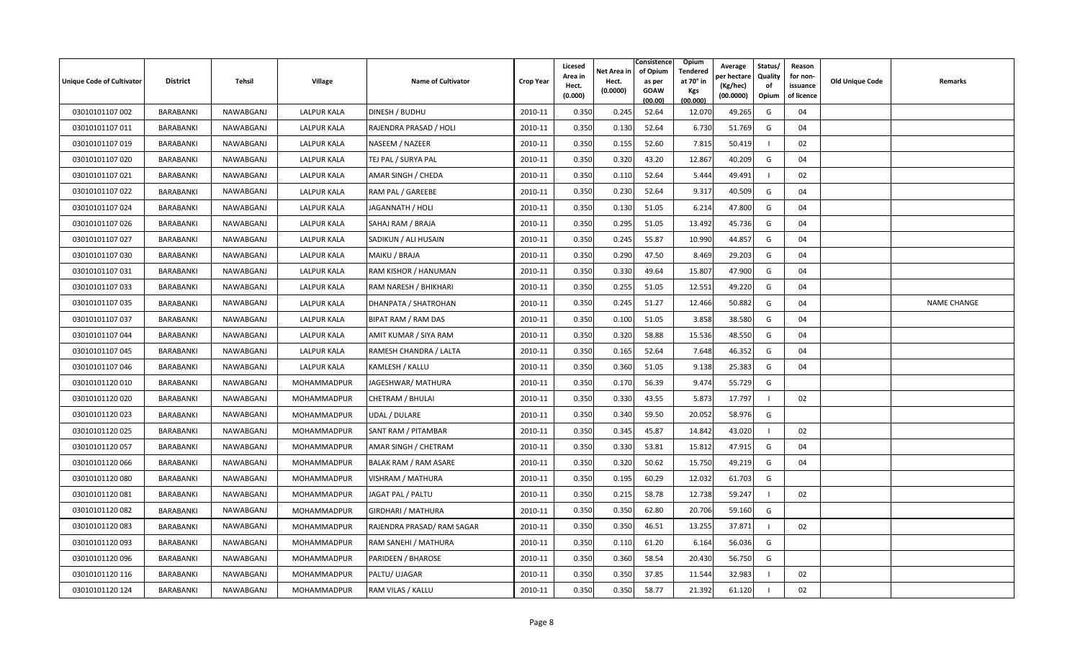| <b>Unique Code of Cultivator</b> | <b>District</b>  | Tehsil    | <b>Village</b>     | <b>Name of Cultivator</b>    | <b>Crop Year</b> | Licesed<br>Area in<br>Hect.<br>(0.000) | Net Area in<br>Hect.<br>(0.0000) | Consistence<br>of Opium<br>as per<br><b>GOAW</b><br>(00.00) | Opium<br>Tendered<br>at 70° in<br><b>Kgs</b><br>(00.000) | Average<br>วer hectarง<br>(Kg/hec)<br>(00.0000) | Status/<br>Quality<br>of<br>Opium | Reason<br>for non-<br>issuance<br>of licence | <b>Old Unique Code</b> | Remarks            |
|----------------------------------|------------------|-----------|--------------------|------------------------------|------------------|----------------------------------------|----------------------------------|-------------------------------------------------------------|----------------------------------------------------------|-------------------------------------------------|-----------------------------------|----------------------------------------------|------------------------|--------------------|
| 03010101107 002                  | BARABANKI        | NAWABGANJ | <b>LALPUR KALA</b> | DINESH / BUDHU               | 2010-11          | 0.350                                  | 0.245                            | 52.64                                                       | 12.070                                                   | 49.265                                          | G                                 | 04                                           |                        |                    |
| 03010101107 011                  | BARABANKI        | NAWABGANJ | <b>LALPUR KALA</b> | RAJENDRA PRASAD / HOLI       | 2010-11          | 0.350                                  | 0.130                            | 52.64                                                       | 6.730                                                    | 51.769                                          | G                                 | 04                                           |                        |                    |
| 03010101107 019                  | BARABANKI        | NAWABGANJ | <b>LALPUR KALA</b> | NASEEM / NAZEER              | 2010-11          | 0.350                                  | 0.155                            | 52.60                                                       | 7.815                                                    | 50.419                                          | - 1                               | 02                                           |                        |                    |
| 03010101107 020                  | BARABANKI        | NAWABGANJ | LALPUR KALA        | TEJ PAL / SURYA PAL          | 2010-11          | 0.350                                  | 0.320                            | 43.20                                                       | 12.867                                                   | 40.209                                          | G                                 | 04                                           |                        |                    |
| 03010101107 021                  | BARABANKI        | NAWABGANJ | LALPUR KALA        | AMAR SINGH / CHEDA           | 2010-11          | 0.350                                  | 0.110                            | 52.64                                                       | 5.444                                                    | 49.491                                          |                                   | 02                                           |                        |                    |
| 03010101107 022                  | BARABANKI        | NAWABGANJ | <b>LALPUR KALA</b> | RAM PAL / GAREEBE            | 2010-11          | 0.350                                  | 0.230                            | 52.64                                                       | 9.317                                                    | 40.509                                          | G                                 | 04                                           |                        |                    |
| 03010101107024                   | BARABANKI        | NAWABGANJ | LALPUR KALA        | JAGANNATH / HOLI             | 2010-11          | 0.350                                  | 0.130                            | 51.05                                                       | 6.214                                                    | 47.800                                          | G                                 | 04                                           |                        |                    |
| 03010101107026                   | BARABANKI        | NAWABGANJ | <b>LALPUR KALA</b> | SAHAJ RAM / BRAJA            | 2010-11          | 0.350                                  | 0.295                            | 51.05                                                       | 13.492                                                   | 45.736                                          | G                                 | 04                                           |                        |                    |
| 03010101107 027                  | BARABANKI        | NAWABGANJ | LALPUR KALA        | SADIKUN / ALI HUSAIN         | 2010-11          | 0.350                                  | 0.245                            | 55.87                                                       | 10.990                                                   | 44.857                                          | G                                 | 04                                           |                        |                    |
| 03010101107 030                  | BARABANKI        | NAWABGANJ | LALPUR KALA        | MAIKU / BRAJA                | 2010-11          | 0.350                                  | 0.290                            | 47.50                                                       | 8.469                                                    | 29.203                                          | G                                 | 04                                           |                        |                    |
| 03010101107 031                  | BARABANKI        | NAWABGANJ | <b>LALPUR KALA</b> | RAM KISHOR / HANUMAN         | 2010-11          | 0.350                                  | 0.330                            | 49.64                                                       | 15.807                                                   | 47.900                                          | G                                 | 04                                           |                        |                    |
| 03010101107 033                  | BARABANKI        | NAWABGANJ | LALPUR KALA        | RAM NARESH / BHIKHARI        | 2010-11          | 0.350                                  | 0.255                            | 51.05                                                       | 12.551                                                   | 49.220                                          | G                                 | 04                                           |                        |                    |
| 03010101107 035                  | BARABANKI        | NAWABGANJ | <b>LALPUR KALA</b> | DHANPATA / SHATROHAN         | 2010-11          | 0.350                                  | 0.245                            | 51.27                                                       | 12.466                                                   | 50.882                                          | G                                 | 04                                           |                        | <b>NAME CHANGE</b> |
| 03010101107 037                  | BARABANKI        | NAWABGANJ | <b>LALPUR KALA</b> | BIPAT RAM / RAM DAS          | 2010-11          | 0.350                                  | 0.100                            | 51.05                                                       | 3.858                                                    | 38.580                                          | G                                 | 04                                           |                        |                    |
| 03010101107044                   | BARABANKI        | NAWABGANJ | <b>LALPUR KALA</b> | AMIT KUMAR / SIYA RAM        | 2010-11          | 0.350                                  | 0.320                            | 58.88                                                       | 15.536                                                   | 48.550                                          | G                                 | 04                                           |                        |                    |
| 03010101107 045                  | BARABANKI        | NAWABGANJ | LALPUR KALA        | RAMESH CHANDRA / LALTA       | 2010-11          | 0.350                                  | 0.165                            | 52.64                                                       | 7.648                                                    | 46.352                                          | G                                 | 04                                           |                        |                    |
| 03010101107046                   | BARABANKI        | NAWABGANJ | LALPUR KALA        | KAMLESH / KALLU              | 2010-11          | 0.350                                  | 0.360                            | 51.05                                                       | 9.138                                                    | 25.383                                          | G                                 | 04                                           |                        |                    |
| 03010101120 010                  | BARABANKI        | NAWABGANJ | MOHAMMADPUR        | JAGESHWAR/ MATHURA           | 2010-11          | 0.350                                  | 0.170                            | 56.39                                                       | 9.474                                                    | 55.729                                          | G                                 |                                              |                        |                    |
| 03010101120020                   | BARABANKI        | NAWABGANJ | MOHAMMADPUR        | CHETRAM / BHULAI             | 2010-11          | 0.350                                  | 0.330                            | 43.55                                                       | 5.873                                                    | 17.797                                          | $\overline{1}$                    | 02                                           |                        |                    |
| 03010101120023                   | BARABANKI        | NAWABGANJ | MOHAMMADPUR        | UDAL / DULARE                | 2010-11          | 0.350                                  | 0.340                            | 59.50                                                       | 20.052                                                   | 58.976                                          | G                                 |                                              |                        |                    |
| 03010101120025                   | BARABANKI        | NAWABGANJ | MOHAMMADPUR        | SANT RAM / PITAMBAR          | 2010-11          | 0.350                                  | 0.345                            | 45.87                                                       | 14.842                                                   | 43.020                                          |                                   | 02                                           |                        |                    |
| 03010101120057                   | <b>BARABANKI</b> | NAWABGANJ | MOHAMMADPUR        | AMAR SINGH / CHETRAM         | 2010-11          | 0.350                                  | 0.330                            | 53.81                                                       | 15.812                                                   | 47.915                                          | G                                 | 04                                           |                        |                    |
| 03010101120066                   | BARABANKI        | NAWABGANJ | MOHAMMADPUR        | <b>BALAK RAM / RAM ASARE</b> | 2010-11          | 0.350                                  | 0.320                            | 50.62                                                       | 15.750                                                   | 49.219                                          | G                                 | 04                                           |                        |                    |
| 03010101120080                   | BARABANKI        | NAWABGANJ | MOHAMMADPUR        | VISHRAM / MATHURA            | 2010-11          | 0.350                                  | 0.195                            | 60.29                                                       | 12.032                                                   | 61.703                                          | G                                 |                                              |                        |                    |
| 03010101120081                   | BARABANKI        | NAWABGANJ | MOHAMMADPUR        | JAGAT PAL / PALTU            | 2010-11          | 0.350                                  | 0.215                            | 58.78                                                       | 12.738                                                   | 59.247                                          |                                   | 02                                           |                        |                    |
| 03010101120082                   | BARABANKI        | NAWABGANJ | MOHAMMADPUR        | GIRDHARI / MATHURA           | 2010-11          | 0.350                                  | 0.350                            | 62.80                                                       | 20.706                                                   | 59.160                                          | G                                 |                                              |                        |                    |
| 03010101120083                   | BARABANKI        | NAWABGANJ | MOHAMMADPUR        | RAJENDRA PRASAD/ RAM SAGAR   | 2010-11          | 0.350                                  | 0.350                            | 46.51                                                       | 13.255                                                   | 37.871                                          | - 1                               | 02                                           |                        |                    |
| 03010101120093                   | BARABANKI        | NAWABGANJ | MOHAMMADPUR        | RAM SANEHI / MATHURA         | 2010-11          | 0.350                                  | 0.110                            | 61.20                                                       | 6.164                                                    | 56.036                                          | G                                 |                                              |                        |                    |
| 03010101120096                   | BARABANKI        | NAWABGANJ | MOHAMMADPUR        | PARIDEEN / BHAROSE           | 2010-11          | 0.350                                  | 0.360                            | 58.54                                                       | 20.430                                                   | 56.750                                          | G                                 |                                              |                        |                    |
| 03010101120 116                  | BARABANKI        | NAWABGANJ | MOHAMMADPUR        | PALTU/ UJAGAR                | 2010-11          | 0.350                                  | 0.350                            | 37.85                                                       | 11.544                                                   | 32.983                                          |                                   | 02                                           |                        |                    |
| 03010101120 124                  | BARABANKI        | NAWABGANJ | MOHAMMADPUR        | RAM VILAS / KALLU            | 2010-11          | 0.350                                  | 0.350                            | 58.77                                                       | 21.392                                                   | 61.120                                          |                                   | 02                                           |                        |                    |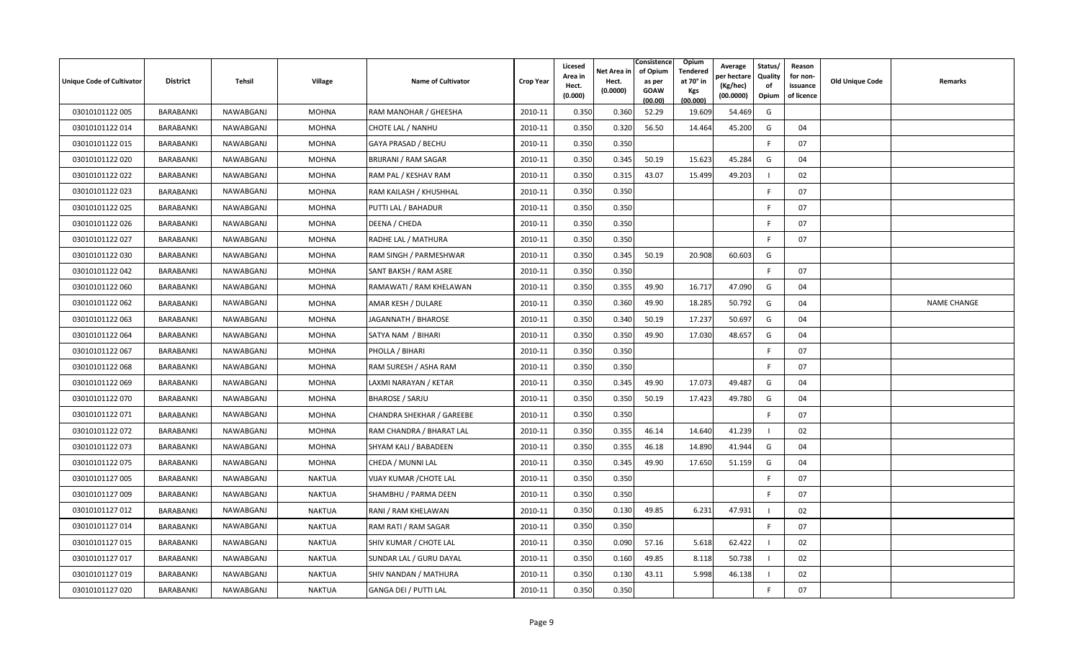| Unique Code of Cultivator | <b>District</b>  | Tehsil    | Village       | <b>Name of Cultivator</b>        | <b>Crop Year</b> | Licesed<br>Area in<br>Hect.<br>(0.000) | Net Area in<br>Hect.<br>(0.0000) | Consistence<br>of Opium<br>as per<br><b>GOAW</b><br>(00.00) | Opium<br><b>Tendered</b><br>at 70° in<br>Kgs<br>(00.000) | Average<br>oer hectare<br>(Kg/hec)<br>(00.0000) | Status/<br>Quality<br>of<br>Opium | Reason<br>for non-<br>issuance<br>of licence | <b>Old Unique Code</b> | Remarks            |
|---------------------------|------------------|-----------|---------------|----------------------------------|------------------|----------------------------------------|----------------------------------|-------------------------------------------------------------|----------------------------------------------------------|-------------------------------------------------|-----------------------------------|----------------------------------------------|------------------------|--------------------|
| 03010101122 005           | BARABANKI        | NAWABGANJ | <b>MOHNA</b>  | RAM MANOHAR / GHEESHA            | 2010-11          | 0.350                                  | 0.360                            | 52.29                                                       | 19.609                                                   | 54.469                                          | G                                 |                                              |                        |                    |
| 03010101122014            | BARABANKI        | NAWABGANJ | <b>MOHNA</b>  | CHOTE LAL / NANHU                | 2010-11          | 0.350                                  | 0.320                            | 56.50                                                       | 14.464                                                   | 45.200                                          | G                                 | 04                                           |                        |                    |
| 03010101122 015           | BARABANKI        | NAWABGANJ | <b>MOHNA</b>  | GAYA PRASAD / BECHU              | 2010-11          | 0.350                                  | 0.350                            |                                                             |                                                          |                                                 | F.                                | 07                                           |                        |                    |
| 03010101122 020           | BARABANKI        | NAWABGANJ | <b>MOHNA</b>  | BRIJRANI / RAM SAGAR             | 2010-11          | 0.350                                  | 0.345                            | 50.19                                                       | 15.623                                                   | 45.284                                          | G                                 | 04                                           |                        |                    |
| 03010101122 022           | BARABANKI        | NAWABGANJ | <b>MOHNA</b>  | RAM PAL / KESHAV RAM             | 2010-11          | 0.350                                  | 0.315                            | 43.07                                                       | 15.499                                                   | 49.203                                          |                                   | 02                                           |                        |                    |
| 03010101122 023           | BARABANKI        | NAWABGANJ | <b>MOHNA</b>  | RAM KAILASH / KHUSHHAL           | 2010-11          | 0.350                                  | 0.350                            |                                                             |                                                          |                                                 | F                                 | 07                                           |                        |                    |
| 03010101122 025           | BARABANKI        | NAWABGANJ | <b>MOHNA</b>  | PUTTI LAL / BAHADUR              | 2010-11          | 0.350                                  | 0.350                            |                                                             |                                                          |                                                 | -F                                | 07                                           |                        |                    |
| 03010101122 026           | BARABANKI        | NAWABGANJ | <b>MOHNA</b>  | DEENA / CHEDA                    | 2010-11          | 0.350                                  | 0.350                            |                                                             |                                                          |                                                 | F.                                | 07                                           |                        |                    |
| 03010101122 027           | BARABANKI        | NAWABGANJ | <b>MOHNA</b>  | RADHE LAL / MATHURA              | 2010-11          | 0.350                                  | 0.350                            |                                                             |                                                          |                                                 | F                                 | 07                                           |                        |                    |
| 03010101122 030           | BARABANKI        | NAWABGANJ | <b>MOHNA</b>  | RAM SINGH / PARMESHWAR           | 2010-11          | 0.350                                  | 0.345                            | 50.19                                                       | 20.908                                                   | 60.603                                          | G                                 |                                              |                        |                    |
| 03010101122 042           | BARABANKI        | NAWABGANJ | <b>MOHNA</b>  | SANT BAKSH / RAM ASRE            | 2010-11          | 0.350                                  | 0.350                            |                                                             |                                                          |                                                 | F.                                | 07                                           |                        |                    |
| 03010101122 060           | BARABANKI        | NAWABGANJ | <b>MOHNA</b>  | RAMAWATI / RAM KHELAWAN          | 2010-11          | 0.350                                  | 0.355                            | 49.90                                                       | 16.717                                                   | 47.090                                          | G                                 | 04                                           |                        |                    |
| 03010101122 062           | BARABANKI        | NAWABGANJ | <b>MOHNA</b>  | AMAR KESH / DULARE               | 2010-11          | 0.350                                  | 0.360                            | 49.90                                                       | 18.285                                                   | 50.792                                          | G                                 | 04                                           |                        | <b>NAME CHANGE</b> |
| 03010101122 063           | BARABANKI        | NAWABGANJ | <b>MOHNA</b>  | JAGANNATH / BHAROSE              | 2010-11          | 0.350                                  | 0.340                            | 50.19                                                       | 17.237                                                   | 50.697                                          | G                                 | 04                                           |                        |                    |
| 03010101122 064           | BARABANKI        | NAWABGANJ | <b>MOHNA</b>  | SATYA NAM / BIHARI               | 2010-11          | 0.350                                  | 0.350                            | 49.90                                                       | 17.030                                                   | 48.657                                          | G                                 | 04                                           |                        |                    |
| 03010101122 067           | BARABANKI        | NAWABGANJ | <b>MOHNA</b>  | PHOLLA / BIHARI                  | 2010-11          | 0.350                                  | 0.350                            |                                                             |                                                          |                                                 | F                                 | 07                                           |                        |                    |
| 03010101122068            | <b>BARABANKI</b> | NAWABGANJ | <b>MOHNA</b>  | RAM SURESH / ASHA RAM            | 2010-11          | 0.350                                  | 0.350                            |                                                             |                                                          |                                                 | E                                 | 07                                           |                        |                    |
| 03010101122069            | BARABANKI        | NAWABGANJ | <b>MOHNA</b>  | LAXMI NARAYAN / KETAR            | 2010-11          | 0.350                                  | 0.345                            | 49.90                                                       | 17.073                                                   | 49.487                                          | G                                 | 04                                           |                        |                    |
| 03010101122 070           | BARABANKI        | NAWABGANJ | <b>MOHNA</b>  | <b>BHAROSE / SARJU</b>           | 2010-11          | 0.350                                  | 0.350                            | 50.19                                                       | 17.423                                                   | 49.780                                          | G                                 | 04                                           |                        |                    |
| 03010101122 071           | BARABANKI        | NAWABGANJ | <b>MOHNA</b>  | <b>CHANDRA SHEKHAR / GAREEBE</b> | 2010-11          | 0.350                                  | 0.350                            |                                                             |                                                          |                                                 | E                                 | 07                                           |                        |                    |
| 03010101122 072           | BARABANKI        | NAWABGANJ | <b>MOHNA</b>  | RAM CHANDRA / BHARAT LAL         | 2010-11          | 0.350                                  | 0.355                            | 46.14                                                       | 14.640                                                   | 41.239                                          | - 1                               | 02                                           |                        |                    |
| 03010101122 073           | BARABANKI        | NAWABGANJ | <b>MOHNA</b>  | SHYAM KALI / BABADEEN            | 2010-11          | 0.350                                  | 0.355                            | 46.18                                                       | 14.890                                                   | 41.944                                          | G                                 | 04                                           |                        |                    |
| 03010101122 075           | BARABANKI        | NAWABGANJ | <b>MOHNA</b>  | CHEDA / MUNNI LAL                | 2010-11          | 0.350                                  | 0.345                            | 49.90                                                       | 17.650                                                   | 51.159                                          | G                                 | 04                                           |                        |                    |
| 03010101127 005           | BARABANKI        | NAWABGANJ | <b>NAKTUA</b> | <b>VIJAY KUMAR / CHOTE LAL</b>   | 2010-11          | 0.350                                  | 0.350                            |                                                             |                                                          |                                                 | -F                                | 07                                           |                        |                    |
| 03010101127 009           | BARABANKI        | NAWABGANJ | <b>NAKTUA</b> | SHAMBHU / PARMA DEEN             | 2010-11          | 0.350                                  | 0.350                            |                                                             |                                                          |                                                 | E                                 | 07                                           |                        |                    |
| 03010101127 012           | BARABANKI        | NAWABGANJ | <b>NAKTUA</b> | RANI / RAM KHELAWAN              | 2010-11          | 0.350                                  | 0.130                            | 49.85                                                       | 6.231                                                    | 47.931                                          | $\blacksquare$                    | 02                                           |                        |                    |
| 03010101127014            | BARABANKI        | NAWABGANJ | <b>NAKTUA</b> | RAM RATI / RAM SAGAR             | 2010-11          | 0.350                                  | 0.350                            |                                                             |                                                          |                                                 | F.                                | 07                                           |                        |                    |
| 03010101127 015           | BARABANKI        | NAWABGANJ | <b>NAKTUA</b> | SHIV KUMAR / CHOTE LAL           | 2010-11          | 0.350                                  | 0.090                            | 57.16                                                       | 5.618                                                    | 62.422                                          | - 1                               | 02                                           |                        |                    |
| 03010101127 017           | BARABANKI        | NAWABGANJ | <b>NAKTUA</b> | SUNDAR LAL / GURU DAYAL          | 2010-11          | 0.350                                  | 0.160                            | 49.85                                                       | 8.118                                                    | 50.738                                          | - 1                               | 02                                           |                        |                    |
| 03010101127 019           | BARABANKI        | NAWABGANJ | <b>NAKTUA</b> | SHIV NANDAN / MATHURA            | 2010-11          | 0.350                                  | 0.130                            | 43.11                                                       | 5.998                                                    | 46.138                                          |                                   | 02                                           |                        |                    |
| 03010101127 020           | BARABANKI        | NAWABGANJ | <b>NAKTUA</b> | GANGA DEI / PUTTI LAL            | 2010-11          | 0.350                                  | 0.350                            |                                                             |                                                          |                                                 | F                                 | 07                                           |                        |                    |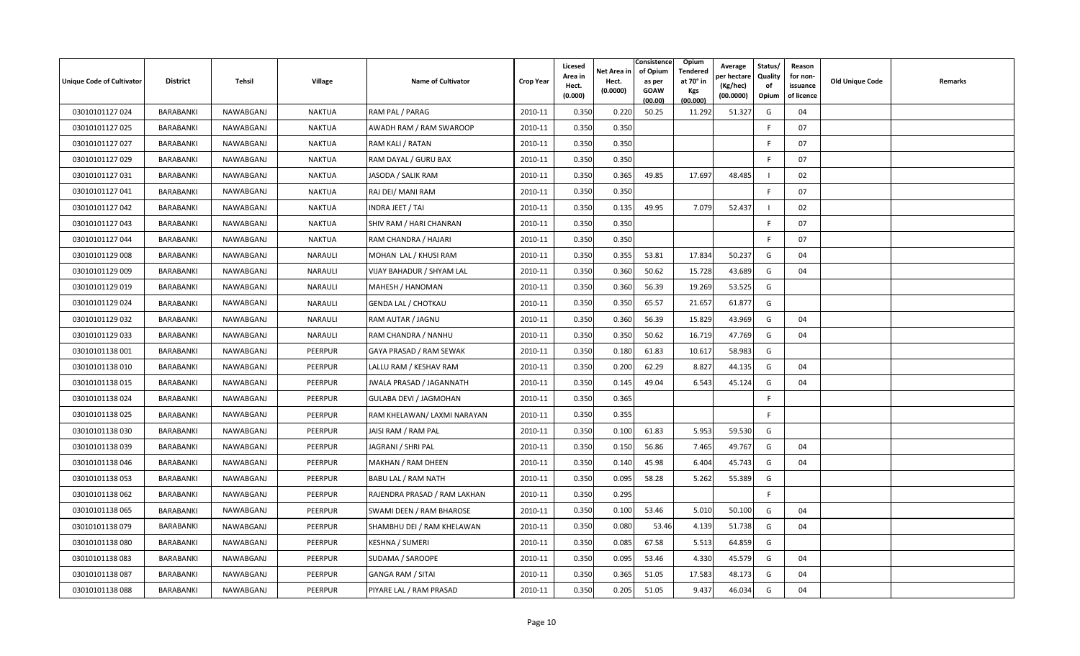| <b>Unique Code of Cultivator</b> | <b>District</b>  | Tehsil    | <b>Village</b> | <b>Name of Cultivator</b>     | <b>Crop Year</b> | Licesed<br>Area in<br>Hect.<br>(0.000) | Net Area in<br>Hect.<br>(0.0000) | Consistence<br>of Opium<br>as per<br><b>GOAW</b><br>(00.00) | Opium<br>Tendered<br>at 70° in<br>Kgs<br>(00.000) | Average<br>er hectar<br>(Kg/hec)<br>(00.0000) | Status/<br>Quality<br>of<br>Opium | Reason<br>for non-<br>issuance<br>of licence | <b>Old Unique Code</b> | Remarks |
|----------------------------------|------------------|-----------|----------------|-------------------------------|------------------|----------------------------------------|----------------------------------|-------------------------------------------------------------|---------------------------------------------------|-----------------------------------------------|-----------------------------------|----------------------------------------------|------------------------|---------|
| 03010101127 024                  | BARABANKI        | NAWABGANJ | <b>NAKTUA</b>  | RAM PAL / PARAG               | 2010-11          | 0.350                                  | 0.220                            | 50.25                                                       | 11.292                                            | 51.327                                        | G                                 | 04                                           |                        |         |
| 03010101127 025                  | BARABANKI        | NAWABGANJ | NAKTUA         | AWADH RAM / RAM SWAROOP       | 2010-11          | 0.350                                  | 0.350                            |                                                             |                                                   |                                               | E                                 | 07                                           |                        |         |
| 03010101127 027                  | BARABANKI        | NAWABGANJ | <b>NAKTUA</b>  | RAM KALI / RATAN              | 2010-11          | 0.350                                  | 0.350                            |                                                             |                                                   |                                               | E                                 | 07                                           |                        |         |
| 03010101127 029                  | BARABANKI        | NAWABGANJ | NAKTUA         | RAM DAYAL / GURU BAX          | 2010-11          | 0.350                                  | 0.350                            |                                                             |                                                   |                                               | -F                                | 07                                           |                        |         |
| 03010101127 031                  | BARABANKI        | NAWABGANJ | <b>NAKTUA</b>  | JASODA / SALIK RAM            | 2010-11          | 0.350                                  | 0.365                            | 49.85                                                       | 17.697                                            | 48.485                                        |                                   | 02                                           |                        |         |
| 03010101127 041                  | BARABANKI        | NAWABGANJ | <b>NAKTUA</b>  | RAJ DEI/MANI RAM              | 2010-11          | 0.350                                  | 0.350                            |                                                             |                                                   |                                               | F                                 | 07                                           |                        |         |
| 03010101127042                   | BARABANKI        | NAWABGANJ | <b>NAKTUA</b>  | INDRA JEET / TAI              | 2010-11          | 0.350                                  | 0.135                            | 49.95                                                       | 7.079                                             | 52.437                                        |                                   | 02                                           |                        |         |
| 03010101127 043                  | BARABANKI        | NAWABGANJ | <b>NAKTUA</b>  | SHIV RAM / HARI CHANRAN       | 2010-11          | 0.350                                  | 0.350                            |                                                             |                                                   |                                               | F.                                | 07                                           |                        |         |
| 03010101127044                   | BARABANKI        | NAWABGANJ | NAKTUA         | RAM CHANDRA / HAJARI          | 2010-11          | 0.350                                  | 0.350                            |                                                             |                                                   |                                               | -F                                | 07                                           |                        |         |
| 03010101129 008                  | <b>BARABANKI</b> | NAWABGANJ | <b>NARAULI</b> | MOHAN LAL / KHUSI RAM         | 2010-11          | 0.350                                  | 0.355                            | 53.81                                                       | 17.834                                            | 50.237                                        | G                                 | 04                                           |                        |         |
| 03010101129 009                  | BARABANKI        | NAWABGANJ | NARAULI        | VIJAY BAHADUR / SHYAM LAL     | 2010-11          | 0.350                                  | 0.360                            | 50.62                                                       | 15.728                                            | 43.689                                        | G                                 | 04                                           |                        |         |
| 03010101129 019                  | BARABANKI        | NAWABGANJ | NARAULI        | MAHESH / HANOMAN              | 2010-11          | 0.350                                  | 0.360                            | 56.39                                                       | 19.269                                            | 53.525                                        | G                                 |                                              |                        |         |
| 03010101129 024                  | BARABANKI        | NAWABGANJ | <b>NARAULI</b> | <b>GENDA LAL / CHOTKAU</b>    | 2010-11          | 0.350                                  | 0.350                            | 65.57                                                       | 21.657                                            | 61.877                                        | G                                 |                                              |                        |         |
| 03010101129 032                  | BARABANKI        | NAWABGANJ | NARAULI        | RAM AUTAR / JAGNU             | 2010-11          | 0.350                                  | 0.360                            | 56.39                                                       | 15.829                                            | 43.969                                        | G                                 | 04                                           |                        |         |
| 03010101129 033                  | BARABANKI        | NAWABGANJ | <b>NARAULI</b> | RAM CHANDRA / NANHU           | 2010-11          | 0.350                                  | 0.350                            | 50.62                                                       | 16.719                                            | 47.769                                        | G                                 | 04                                           |                        |         |
| 03010101138 001                  | BARABANKI        | NAWABGANJ | PEERPUR        | GAYA PRASAD / RAM SEWAK       | 2010-11          | 0.350                                  | 0.180                            | 61.83                                                       | 10.617                                            | 58.983                                        | G                                 |                                              |                        |         |
| 03010101138010                   | BARABANKI        | NAWABGANJ | PEERPUR        | LALLU RAM / KESHAV RAM        | 2010-11          | 0.350                                  | 0.200                            | 62.29                                                       | 8.827                                             | 44.135                                        | G                                 | 04                                           |                        |         |
| 03010101138 015                  | BARABANKI        | NAWABGANJ | PEERPUR        | JWALA PRASAD / JAGANNATH      | 2010-11          | 0.350                                  | 0.145                            | 49.04                                                       | 6.543                                             | 45.124                                        | G                                 | 04                                           |                        |         |
| 03010101138024                   | BARABANKI        | NAWABGANJ | PEERPUR        | <b>GULABA DEVI / JAGMOHAN</b> | 2010-11          | 0.350                                  | 0.365                            |                                                             |                                                   |                                               | -F                                |                                              |                        |         |
| 03010101138025                   | <b>BARABANKI</b> | NAWABGANJ | PEERPUR        | RAM KHELAWAN/ LAXMI NARAYAN   | 2010-11          | 0.350                                  | 0.355                            |                                                             |                                                   |                                               | E                                 |                                              |                        |         |
| 03010101138 030                  | BARABANKI        | NAWABGANJ | PEERPUR        | JAISI RAM / RAM PAL           | 2010-11          | 0.350                                  | 0.100                            | 61.83                                                       | 5.953                                             | 59.530                                        | G                                 |                                              |                        |         |
| 03010101138039                   | BARABANKI        | NAWABGANJ | PEERPUR        | JAGRANI / SHRI PAL            | 2010-11          | 0.350                                  | 0.150                            | 56.86                                                       | 7.465                                             | 49.767                                        | G                                 | 04                                           |                        |         |
| 03010101138046                   | BARABANKI        | NAWABGANJ | PEERPUR        | MAKHAN / RAM DHEEN            | 2010-11          | 0.350                                  | 0.140                            | 45.98                                                       | 6.404                                             | 45.743                                        | G                                 | 04                                           |                        |         |
| 03010101138 053                  | BARABANKI        | NAWABGANJ | PEERPUR        | BABU LAL / RAM NATH           | 2010-11          | 0.350                                  | 0.095                            | 58.28                                                       | 5.262                                             | 55.389                                        | G                                 |                                              |                        |         |
| 03010101138 062                  | <b>BARABANKI</b> | NAWABGANJ | PEERPUR        | RAJENDRA PRASAD / RAM LAKHAN  | 2010-11          | 0.350                                  | 0.295                            |                                                             |                                                   |                                               | E                                 |                                              |                        |         |
| 03010101138 065                  | BARABANKI        | NAWABGANJ | <b>PEERPUR</b> | SWAMI DEEN / RAM BHAROSE      | 2010-11          | 0.350                                  | 0.100                            | 53.46                                                       | 5.010                                             | 50.100                                        | G                                 | 04                                           |                        |         |
| 03010101138 079                  | BARABANKI        | NAWABGANJ | PEERPUR        | SHAMBHU DEI / RAM KHELAWAN    | 2010-11          | 0.350                                  | 0.080                            | 53.46                                                       | 4.139                                             | 51.738                                        | G                                 | 04                                           |                        |         |
| 03010101138080                   | BARABANKI        | NAWABGANJ | PEERPUR        | <b>KESHNA / SUMERI</b>        | 2010-11          | 0.350                                  | 0.085                            | 67.58                                                       | 5.513                                             | 64.859                                        | G                                 |                                              |                        |         |
| 03010101138 083                  | BARABANKI        | NAWABGANJ | PEERPUR        | SUDAMA / SAROOPE              | 2010-11          | 0.350                                  | 0.095                            | 53.46                                                       | 4.330                                             | 45.579                                        | G                                 | 04                                           |                        |         |
| 03010101138087                   | BARABANKI        | NAWABGANJ | PEERPUR        | <b>GANGA RAM / SITAI</b>      | 2010-11          | 0.350                                  | 0.365                            | 51.05                                                       | 17.583                                            | 48.173                                        | G                                 | 04                                           |                        |         |
| 03010101138088                   | BARABANKI        | NAWABGANJ | <b>PEERPUR</b> | PIYARE LAL / RAM PRASAD       | 2010-11          | 0.350                                  | 0.205                            | 51.05                                                       | 9.437                                             | 46.034                                        | G                                 | 04                                           |                        |         |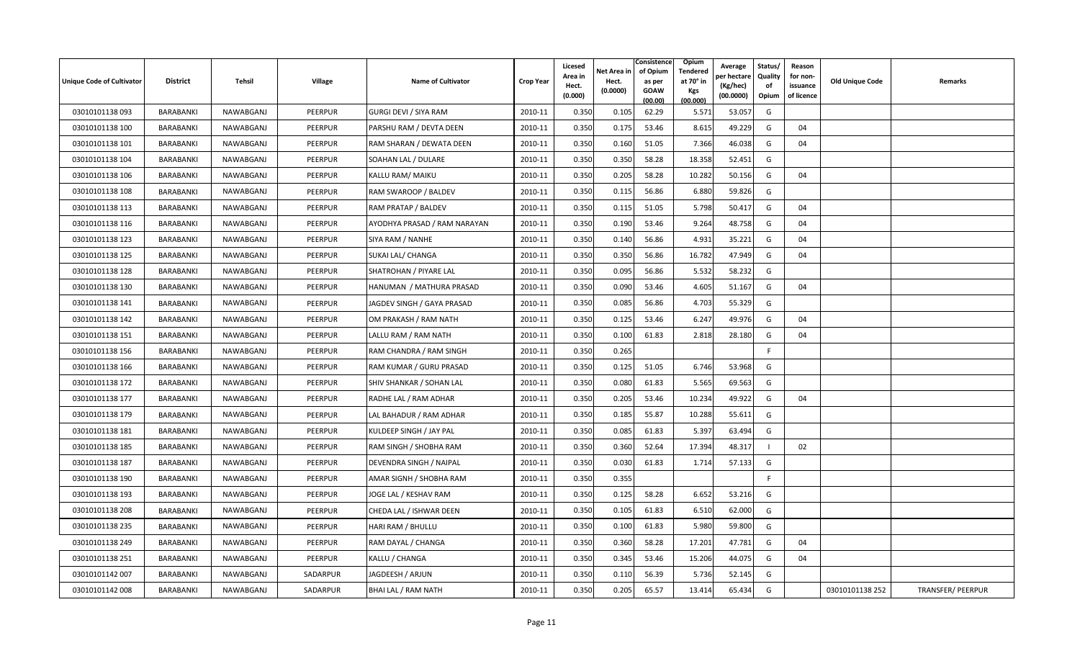| Unique Code of Cultivator | <b>District</b>  | Tehsil    | <b>Village</b> | <b>Name of Cultivator</b>    | <b>Crop Year</b> | Licesed<br>Area in<br>Hect.<br>(0.000) | Net Area in<br>Hect.<br>(0.0000) | Consistence<br>of Opium<br>as per<br><b>GOAW</b><br>(00.00) | <b>Opium</b><br>Tendered<br>at 70 $^{\circ}$ in<br><b>Kgs</b><br>(00.000) | Average<br>วer hectarง<br>(Kg/hec)<br>(00.0000) | Status/<br>Quality<br>of<br>Opium | Reason<br>for non-<br>issuance<br>of licence | <b>Old Unique Code</b> | Remarks           |
|---------------------------|------------------|-----------|----------------|------------------------------|------------------|----------------------------------------|----------------------------------|-------------------------------------------------------------|---------------------------------------------------------------------------|-------------------------------------------------|-----------------------------------|----------------------------------------------|------------------------|-------------------|
| 03010101138093            | BARABANKI        | NAWABGANJ | <b>PEERPUR</b> | GURGI DEVI / SIYA RAM        | 2010-11          | 0.350                                  | 0.105                            | 62.29                                                       | 5.571                                                                     | 53.057                                          | G                                 |                                              |                        |                   |
| 03010101138 100           | BARABANKI        | NAWABGANJ | PEERPUR        | PARSHU RAM / DEVTA DEEN      | 2010-11          | 0.350                                  | 0.175                            | 53.46                                                       | 8.615                                                                     | 49.229                                          | G                                 | 04                                           |                        |                   |
| 03010101138 101           | BARABANKI        | NAWABGANJ | PEERPUR        | RAM SHARAN / DEWATA DEEN     | 2010-11          | 0.350                                  | 0.160                            | 51.05                                                       | 7.366                                                                     | 46.038                                          | G                                 | 04                                           |                        |                   |
| 03010101138 104           | BARABANKI        | NAWABGANJ | <b>PEERPUR</b> | SOAHAN LAL / DULARE          | 2010-11          | 0.350                                  | 0.350                            | 58.28                                                       | 18.358                                                                    | 52.451                                          | G                                 |                                              |                        |                   |
| 03010101138 106           | BARABANKI        | NAWABGANJ | PEERPUR        | KALLU RAM/ MAIKU             | 2010-11          | 0.350                                  | 0.205                            | 58.28                                                       | 10.282                                                                    | 50.156                                          | G                                 | 04                                           |                        |                   |
| 03010101138 108           | BARABANKI        | NAWABGANJ | <b>PEERPUR</b> | RAM SWAROOP / BALDEV         | 2010-11          | 0.350                                  | 0.115                            | 56.86                                                       | 6.880                                                                     | 59.826                                          | G                                 |                                              |                        |                   |
| 03010101138 113           | <b>BARABANKI</b> | NAWABGANJ | PEERPUR        | RAM PRATAP / BALDEV          | 2010-11          | 0.350                                  | 0.115                            | 51.05                                                       | 5.798                                                                     | 50.417                                          | G                                 | 04                                           |                        |                   |
| 03010101138 116           | BARABANKI        | NAWABGANJ | PEERPUR        | AYODHYA PRASAD / RAM NARAYAN | 2010-11          | 0.350                                  | 0.190                            | 53.46                                                       | 9.264                                                                     | 48.758                                          | G                                 | 04                                           |                        |                   |
| 03010101138 123           | BARABANKI        | NAWABGANJ | <b>PEERPUR</b> | SIYA RAM / NANHE             | 2010-11          | 0.350                                  | 0.140                            | 56.86                                                       | 4.931                                                                     | 35.221                                          | G                                 | 04                                           |                        |                   |
| 03010101138 125           | BARABANKI        | NAWABGANJ | PEERPUR        | SUKAI LAL/ CHANGA            | 2010-11          | 0.350                                  | 0.350                            | 56.86                                                       | 16.782                                                                    | 47.949                                          | G                                 | 04                                           |                        |                   |
| 03010101138 128           | BARABANKI        | NAWABGANJ | PEERPUR        | SHATROHAN / PIYARE LAL       | 2010-11          | 0.350                                  | 0.095                            | 56.86                                                       | 5.532                                                                     | 58.232                                          | G                                 |                                              |                        |                   |
| 03010101138 130           | BARABANKI        | NAWABGANJ | PEERPUR        | HANUMAN / MATHURA PRASAD     | 2010-11          | 0.350                                  | 0.090                            | 53.46                                                       | 4.605                                                                     | 51.167                                          | G                                 | 04                                           |                        |                   |
| 03010101138 141           | BARABANKI        | NAWABGANJ | <b>PEERPUR</b> | JAGDEV SINGH / GAYA PRASAD   | 2010-11          | 0.350                                  | 0.085                            | 56.86                                                       | 4.703                                                                     | 55.329                                          | G                                 |                                              |                        |                   |
| 03010101138 142           | BARABANKI        | NAWABGANJ | <b>PEERPUR</b> | OM PRAKASH / RAM NATH        | 2010-11          | 0.350                                  | 0.125                            | 53.46                                                       | 6.247                                                                     | 49.976                                          | G                                 | 04                                           |                        |                   |
| 03010101138 151           | BARABANKI        | NAWABGANJ | PEERPUR        | LALLU RAM / RAM NATH         | 2010-11          | 0.350                                  | 0.100                            | 61.83                                                       | 2.818                                                                     | 28.180                                          | G                                 | 04                                           |                        |                   |
| 03010101138 156           | BARABANKI        | NAWABGANJ | PEERPUR        | RAM CHANDRA / RAM SINGH      | 2010-11          | 0.350                                  | 0.265                            |                                                             |                                                                           |                                                 | E                                 |                                              |                        |                   |
| 03010101138 166           | BARABANKI        | NAWABGANJ | PEERPUR        | RAM KUMAR / GURU PRASAD      | 2010-11          | 0.350                                  | 0.125                            | 51.05                                                       | 6.746                                                                     | 53.968                                          | G                                 |                                              |                        |                   |
| 03010101138 172           | BARABANKI        | NAWABGANJ | PEERPUR        | SHIV SHANKAR / SOHAN LAL     | 2010-11          | 0.350                                  | 0.080                            | 61.83                                                       | 5.565                                                                     | 69.563                                          | G                                 |                                              |                        |                   |
| 03010101138 177           | BARABANKI        | NAWABGANJ | <b>PEERPUR</b> | RADHE LAL / RAM ADHAR        | 2010-11          | 0.350                                  | 0.205                            | 53.46                                                       | 10.234                                                                    | 49.922                                          | G                                 | 04                                           |                        |                   |
| 03010101138 179           | BARABANKI        | NAWABGANJ | PEERPUR        | LAL BAHADUR / RAM ADHAR      | 2010-11          | 0.350                                  | 0.185                            | 55.87                                                       | 10.288                                                                    | 55.611                                          | G                                 |                                              |                        |                   |
| 03010101138 181           | BARABANKI        | NAWABGANJ | PEERPUR        | KULDEEP SINGH / JAY PAL      | 2010-11          | 0.350                                  | 0.085                            | 61.83                                                       | 5.397                                                                     | 63.494                                          | G                                 |                                              |                        |                   |
| 03010101138 185           | BARABANKI        | NAWABGANJ | PEERPUR        | RAM SINGH / SHOBHA RAM       | 2010-11          | 0.350                                  | 0.360                            | 52.64                                                       | 17.394                                                                    | 48.317                                          |                                   | 02                                           |                        |                   |
| 03010101138 187           | BARABANKI        | NAWABGANJ | PEERPUR        | DEVENDRA SINGH / NAIPAL      | 2010-11          | 0.350                                  | 0.030                            | 61.83                                                       | 1.714                                                                     | 57.133                                          | G                                 |                                              |                        |                   |
| 03010101138 190           | BARABANKI        | NAWABGANJ | <b>PEERPUR</b> | AMAR SIGNH / SHOBHA RAM      | 2010-11          | 0.350                                  | 0.355                            |                                                             |                                                                           |                                                 | F.                                |                                              |                        |                   |
| 03010101138 193           | BARABANKI        | NAWABGANJ | PEERPUR        | JOGE LAL / KESHAV RAM        | 2010-11          | 0.350                                  | 0.125                            | 58.28                                                       | 6.652                                                                     | 53.216                                          | G                                 |                                              |                        |                   |
| 03010101138 208           | BARABANKI        | NAWABGANJ | PEERPUR        | CHEDA LAL / ISHWAR DEEN      | 2010-11          | 0.350                                  | 0.105                            | 61.83                                                       | 6.510                                                                     | 62.000                                          | G                                 |                                              |                        |                   |
| 03010101138 235           | BARABANKI        | NAWABGANJ | PEERPUR        | HARI RAM / BHULLU            | 2010-11          | 0.350                                  | 0.100                            | 61.83                                                       | 5.980                                                                     | 59.800                                          | G                                 |                                              |                        |                   |
| 03010101138 249           | BARABANKI        | NAWABGANJ | PEERPUR        | RAM DAYAL / CHANGA           | 2010-11          | 0.350                                  | 0.360                            | 58.28                                                       | 17.201                                                                    | 47.781                                          | G                                 | 04                                           |                        |                   |
| 03010101138 251           | <b>BARABANKI</b> | NAWABGANJ | PEERPUR        | KALLU / CHANGA               | 2010-11          | 0.350                                  | 0.345                            | 53.46                                                       | 15.206                                                                    | 44.075                                          | G                                 | 04                                           |                        |                   |
| 03010101142 007           | BARABANKI        | NAWABGANJ | SADARPUR       | JAGDEESH / ARJUN             | 2010-11          | 0.350                                  | 0.110                            | 56.39                                                       | 5.736                                                                     | 52.145                                          | G                                 |                                              |                        |                   |
| 03010101142 008           | BARABANKI        | NAWABGANJ | SADARPUR       | BHAI LAL / RAM NATH          | 2010-11          | 0.350                                  | 0.205                            | 65.57                                                       | 13.414                                                                    | 65.434                                          | G                                 |                                              | 03010101138 252        | TRANSFER/ PEERPUR |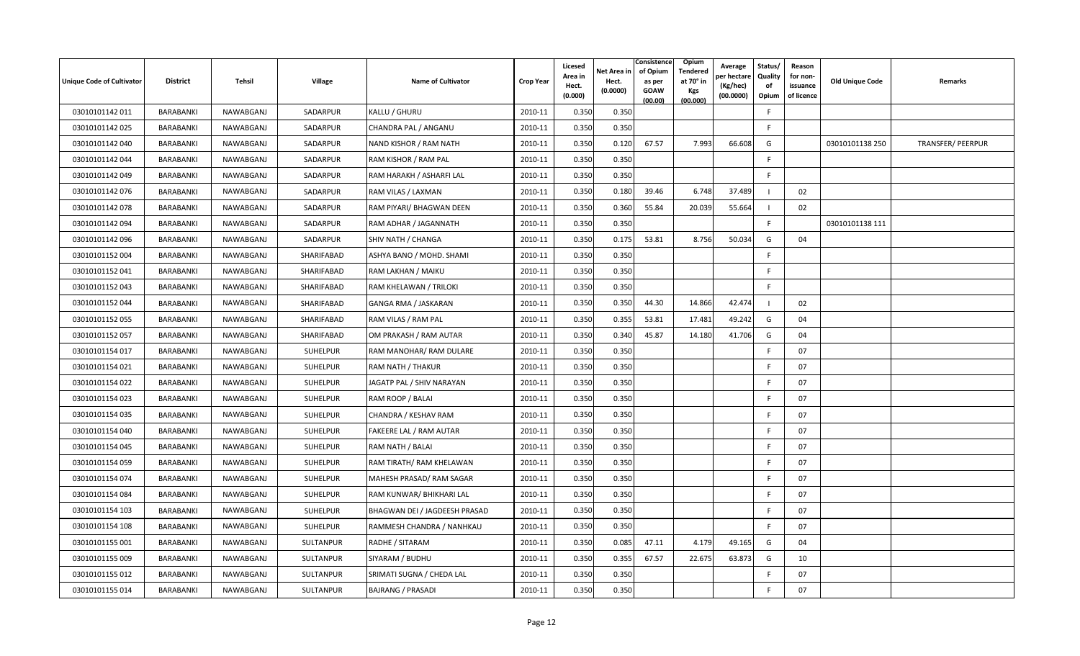| <b>Unique Code of Cultivator</b> | <b>District</b> | Tehsil    | Village         | <b>Name of Cultivator</b>     | <b>Crop Year</b> | Licesed<br>Area in<br>Hect.<br>(0.000) | Net Area in<br>Hect.<br>(0.0000) | Consistence<br>of Opium<br>as per<br><b>GOAW</b><br>(00.00) | Opium<br>Tendered<br>at 70° in<br>Kgs<br>(00.000) | Average<br>oer hectare<br>(Kg/hec)<br>(00.0000) | Status/<br>Quality<br>of<br>Opium | Reason<br>for non-<br>issuance<br>of licence | Old Unique Code | Remarks                  |
|----------------------------------|-----------------|-----------|-----------------|-------------------------------|------------------|----------------------------------------|----------------------------------|-------------------------------------------------------------|---------------------------------------------------|-------------------------------------------------|-----------------------------------|----------------------------------------------|-----------------|--------------------------|
| 03010101142 011                  | BARABANKI       | NAWABGANJ | SADARPUR        | KALLU / GHURU                 | 2010-11          | 0.350                                  | 0.350                            |                                                             |                                                   |                                                 | F                                 |                                              |                 |                          |
| 03010101142 025                  | BARABANKI       | NAWABGANJ | SADARPUR        | CHANDRA PAL / ANGANU          | 2010-11          | 0.350                                  | 0.350                            |                                                             |                                                   |                                                 | F.                                |                                              |                 |                          |
| 03010101142 040                  | BARABANKI       | NAWABGANJ | SADARPUR        | NAND KISHOR / RAM NATH        | 2010-11          | 0.350                                  | 0.120                            | 67.57                                                       | 7.993                                             | 66.608                                          | G                                 |                                              | 03010101138 250 | <b>TRANSFER/ PEERPUR</b> |
| 03010101142 044                  | BARABANKI       | NAWABGANJ | SADARPUR        | RAM KISHOR / RAM PAL          | 2010-11          | 0.350                                  | 0.350                            |                                                             |                                                   |                                                 | E                                 |                                              |                 |                          |
| 03010101142 049                  | BARABANKI       | NAWABGANJ | SADARPUR        | RAM HARAKH / ASHARFI LAL      | 2010-11          | 0.350                                  | 0.350                            |                                                             |                                                   |                                                 | F.                                |                                              |                 |                          |
| 03010101142 076                  | BARABANKI       | NAWABGANJ | SADARPUR        | RAM VILAS / LAXMAN            | 2010-11          | 0.350                                  | 0.180                            | 39.46                                                       | 6.748                                             | 37.489                                          |                                   | 02                                           |                 |                          |
| 03010101142 078                  | BARABANKI       | NAWABGANJ | SADARPUR        | RAM PIYARI/ BHAGWAN DEEN      | 2010-11          | 0.350                                  | 0.360                            | 55.84                                                       | 20.039                                            | 55.664                                          |                                   | 02                                           |                 |                          |
| 03010101142 094                  | BARABANKI       | NAWABGANJ | SADARPUR        | RAM ADHAR / JAGANNATH         | 2010-11          | 0.350                                  | 0.350                            |                                                             |                                                   |                                                 | F.                                |                                              | 03010101138 111 |                          |
| 03010101142096                   | BARABANKI       | NAWABGANJ | SADARPUR        | SHIV NATH / CHANGA            | 2010-11          | 0.350                                  | 0.175                            | 53.81                                                       | 8.756                                             | 50.034                                          | G                                 | 04                                           |                 |                          |
| 03010101152 004                  | BARABANKI       | NAWABGANJ | SHARIFABAD      | ASHYA BANO / MOHD. SHAMI      | 2010-11          | 0.350                                  | 0.350                            |                                                             |                                                   |                                                 | F.                                |                                              |                 |                          |
| 03010101152 041                  | BARABANKI       | NAWABGANJ | SHARIFABAD      | RAM LAKHAN / MAIKU            | 2010-11          | 0.350                                  | 0.350                            |                                                             |                                                   |                                                 | E                                 |                                              |                 |                          |
| 03010101152 043                  | BARABANKI       | NAWABGANJ | SHARIFABAD      | RAM KHELAWAN / TRILOKI        | 2010-11          | 0.350                                  | 0.350                            |                                                             |                                                   |                                                 | F                                 |                                              |                 |                          |
| 03010101152044                   | BARABANKI       | NAWABGANJ | SHARIFABAD      | GANGA RMA / JASKARAN          | 2010-11          | 0.350                                  | 0.350                            | 44.30                                                       | 14.866                                            | 42.474                                          |                                   | 02                                           |                 |                          |
| 03010101152 055                  | BARABANKI       | NAWABGANJ | SHARIFABAD      | RAM VILAS / RAM PAL           | 2010-11          | 0.350                                  | 0.355                            | 53.81                                                       | 17.481                                            | 49.242                                          | G                                 | 04                                           |                 |                          |
| 03010101152 057                  | BARABANKI       | NAWABGANJ | SHARIFABAD      | OM PRAKASH / RAM AUTAR        | 2010-11          | 0.350                                  | 0.340                            | 45.87                                                       | 14.180                                            | 41.706                                          | G                                 | 04                                           |                 |                          |
| 03010101154 017                  | BARABANKI       | NAWABGANJ | SUHELPUR        | RAM MANOHAR/ RAM DULARE       | 2010-11          | 0.350                                  | 0.350                            |                                                             |                                                   |                                                 | F                                 | 07                                           |                 |                          |
| 03010101154 021                  | BARABANKI       | NAWABGANJ | SUHELPUR        | RAM NATH / THAKUR             | 2010-11          | 0.350                                  | 0.350                            |                                                             |                                                   |                                                 | F.                                | 07                                           |                 |                          |
| 03010101154 022                  | BARABANKI       | NAWABGANJ | SUHELPUR        | JAGATP PAL / SHIV NARAYAN     | 2010-11          | 0.350                                  | 0.350                            |                                                             |                                                   |                                                 | F.                                | 07                                           |                 |                          |
| 03010101154 023                  | BARABANKI       | NAWABGANJ | <b>SUHELPUR</b> | RAM ROOP / BALAI              | 2010-11          | 0.350                                  | 0.350                            |                                                             |                                                   |                                                 | F.                                | 07                                           |                 |                          |
| 03010101154 035                  | BARABANKI       | NAWABGANJ | SUHELPUR        | CHANDRA / KESHAV RAM          | 2010-11          | 0.350                                  | 0.350                            |                                                             |                                                   |                                                 | F                                 | 07                                           |                 |                          |
| 03010101154 040                  | BARABANKI       | NAWABGANJ | SUHELPUR        | FAKEERE LAL / RAM AUTAR       | 2010-11          | 0.350                                  | 0.350                            |                                                             |                                                   |                                                 | F                                 | 07                                           |                 |                          |
| 03010101154 045                  | BARABANKI       | NAWABGANJ | <b>SUHELPUR</b> | RAM NATH / BALAI              | 2010-11          | 0.350                                  | 0.350                            |                                                             |                                                   |                                                 | F.                                | 07                                           |                 |                          |
| 03010101154 059                  | BARABANKI       | NAWABGANJ | SUHELPUR        | RAM TIRATH/ RAM KHELAWAN      | 2010-11          | 0.350                                  | 0.350                            |                                                             |                                                   |                                                 | F.                                | 07                                           |                 |                          |
| 03010101154 074                  | BARABANKI       | NAWABGANJ | <b>SUHELPUR</b> | MAHESH PRASAD/ RAM SAGAR      | 2010-11          | 0.350                                  | 0.350                            |                                                             |                                                   |                                                 | F.                                | 07                                           |                 |                          |
| 03010101154 084                  | BARABANKI       | NAWABGANJ | SUHELPUR        | RAM KUNWAR/ BHIKHARI LAL      | 2010-11          | 0.350                                  | 0.350                            |                                                             |                                                   |                                                 | F                                 | 07                                           |                 |                          |
| 03010101154 103                  | BARABANKI       | NAWABGANJ | SUHELPUR        | BHAGWAN DEI / JAGDEESH PRASAD | 2010-11          | 0.350                                  | 0.350                            |                                                             |                                                   |                                                 | F                                 | 07                                           |                 |                          |
| 03010101154 108                  | BARABANKI       | NAWABGANJ | SUHELPUR        | RAMMESH CHANDRA / NANHKAU     | 2010-11          | 0.350                                  | 0.350                            |                                                             |                                                   |                                                 | F.                                | 07                                           |                 |                          |
| 03010101155 001                  | BARABANKI       | NAWABGANJ | SULTANPUR       | RADHE / SITARAM               | 2010-11          | 0.350                                  | 0.085                            | 47.11                                                       | 4.179                                             | 49.165                                          | G                                 | 04                                           |                 |                          |
| 03010101155 009                  | BARABANKI       | NAWABGANJ | SULTANPUR       | SIYARAM / BUDHU               | 2010-11          | 0.350                                  | 0.355                            | 67.57                                                       | 22.675                                            | 63.873                                          | G                                 | 10                                           |                 |                          |
| 03010101155 012                  | BARABANKI       | NAWABGANJ | SULTANPUR       | SRIMATI SUGNA / CHEDA LAL     | 2010-11          | 0.350                                  | 0.350                            |                                                             |                                                   |                                                 | F.                                | 07                                           |                 |                          |
| 03010101155 014                  | BARABANKI       | NAWABGANJ | SULTANPUR       | <b>BAJRANG / PRASADI</b>      | 2010-11          | 0.350                                  | 0.350                            |                                                             |                                                   |                                                 | F.                                | 07                                           |                 |                          |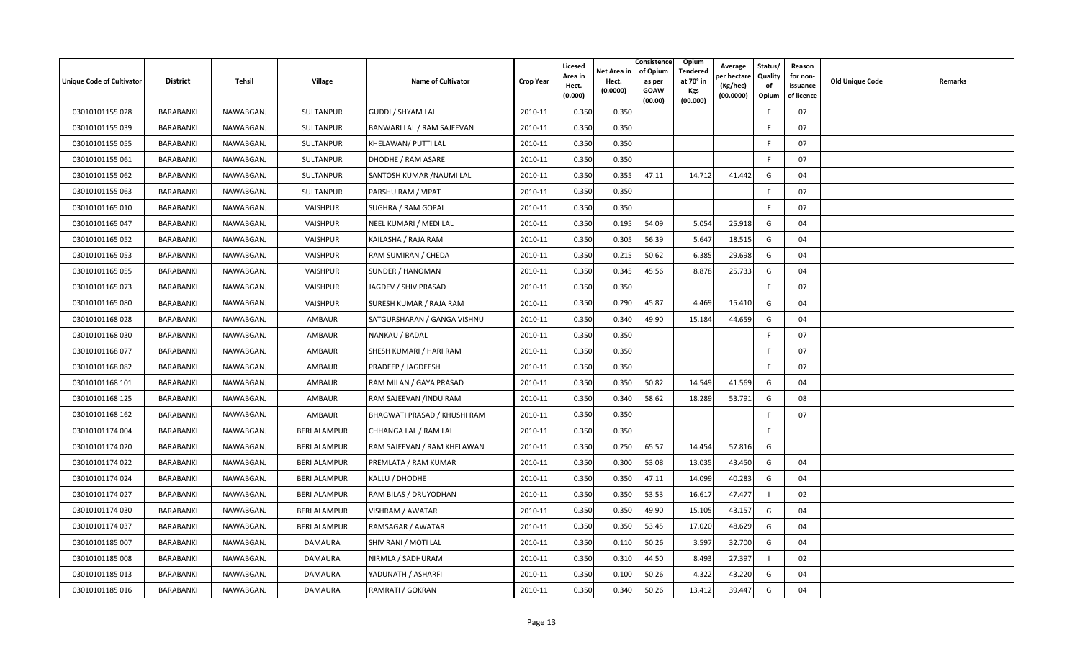| Unique Code of Cultivator | <b>District</b>  | <b>Tehsil</b> | <b>Village</b>      | <b>Name of Cultivator</b>    | <b>Crop Year</b> | Licesed<br>Area in<br>Hect.<br>(0.000) | Net Area in<br>Hect.<br>(0.0000) | Consistence<br>of Opium<br>as per<br><b>GOAW</b><br>(00.00) | Opium<br>Tendered<br>at 70° in<br>Kgs<br>(00.000) | Average<br>er hectare)<br>(Kg/hec)<br>(00.0000) | Status/<br>Quality<br>of<br>Opium | Reason<br>for non-<br>issuance<br>of licence | <b>Old Unique Code</b> | Remarks |
|---------------------------|------------------|---------------|---------------------|------------------------------|------------------|----------------------------------------|----------------------------------|-------------------------------------------------------------|---------------------------------------------------|-------------------------------------------------|-----------------------------------|----------------------------------------------|------------------------|---------|
| 03010101155 028           | BARABANKI        | NAWABGANJ     | <b>SULTANPUR</b>    | <b>GUDDI / SHYAM LAL</b>     | 2010-11          | 0.350                                  | 0.350                            |                                                             |                                                   |                                                 | -F                                | 07                                           |                        |         |
| 03010101155 039           | BARABANKI        | NAWABGANJ     | <b>SULTANPUR</b>    | BANWARI LAL / RAM SAJEEVAN   | 2010-11          | 0.350                                  | 0.350                            |                                                             |                                                   |                                                 | E                                 | 07                                           |                        |         |
| 03010101155 055           | BARABANKI        | NAWABGANJ     | SULTANPUR           | KHELAWAN/ PUTTI LAL          | 2010-11          | 0.350                                  | 0.350                            |                                                             |                                                   |                                                 |                                   | 07                                           |                        |         |
| 03010101155 061           | BARABANKI        | NAWABGANJ     | SULTANPUR           | DHODHE / RAM ASARE           | 2010-11          | 0.350                                  | 0.350                            |                                                             |                                                   |                                                 | -F                                | 07                                           |                        |         |
| 03010101155 062           | BARABANKI        | NAWABGANJ     | SULTANPUR           | SANTOSH KUMAR / NAUMI LAL    | 2010-11          | 0.350                                  | 0.355                            | 47.11                                                       | 14.712                                            | 41.442                                          | G                                 | 04                                           |                        |         |
| 03010101155 063           | BARABANKI        | NAWABGANJ     | SULTANPUR           | PARSHU RAM / VIPAT           | 2010-11          | 0.350                                  | 0.350                            |                                                             |                                                   |                                                 | E                                 | 07                                           |                        |         |
| 03010101165 010           | BARABANKI        | NAWABGANJ     | VAISHPUR            | <b>SUGHRA / RAM GOPAL</b>    | 2010-11          | 0.350                                  | 0.350                            |                                                             |                                                   |                                                 | E                                 | 07                                           |                        |         |
| 03010101165 047           | BARABANKI        | NAWABGANJ     | VAISHPUR            | NEEL KUMARI / MEDI LAL       | 2010-11          | 0.350                                  | 0.195                            | 54.09                                                       | 5.054                                             | 25.918                                          | G                                 | 04                                           |                        |         |
| 03010101165 052           | BARABANKI        | NAWABGANJ     | VAISHPUR            | KAILASHA / RAJA RAM          | 2010-11          | 0.350                                  | 0.305                            | 56.39                                                       | 5.647                                             | 18.515                                          | G                                 | 04                                           |                        |         |
| 03010101165 053           | <b>BARABANKI</b> | NAWABGANJ     | VAISHPUR            | RAM SUMIRAN / CHEDA          | 2010-11          | 0.350                                  | 0.215                            | 50.62                                                       | 6.385                                             | 29.698                                          | G                                 | 04                                           |                        |         |
| 03010101165 055           | BARABANKI        | NAWABGANJ     | VAISHPUR            | SUNDER / HANOMAN             | 2010-11          | 0.350                                  | 0.345                            | 45.56                                                       | 8.878                                             | 25.733                                          | G                                 | 04                                           |                        |         |
| 03010101165 073           | BARABANKI        | NAWABGANJ     | VAISHPUR            | JAGDEV / SHIV PRASAD         | 2010-11          | 0.350                                  | 0.350                            |                                                             |                                                   |                                                 | F.                                | 07                                           |                        |         |
| 03010101165 080           | BARABANKI        | NAWABGANJ     | VAISHPUR            | SURESH KUMAR / RAJA RAM      | 2010-11          | 0.350                                  | 0.290                            | 45.87                                                       | 4.469                                             | 15.410                                          | G                                 | 04                                           |                        |         |
| 03010101168028            | BARABANKI        | NAWABGANJ     | AMBAUR              | SATGURSHARAN / GANGA VISHNU  | 2010-11          | 0.350                                  | 0.340                            | 49.90                                                       | 15.184                                            | 44.659                                          | G                                 | 04                                           |                        |         |
| 03010101168 030           | BARABANKI        | NAWABGANJ     | AMBAUR              | NANKAU / BADAL               | 2010-11          | 0.350                                  | 0.350                            |                                                             |                                                   |                                                 | E                                 | 07                                           |                        |         |
| 03010101168 077           | BARABANKI        | NAWABGANJ     | AMBAUR              | SHESH KUMARI / HARI RAM      | 2010-11          | 0.350                                  | 0.350                            |                                                             |                                                   |                                                 | E                                 | 07                                           |                        |         |
| 03010101168082            | BARABANKI        | NAWABGANJ     | AMBAUR              | PRADEEP / JAGDEESH           | 2010-11          | 0.350                                  | 0.350                            |                                                             |                                                   |                                                 | F.                                | 07                                           |                        |         |
| 03010101168 101           | BARABANKI        | NAWABGANJ     | AMBAUR              | RAM MILAN / GAYA PRASAD      | 2010-11          | 0.350                                  | 0.350                            | 50.82                                                       | 14.549                                            | 41.569                                          | G                                 | 04                                           |                        |         |
| 03010101168 125           | BARABANKI        | NAWABGANJ     | AMBAUR              | RAM SAJEEVAN /INDU RAM       | 2010-11          | 0.350                                  | 0.340                            | 58.62                                                       | 18.289                                            | 53.791                                          | G                                 | 08                                           |                        |         |
| 03010101168 162           | <b>BARABANKI</b> | NAWABGANJ     | AMBAUR              | BHAGWATI PRASAD / KHUSHI RAM | 2010-11          | 0.350                                  | 0.350                            |                                                             |                                                   |                                                 | -F                                | 07                                           |                        |         |
| 03010101174 004           | BARABANKI        | NAWABGANJ     | <b>BERI ALAMPUR</b> | CHHANGA LAL / RAM LAL        | 2010-11          | 0.350                                  | 0.350                            |                                                             |                                                   |                                                 | F                                 |                                              |                        |         |
| 03010101174 020           | BARABANKI        | NAWABGANJ     | <b>BERI ALAMPUR</b> | RAM SAJEEVAN / RAM KHELAWAN  | 2010-11          | 0.350                                  | 0.250                            | 65.57                                                       | 14.454                                            | 57.816                                          | G                                 |                                              |                        |         |
| 03010101174 022           | BARABANKI        | NAWABGANJ     | <b>BERI ALAMPUR</b> | PREMLATA / RAM KUMAR         | 2010-11          | 0.350                                  | 0.300                            | 53.08                                                       | 13.035                                            | 43.450                                          | G                                 | 04                                           |                        |         |
| 03010101174 024           | BARABANKI        | NAWABGANJ     | <b>BERI ALAMPUR</b> | KALLU / DHODHE               | 2010-11          | 0.350                                  | 0.350                            | 47.11                                                       | 14.099                                            | 40.283                                          | G                                 | 04                                           |                        |         |
| 03010101174 027           | BARABANKI        | NAWABGANJ     | <b>BERI ALAMPUR</b> | RAM BILAS / DRUYODHAN        | 2010-11          | 0.350                                  | 0.350                            | 53.53                                                       | 16.617                                            | 47.477                                          |                                   | 02                                           |                        |         |
| 03010101174 030           | BARABANKI        | NAWABGANJ     | <b>BERI ALAMPUR</b> | VISHRAM / AWATAR             | 2010-11          | 0.350                                  | 0.350                            | 49.90                                                       | 15.105                                            | 43.157                                          | G                                 | 04                                           |                        |         |
| 03010101174 037           | BARABANKI        | NAWABGANJ     | <b>BERI ALAMPUR</b> | RAMSAGAR / AWATAR            | 2010-11          | 0.350                                  | 0.350                            | 53.45                                                       | 17.020                                            | 48.629                                          | G                                 | 04                                           |                        |         |
| 03010101185 007           | BARABANKI        | NAWABGANJ     | DAMAURA             | SHIV RANI / MOTI LAL         | 2010-11          | 0.350                                  | 0.110                            | 50.26                                                       | 3.597                                             | 32.700                                          | G                                 | 04                                           |                        |         |
| 03010101185 008           | BARABANKI        | NAWABGANJ     | DAMAURA             | NIRMLA / SADHURAM            | 2010-11          | 0.350                                  | 0.310                            | 44.50                                                       | 8.493                                             | 27.397                                          |                                   | 02                                           |                        |         |
| 03010101185 013           | <b>BARABANKI</b> | NAWABGANJ     | DAMAURA             | YADUNATH / ASHARFI           | 2010-11          | 0.350                                  | 0.100                            | 50.26                                                       | 4.322                                             | 43.220                                          | G                                 | 04                                           |                        |         |
| 03010101185 016           | BARABANKI        | NAWABGANJ     | DAMAURA             | RAMRATI / GOKRAN             | 2010-11          | 0.350                                  | 0.340                            | 50.26                                                       | 13.412                                            | 39.447                                          | G                                 | 04                                           |                        |         |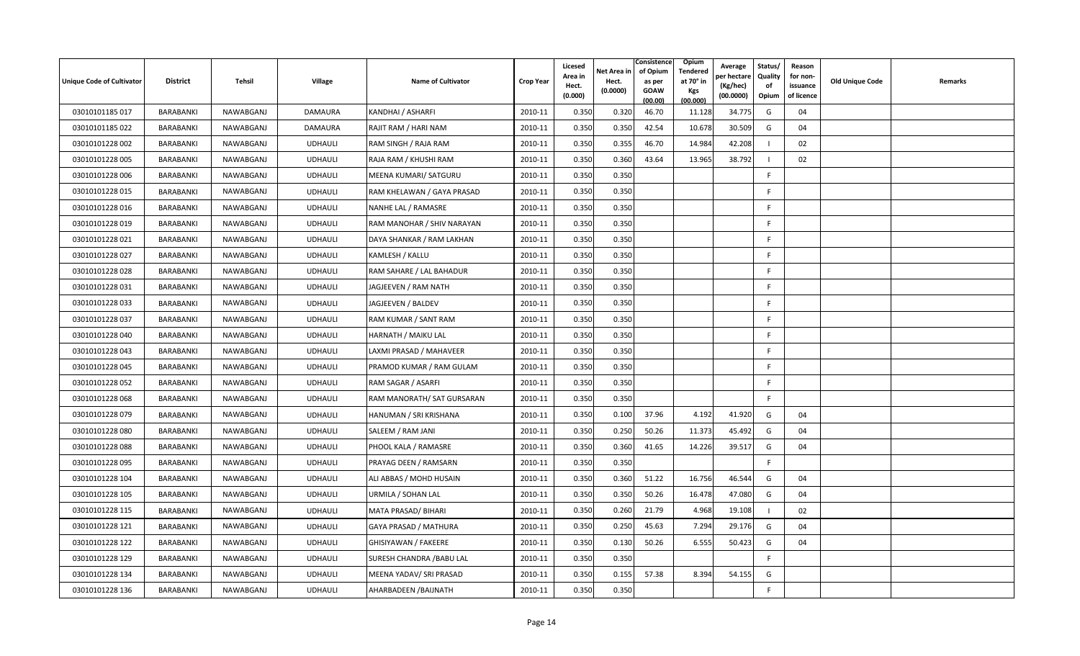| <b>Unique Code of Cultivator</b> | <b>District</b>  | Tehsil    | Village        | <b>Name of Cultivator</b>     | <b>Crop Year</b> | Licesed<br>Area in<br>Hect.<br>(0.000) | Net Area in<br>Hect.<br>(0.0000) | Consistence<br>of Opium<br>as per<br><b>GOAW</b><br>(00.00) | <b>Opium</b><br>Tendered<br>at 70 $^{\circ}$ in<br>Kgs<br>(00.000) | Average<br>oer hectare<br>(Kg/hec)<br>(00.0000) | Status/<br><b>Quality</b><br>of<br>Opium | Reason<br>for non-<br>issuance<br>of licence | <b>Old Unique Code</b> | Remarks |
|----------------------------------|------------------|-----------|----------------|-------------------------------|------------------|----------------------------------------|----------------------------------|-------------------------------------------------------------|--------------------------------------------------------------------|-------------------------------------------------|------------------------------------------|----------------------------------------------|------------------------|---------|
| 03010101185 017                  | <b>BARABANKI</b> | NAWABGANJ | <b>DAMAURA</b> | KANDHAI / ASHARFI             | 2010-11          | 0.350                                  | 0.320                            | 46.70                                                       | 11.128                                                             | 34.775                                          | G                                        | 04                                           |                        |         |
| 03010101185 022                  | BARABANKI        | NAWABGANJ | DAMAURA        | RAJIT RAM / HARI NAM          | 2010-11          | 0.350                                  | 0.350                            | 42.54                                                       | 10.678                                                             | 30.509                                          | G                                        | 04                                           |                        |         |
| 03010101228 002                  | BARABANKI        | NAWABGANJ | <b>UDHAULI</b> | RAM SINGH / RAJA RAM          | 2010-11          | 0.350                                  | 0.355                            | 46.70                                                       | 14.984                                                             | 42.208                                          |                                          | 02                                           |                        |         |
| 03010101228 005                  | BARABANKI        | NAWABGANJ | <b>UDHAULI</b> | RAJA RAM / KHUSHI RAM         | 2010-11          | 0.350                                  | 0.360                            | 43.64                                                       | 13.965                                                             | 38.792                                          |                                          | 02                                           |                        |         |
| 03010101228 006                  | BARABANKI        | NAWABGANJ | <b>UDHAULI</b> | MEENA KUMARI/ SATGURU         | 2010-11          | 0.350                                  | 0.350                            |                                                             |                                                                    |                                                 | F                                        |                                              |                        |         |
| 03010101228 015                  | <b>BARABANKI</b> | NAWABGANJ | <b>UDHAULI</b> | RAM KHELAWAN / GAYA PRASAD    | 2010-11          | 0.350                                  | 0.350                            |                                                             |                                                                    |                                                 | F.                                       |                                              |                        |         |
| 03010101228 016                  | <b>BARABANKI</b> | NAWABGANJ | <b>UDHAULI</b> | NANHE LAL / RAMASRE           | 2010-11          | 0.350                                  | 0.350                            |                                                             |                                                                    |                                                 | F                                        |                                              |                        |         |
| 03010101228 019                  | <b>BARABANKI</b> | NAWABGANJ | <b>UDHAULI</b> | RAM MANOHAR / SHIV NARAYAN    | 2010-11          | 0.350                                  | 0.350                            |                                                             |                                                                    |                                                 | F                                        |                                              |                        |         |
| 03010101228 021                  | BARABANKI        | NAWABGANJ | <b>UDHAULI</b> | DAYA SHANKAR / RAM LAKHAN     | 2010-11          | 0.350                                  | 0.350                            |                                                             |                                                                    |                                                 | F.                                       |                                              |                        |         |
| 03010101228 027                  | BARABANKI        | NAWABGANJ | <b>UDHAULI</b> | KAMLESH / KALLU               | 2010-11          | 0.350                                  | 0.350                            |                                                             |                                                                    |                                                 | F.                                       |                                              |                        |         |
| 03010101228028                   | BARABANKI        | NAWABGANJ | <b>UDHAULI</b> | RAM SAHARE / LAL BAHADUR      | 2010-11          | 0.350                                  | 0.350                            |                                                             |                                                                    |                                                 | F.                                       |                                              |                        |         |
| 03010101228 031                  | BARABANKI        | NAWABGANJ | <b>UDHAULI</b> | JAGJEEVEN / RAM NATH          | 2010-11          | 0.350                                  | 0.350                            |                                                             |                                                                    |                                                 | F                                        |                                              |                        |         |
| 03010101228 033                  | BARABANKI        | NAWABGANJ | <b>UDHAULI</b> | JAGJEEVEN / BALDEV            | 2010-11          | 0.350                                  | 0.350                            |                                                             |                                                                    |                                                 | F.                                       |                                              |                        |         |
| 03010101228 037                  | BARABANKI        | NAWABGANJ | <b>UDHAULI</b> | RAM KUMAR / SANT RAM          | 2010-11          | 0.350                                  | 0.350                            |                                                             |                                                                    |                                                 | F.                                       |                                              |                        |         |
| 03010101228 040                  | <b>BARABANKI</b> | NAWABGANJ | <b>UDHAULI</b> | HARNATH / MAIKU LAL           | 2010-11          | 0.350                                  | 0.350                            |                                                             |                                                                    |                                                 | F.                                       |                                              |                        |         |
| 03010101228 043                  | BARABANKI        | NAWABGANJ | <b>UDHAULI</b> | LAXMI PRASAD / MAHAVEER       | 2010-11          | 0.350                                  | 0.350                            |                                                             |                                                                    |                                                 | F.                                       |                                              |                        |         |
| 03010101228 045                  | <b>BARABANKI</b> | NAWABGANJ | <b>UDHAULI</b> | PRAMOD KUMAR / RAM GULAM      | 2010-11          | 0.350                                  | 0.350                            |                                                             |                                                                    |                                                 | F.                                       |                                              |                        |         |
| 03010101228 052                  | BARABANKI        | NAWABGANJ | <b>UDHAULI</b> | RAM SAGAR / ASARFI            | 2010-11          | 0.350                                  | 0.350                            |                                                             |                                                                    |                                                 | F.                                       |                                              |                        |         |
| 03010101228 068                  | BARABANKI        | NAWABGANJ | <b>UDHAULI</b> | RAM MANORATH/ SAT GURSARAN    | 2010-11          | 0.350                                  | 0.350                            |                                                             |                                                                    |                                                 | F.                                       |                                              |                        |         |
| 03010101228 079                  | BARABANKI        | NAWABGANJ | <b>UDHAULI</b> | <b>HANUMAN / SRI KRISHANA</b> | 2010-11          | 0.350                                  | 0.100                            | 37.96                                                       | 4.192                                                              | 41.920                                          | G                                        | 04                                           |                        |         |
| 03010101228 080                  | BARABANKI        | NAWABGANJ | <b>UDHAULI</b> | SALEEM / RAM JANI             | 2010-11          | 0.350                                  | 0.250                            | 50.26                                                       | 11.373                                                             | 45.492                                          | G                                        | 04                                           |                        |         |
| 03010101228088                   | <b>BARABANKI</b> | NAWABGANJ | <b>UDHAULI</b> | PHOOL KALA / RAMASRE          | 2010-11          | 0.350                                  | 0.360                            | 41.65                                                       | 14.226                                                             | 39.517                                          | G                                        | 04                                           |                        |         |
| 03010101228 095                  | BARABANKI        | NAWABGANJ | <b>UDHAULI</b> | PRAYAG DEEN / RAMSARN         | 2010-11          | 0.350                                  | 0.350                            |                                                             |                                                                    |                                                 | F.                                       |                                              |                        |         |
| 03010101228 104                  | <b>BARABANKI</b> | NAWABGANJ | <b>UDHAULI</b> | ALI ABBAS / MOHD HUSAIN       | 2010-11          | 0.350                                  | 0.360                            | 51.22                                                       | 16.756                                                             | 46.544                                          | G                                        | 04                                           |                        |         |
| 03010101228 105                  | BARABANKI        | NAWABGANJ | <b>UDHAULI</b> | URMILA / SOHAN LAL            | 2010-11          | 0.350                                  | 0.350                            | 50.26                                                       | 16.478                                                             | 47.080                                          | G                                        | 04                                           |                        |         |
| 03010101228 115                  | BARABANKI        | NAWABGANJ | <b>UDHAULI</b> | MATA PRASAD/ BIHARI           | 2010-11          | 0.350                                  | 0.260                            | 21.79                                                       | 4.968                                                              | 19.108                                          |                                          | 02                                           |                        |         |
| 03010101228 121                  | BARABANKI        | NAWABGANJ | <b>UDHAULI</b> | GAYA PRASAD / MATHURA         | 2010-11          | 0.350                                  | 0.250                            | 45.63                                                       | 7.294                                                              | 29.176                                          | G                                        | 04                                           |                        |         |
| 03010101228 122                  | BARABANKI        | NAWABGANJ | <b>UDHAULI</b> | GHISIYAWAN / FAKEERE          | 2010-11          | 0.350                                  | 0.130                            | 50.26                                                       | 6.555                                                              | 50.423                                          | G                                        | 04                                           |                        |         |
| 03010101228 129                  | BARABANKI        | NAWABGANJ | <b>UDHAULI</b> | SURESH CHANDRA / BABU LAL     | 2010-11          | 0.350                                  | 0.350                            |                                                             |                                                                    |                                                 | F.                                       |                                              |                        |         |
| 03010101228 134                  | BARABANKI        | NAWABGANJ | <b>UDHAULI</b> | MEENA YADAV/ SRI PRASAD       | 2010-11          | 0.350                                  | 0.155                            | 57.38                                                       | 8.394                                                              | 54.155                                          | G                                        |                                              |                        |         |
| 03010101228 136                  | BARABANKI        | NAWABGANJ | <b>UDHAULI</b> | AHARBADEEN / BAIJNATH         | 2010-11          | 0.350                                  | 0.350                            |                                                             |                                                                    |                                                 | F.                                       |                                              |                        |         |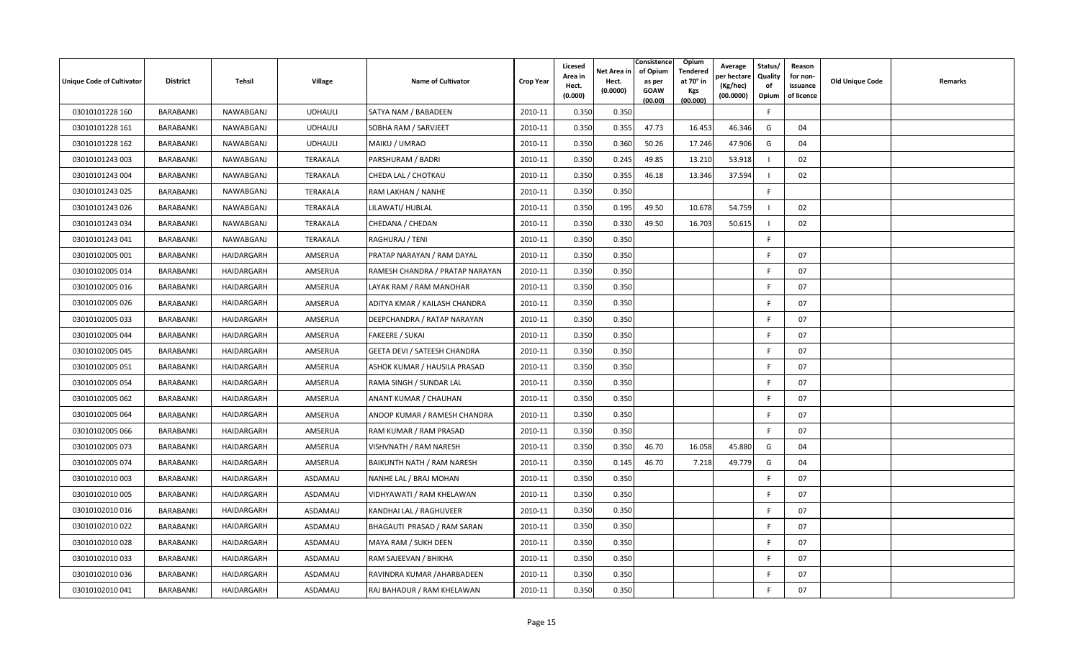| <b>Unique Code of Cultivator</b> | <b>District</b> | Tehsil     | <b>Village</b> | <b>Name of Cultivator</b>       | <b>Crop Year</b> | Licesed<br>Area in<br>Hect.<br>(0.000) | Net Area in<br>Hect.<br>(0.0000) | Consistence<br>of Opium<br>as per<br><b>GOAW</b><br>(00.00) | <b>Opium</b><br>Tendered<br>at 70 $^{\circ}$ in<br><b>Kgs</b><br>(00.000) | Average<br>er hectar<br>(Kg/hec)<br>(00.0000) | Status/<br>Quality<br>of<br>Opium | Reason<br>for non-<br>issuance<br>of licence | <b>Old Unique Code</b> | Remarks |
|----------------------------------|-----------------|------------|----------------|---------------------------------|------------------|----------------------------------------|----------------------------------|-------------------------------------------------------------|---------------------------------------------------------------------------|-----------------------------------------------|-----------------------------------|----------------------------------------------|------------------------|---------|
| 03010101228 160                  | BARABANKI       | NAWABGANJ  | <b>UDHAULI</b> | SATYA NAM / BABADEEN            | 2010-11          | 0.350                                  | 0.350                            |                                                             |                                                                           |                                               | E                                 |                                              |                        |         |
| 03010101228 161                  | BARABANKI       | NAWABGANJ  | <b>UDHAULI</b> | SOBHA RAM / SARVJEET            | 2010-11          | 0.350                                  | 0.355                            | 47.73                                                       | 16.453                                                                    | 46.346                                        | G                                 | 04                                           |                        |         |
| 03010101228 162                  | BARABANKI       | NAWABGANJ  | <b>UDHAULI</b> | MAIKU / UMRAO                   | 2010-11          | 0.350                                  | 0.360                            | 50.26                                                       | 17.246                                                                    | 47.906                                        | G                                 | 04                                           |                        |         |
| 03010101243 003                  | BARABANKI       | NAWABGANJ  | TERAKALA       | PARSHURAM / BADRI               | 2010-11          | 0.350                                  | 0.245                            | 49.85                                                       | 13.210                                                                    | 53.918                                        |                                   | 02                                           |                        |         |
| 03010101243 004                  | BARABANKI       | NAWABGANJ  | TERAKALA       | CHEDA LAL / CHOTKAU             | 2010-11          | 0.350                                  | 0.355                            | 46.18                                                       | 13.346                                                                    | 37.594                                        |                                   | 02                                           |                        |         |
| 03010101243 025                  | BARABANKI       | NAWABGANJ  | TERAKALA       | RAM LAKHAN / NANHE              | 2010-11          | 0.350                                  | 0.350                            |                                                             |                                                                           |                                               | F.                                |                                              |                        |         |
| 03010101243 026                  | BARABANKI       | NAWABGANJ  | TERAKALA       | LILAWATI/ HUBLAL                | 2010-11          | 0.350                                  | 0.195                            | 49.50                                                       | 10.678                                                                    | 54.759                                        |                                   | 02                                           |                        |         |
| 03010101243 034                  | BARABANKI       | NAWABGANJ  | TERAKALA       | CHEDANA / CHEDAN                | 2010-11          | 0.350                                  | 0.330                            | 49.50                                                       | 16.703                                                                    | 50.615                                        |                                   | 02                                           |                        |         |
| 03010101243 041                  | BARABANKI       | NAWABGANJ  | TERAKALA       | RAGHURAJ / TENI                 | 2010-11          | 0.350                                  | 0.350                            |                                                             |                                                                           |                                               | F.                                |                                              |                        |         |
| 03010102005 001                  | BARABANKI       | HAIDARGARH | AMSERUA        | PRATAP NARAYAN / RAM DAYAL      | 2010-11          | 0.350                                  | 0.350                            |                                                             |                                                                           |                                               | F                                 | 07                                           |                        |         |
| 03010102005 014                  | BARABANKI       | HAIDARGARH | AMSERUA        | RAMESH CHANDRA / PRATAP NARAYAN | 2010-11          | 0.350                                  | 0.350                            |                                                             |                                                                           |                                               | E                                 | 07                                           |                        |         |
| 03010102005 016                  | BARABANKI       | HAIDARGARH | AMSERUA        | LAYAK RAM / RAM MANOHAR         | 2010-11          | 0.350                                  | 0.350                            |                                                             |                                                                           |                                               | F                                 | 07                                           |                        |         |
| 03010102005 026                  | BARABANKI       | HAIDARGARH | AMSERUA        | ADITYA KMAR / KAILASH CHANDRA   | 2010-11          | 0.350                                  | 0.350                            |                                                             |                                                                           |                                               | F                                 | 07                                           |                        |         |
| 03010102005 033                  | BARABANKI       | HAIDARGARH | AMSERUA        | DEEPCHANDRA / RATAP NARAYAN     | 2010-11          | 0.350                                  | 0.350                            |                                                             |                                                                           |                                               | E                                 | 07                                           |                        |         |
| 03010102005 044                  | BARABANKI       | HAIDARGARH | AMSERUA        | <b>FAKEERE / SUKAI</b>          | 2010-11          | 0.350                                  | 0.350                            |                                                             |                                                                           |                                               | E                                 | 07                                           |                        |         |
| 03010102005 045                  | BARABANKI       | HAIDARGARH | AMSERUA        | GEETA DEVI / SATEESH CHANDRA    | 2010-11          | 0.350                                  | 0.350                            |                                                             |                                                                           |                                               | F                                 | 07                                           |                        |         |
| 03010102005 051                  | BARABANKI       | HAIDARGARH | AMSERUA        | ASHOK KUMAR / HAUSILA PRASAD    | 2010-11          | 0.350                                  | 0.350                            |                                                             |                                                                           |                                               | F                                 | 07                                           |                        |         |
| 03010102005 054                  | BARABANKI       | HAIDARGARH | AMSERUA        | RAMA SINGH / SUNDAR LAL         | 2010-11          | 0.350                                  | 0.350                            |                                                             |                                                                           |                                               | -F                                | 07                                           |                        |         |
| 03010102005 062                  | BARABANKI       | HAIDARGARH | AMSERUA        | ANANT KUMAR / CHAUHAN           | 2010-11          | 0.350                                  | 0.350                            |                                                             |                                                                           |                                               | -F                                | 07                                           |                        |         |
| 03010102005 064                  | BARABANKI       | HAIDARGARH | AMSERUA        | ANOOP KUMAR / RAMESH CHANDRA    | 2010-11          | 0.350                                  | 0.350                            |                                                             |                                                                           |                                               | E                                 | 07                                           |                        |         |
| 03010102005 066                  | BARABANKI       | HAIDARGARH | AMSERUA        | RAM KUMAR / RAM PRASAD          | 2010-11          | 0.350                                  | 0.350                            |                                                             |                                                                           |                                               | E                                 | 07                                           |                        |         |
| 03010102005 073                  | BARABANKI       | HAIDARGARH | AMSERUA        | VISHVNATH / RAM NARESH          | 2010-11          | 0.350                                  | 0.350                            | 46.70                                                       | 16.058                                                                    | 45.880                                        | G                                 | 04                                           |                        |         |
| 03010102005 074                  | BARABANKI       | HAIDARGARH | AMSERUA        | BAIKUNTH NATH / RAM NARESH      | 2010-11          | 0.350                                  | 0.145                            | 46.70                                                       | 7.218                                                                     | 49.779                                        | G                                 | 04                                           |                        |         |
| 03010102010 003                  | BARABANKI       | HAIDARGARH | ASDAMAU        | NANHE LAL / BRAJ MOHAN          | 2010-11          | 0.350                                  | 0.350                            |                                                             |                                                                           |                                               | -F                                | 07                                           |                        |         |
| 03010102010 005                  | BARABANKI       | HAIDARGARH | ASDAMAU        | VIDHYAWATI / RAM KHELAWAN       | 2010-11          | 0.350                                  | 0.350                            |                                                             |                                                                           |                                               | E                                 | 07                                           |                        |         |
| 03010102010016                   | BARABANKI       | HAIDARGARH | ASDAMAU        | KANDHAI LAL / RAGHUVEER         | 2010-11          | 0.350                                  | 0.350                            |                                                             |                                                                           |                                               | -F                                | 07                                           |                        |         |
| 03010102010022                   | BARABANKI       | HAIDARGARH | ASDAMAU        | BHAGAUTI PRASAD / RAM SARAN     | 2010-11          | 0.350                                  | 0.350                            |                                                             |                                                                           |                                               | F                                 | 07                                           |                        |         |
| 03010102010028                   | BARABANKI       | HAIDARGARH | ASDAMAU        | MAYA RAM / SUKH DEEN            | 2010-11          | 0.350                                  | 0.350                            |                                                             |                                                                           |                                               | -F                                | 07                                           |                        |         |
| 03010102010033                   | BARABANKI       | HAIDARGARH | ASDAMAU        | RAM SAJEEVAN / BHIKHA           | 2010-11          | 0.350                                  | 0.350                            |                                                             |                                                                           |                                               | -F                                | 07                                           |                        |         |
| 03010102010036                   | BARABANKI       | HAIDARGARH | ASDAMAU        | RAVINDRA KUMAR /AHARBADEEN      | 2010-11          | 0.350                                  | 0.350                            |                                                             |                                                                           |                                               | F                                 | 07                                           |                        |         |
| 03010102010041                   | BARABANKI       | HAIDARGARH | ASDAMAU        | RAJ BAHADUR / RAM KHELAWAN      | 2010-11          | 0.350                                  | 0.350                            |                                                             |                                                                           |                                               |                                   | 07                                           |                        |         |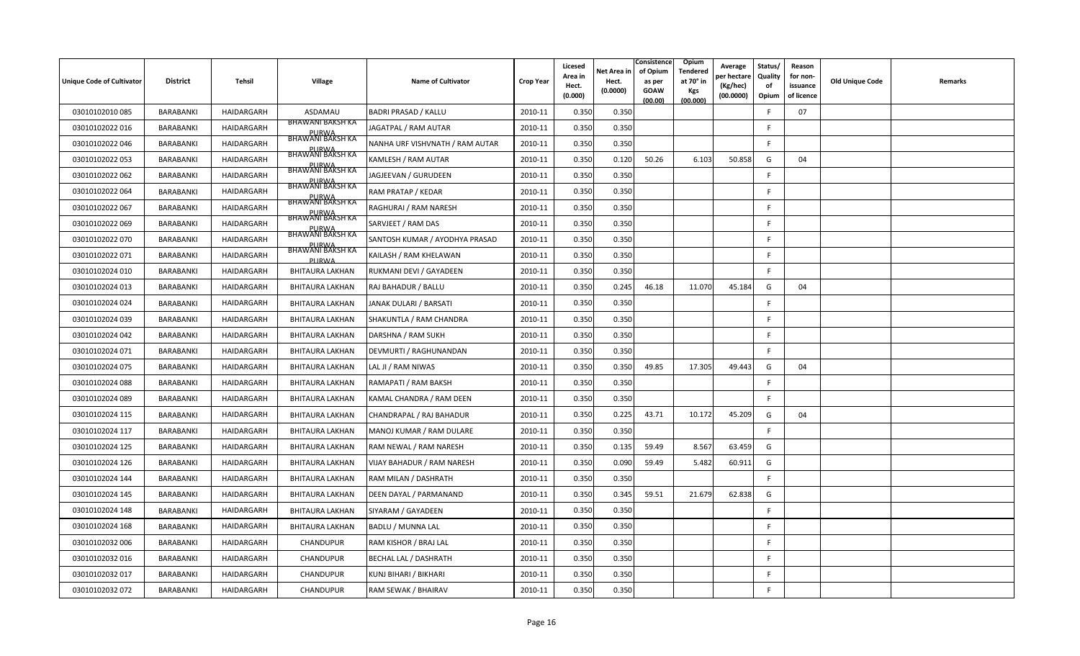| Unique Code of Cultivator | <b>District</b>  | Tehsil     | <b>Village</b>                   | <b>Name of Cultivator</b>       | <b>Crop Year</b> | Licesed<br>Area in<br>Hect.<br>(0.000) | Net Area in<br>Hect.<br>(0.0000) | Consistence<br>of Opium<br>as per<br><b>GOAW</b><br>(00.00) | Opium<br>Tendered<br>at 70° in<br><b>Kgs</b><br>(00.000) | Average<br>er hectar<br>(Kg/hec)<br>(00.0000) | Status/<br>Quality<br>of<br>Opium | Reason<br>for non-<br>issuance<br>of licence | <b>Old Unique Code</b> | Remarks |
|---------------------------|------------------|------------|----------------------------------|---------------------------------|------------------|----------------------------------------|----------------------------------|-------------------------------------------------------------|----------------------------------------------------------|-----------------------------------------------|-----------------------------------|----------------------------------------------|------------------------|---------|
| 03010102010085            | BARABANKI        | HAIDARGARH | ASDAMAU                          | <b>BADRI PRASAD / KALLU</b>     | 2010-11          | 0.350                                  | 0.350                            |                                                             |                                                          |                                               | -F                                | 07                                           |                        |         |
| 03010102022 016           | BARABANKI        | HAIDARGARH | <b>BHAWANI BAKSH KA</b>          | JAGATPAL / RAM AUTAR            | 2010-11          | 0.350                                  | 0.350                            |                                                             |                                                          |                                               | E                                 |                                              |                        |         |
| 03010102022 046           | BARABANKI        | HAIDARGARH | <b>BHAWANI BAKSH KA</b>          | NANHA URF VISHVNATH / RAM AUTAR | 2010-11          | 0.350                                  | 0.350                            |                                                             |                                                          |                                               | <b>F</b>                          |                                              |                        |         |
| 03010102022 053           | BARABANKI        | HAIDARGARH | <b>BHAWANI BAKSH KA</b>          | KAMLESH / RAM AUTAR             | 2010-11          | 0.350                                  | 0.120                            | 50.26                                                       | 6.103                                                    | 50.858                                        | G                                 | 04                                           |                        |         |
| 03010102022 062           | BARABANKI        | HAIDARGARH | <b>BHAWANI BAKSH KA</b>          | JAGJEEVAN / GURUDEEN            | 2010-11          | 0.350                                  | 0.350                            |                                                             |                                                          |                                               | F.                                |                                              |                        |         |
| 03010102022 064           | BARABANKI        | HAIDARGARH | <b>BHAWANI BAKSH KA</b>          | RAM PRATAP / KEDAR              | 2010-11          | 0.350                                  | 0.350                            |                                                             |                                                          |                                               | F.                                |                                              |                        |         |
| 03010102022 067           | BARABANKI        | HAIDARGARH | <b>BHAWANI BAKSH KA</b>          | RAGHURAI / RAM NARESH           | 2010-11          | 0.350                                  | 0.350                            |                                                             |                                                          |                                               | F.                                |                                              |                        |         |
| 03010102022 069           | <b>BARABANKI</b> | HAIDARGARH | <b>PURWA</b><br>BHAWANI BAKSH KA | SARVJEET / RAM DAS              | 2010-11          | 0.350                                  | 0.350                            |                                                             |                                                          |                                               | E                                 |                                              |                        |         |
| 03010102022 070           | BARABANKI        | HAIDARGARH | <b>BHAWANI BAKSH KA</b>          | SANTOSH KUMAR / AYODHYA PRASAD  | 2010-11          | 0.350                                  | 0.350                            |                                                             |                                                          |                                               | F                                 |                                              |                        |         |
| 03010102022 071           | <b>BARABANKI</b> | HAIDARGARH | BHAWANI BAKSH KA<br>PURWA        | KAILASH / RAM KHELAWAN          | 2010-11          | 0.350                                  | 0.350                            |                                                             |                                                          |                                               | F.                                |                                              |                        |         |
| 03010102024 010           | BARABANKI        | HAIDARGARH | BHITAURA LAKHAN                  | RUKMANI DEVI / GAYADEEN         | 2010-11          | 0.350                                  | 0.350                            |                                                             |                                                          |                                               | E                                 |                                              |                        |         |
| 03010102024 013           | BARABANKI        | HAIDARGARH | <b>BHITAURA LAKHAN</b>           | RAJ BAHADUR / BALLU             | 2010-11          | 0.350                                  | 0.245                            | 46.18                                                       | 11.070                                                   | 45.184                                        | G                                 | 04                                           |                        |         |
| 03010102024 024           | BARABANKI        | HAIDARGARH | <b>BHITAURA LAKHAN</b>           | JANAK DULARI / BARSATI          | 2010-11          | 0.350                                  | 0.350                            |                                                             |                                                          |                                               | -F                                |                                              |                        |         |
| 03010102024 039           | BARABANKI        | HAIDARGARH | <b>BHITAURA LAKHAN</b>           | SHAKUNTLA / RAM CHANDRA         | 2010-11          | 0.350                                  | 0.350                            |                                                             |                                                          |                                               | E                                 |                                              |                        |         |
| 03010102024 042           | <b>BARABANKI</b> | HAIDARGARH | <b>BHITAURA LAKHAN</b>           | DARSHNA / RAM SUKH              | 2010-11          | 0.350                                  | 0.350                            |                                                             |                                                          |                                               | E                                 |                                              |                        |         |
| 03010102024 071           | BARABANKI        | HAIDARGARH | <b>BHITAURA LAKHAN</b>           | DEVMURTI / RAGHUNANDAN          | 2010-11          | 0.350                                  | 0.350                            |                                                             |                                                          |                                               | F.                                |                                              |                        |         |
| 03010102024 075           | BARABANKI        | HAIDARGARH | <b>BHITAURA LAKHAN</b>           | LAL JI / RAM NIWAS              | 2010-11          | 0.350                                  | 0.350                            | 49.85                                                       | 17.305                                                   | 49.443                                        | G                                 | 04                                           |                        |         |
| 03010102024 088           | BARABANKI        | HAIDARGARH | <b>BHITAURA LAKHAN</b>           | RAMAPATI / RAM BAKSH            | 2010-11          | 0.350                                  | 0.350                            |                                                             |                                                          |                                               | -F                                |                                              |                        |         |
| 03010102024 089           | BARABANKI        | HAIDARGARH | <b>BHITAURA LAKHAN</b>           | KAMAL CHANDRA / RAM DEEN        | 2010-11          | 0.350                                  | 0.350                            |                                                             |                                                          |                                               | F.                                |                                              |                        |         |
| 03010102024 115           | BARABANKI        | HAIDARGARH | <b>BHITAURA LAKHAN</b>           | CHANDRAPAL / RAJ BAHADUR        | 2010-11          | 0.350                                  | 0.225                            | 43.71                                                       | 10.172                                                   | 45.209                                        | G                                 | 04                                           |                        |         |
| 03010102024 117           | BARABANKI        | HAIDARGARH | <b>BHITAURA LAKHAN</b>           | MANOJ KUMAR / RAM DULARE        | 2010-11          | 0.350                                  | 0.350                            |                                                             |                                                          |                                               | E                                 |                                              |                        |         |
| 03010102024 125           | <b>BARABANKI</b> | HAIDARGARH | <b>BHITAURA LAKHAN</b>           | RAM NEWAL / RAM NARESH          | 2010-11          | 0.350                                  | 0.135                            | 59.49                                                       | 8.567                                                    | 63.459                                        | G                                 |                                              |                        |         |
| 03010102024 126           | BARABANKI        | HAIDARGARH | BHITAURA LAKHAN                  | VIJAY BAHADUR / RAM NARESH      | 2010-11          | 0.350                                  | 0.090                            | 59.49                                                       | 5.482                                                    | 60.911                                        | G                                 |                                              |                        |         |
| 03010102024 144           | <b>BARABANKI</b> | HAIDARGARH | <b>BHITAURA LAKHAN</b>           | RAM MILAN / DASHRATH            | 2010-11          | 0.350                                  | 0.350                            |                                                             |                                                          |                                               | F                                 |                                              |                        |         |
| 03010102024 145           | BARABANKI        | HAIDARGARH | <b>BHITAURA LAKHAN</b>           | DEEN DAYAL / PARMANAND          | 2010-11          | 0.350                                  | 0.345                            | 59.51                                                       | 21.679                                                   | 62.838                                        | G                                 |                                              |                        |         |
| 03010102024 148           | BARABANKI        | HAIDARGARH | <b>BHITAURA LAKHAN</b>           | SIYARAM / GAYADEEN              | 2010-11          | 0.350                                  | 0.350                            |                                                             |                                                          |                                               | F                                 |                                              |                        |         |
| 03010102024 168           | BARABANKI        | HAIDARGARH | <b>BHITAURA LAKHAN</b>           | BADLU / MUNNA LAL               | 2010-11          | 0.350                                  | 0.350                            |                                                             |                                                          |                                               | F                                 |                                              |                        |         |
| 03010102032 006           | BARABANKI        | HAIDARGARH | <b>CHANDUPUR</b>                 | RAM KISHOR / BRAJ LAL           | 2010-11          | 0.350                                  | 0.350                            |                                                             |                                                          |                                               | -F                                |                                              |                        |         |
| 03010102032 016           | BARABANKI        | HAIDARGARH | <b>CHANDUPUR</b>                 | <b>BECHAL LAL / DASHRATH</b>    | 2010-11          | 0.350                                  | 0.350                            |                                                             |                                                          |                                               | -F                                |                                              |                        |         |
| 03010102032 017           | <b>BARABANKI</b> | HAIDARGARH | CHANDUPUR                        | KUNJ BIHARI / BIKHARI           | 2010-11          | 0.350                                  | 0.350                            |                                                             |                                                          |                                               | -F                                |                                              |                        |         |
| 03010102032 072           | BARABANKI        | HAIDARGARH | <b>CHANDUPUR</b>                 | RAM SEWAK / BHAIRAV             | 2010-11          | 0.350                                  | 0.350                            |                                                             |                                                          |                                               |                                   |                                              |                        |         |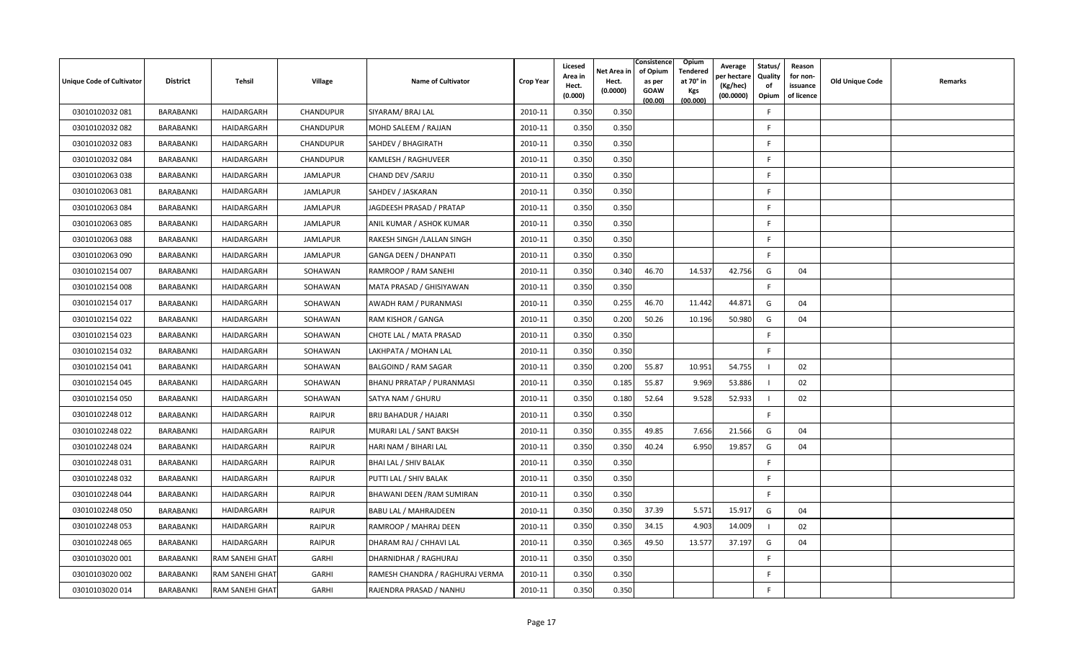| <b>Unique Code of Cultivator</b> | <b>District</b>  | Tehsil          | <b>Village</b>   | <b>Name of Cultivator</b>       | <b>Crop Year</b> | Licesed<br>Area in<br>Hect.<br>(0.000) | Net Area in<br>Hect.<br>(0.0000) | Consistence<br>of Opium<br>as per<br><b>GOAW</b><br>(00.00) | <b>Opium</b><br>Tendered<br>at 70° in<br>Kgs<br>(00.000) | Average<br>er hectare)<br>(Kg/hec)<br>(00.0000) | Status/<br>Quality<br>of<br>Opium | Reason<br>for non-<br>issuance<br>of licence | <b>Old Unique Code</b> | Remarks |
|----------------------------------|------------------|-----------------|------------------|---------------------------------|------------------|----------------------------------------|----------------------------------|-------------------------------------------------------------|----------------------------------------------------------|-------------------------------------------------|-----------------------------------|----------------------------------------------|------------------------|---------|
| 03010102032 081                  | BARABANKI        | HAIDARGARH      | CHANDUPUR        | SIYARAM/ BRAJ LAL               | 2010-11          | 0.350                                  | 0.350                            |                                                             |                                                          |                                                 | F.                                |                                              |                        |         |
| 03010102032 082                  | BARABANKI        | HAIDARGARH      | <b>CHANDUPUR</b> | MOHD SALEEM / RAJJAN            | 2010-11          | 0.350                                  | 0.350                            |                                                             |                                                          |                                                 | E                                 |                                              |                        |         |
| 03010102032 083                  | BARABANKI        | HAIDARGARH      | CHANDUPUR        | SAHDEV / BHAGIRATH              | 2010-11          | 0.350                                  | 0.350                            |                                                             |                                                          |                                                 | F.                                |                                              |                        |         |
| 03010102032084                   | BARABANKI        | HAIDARGARH      | <b>CHANDUPUR</b> | KAMLESH / RAGHUVEER             | 2010-11          | 0.350                                  | 0.350                            |                                                             |                                                          |                                                 | -F                                |                                              |                        |         |
| 03010102063 038                  | BARABANKI        | HAIDARGARH      | <b>JAMLAPUR</b>  | CHAND DEV / SARJU               | 2010-11          | 0.350                                  | 0.350                            |                                                             |                                                          |                                                 | F.                                |                                              |                        |         |
| 03010102063 081                  | BARABANKI        | HAIDARGARH      | <b>JAMLAPUR</b>  | SAHDEV / JASKARAN               | 2010-11          | 0.350                                  | 0.350                            |                                                             |                                                          |                                                 | F.                                |                                              |                        |         |
| 03010102063 084                  | BARABANKI        | HAIDARGARH      | JAMLAPUR         | JAGDEESH PRASAD / PRATAP        | 2010-11          | 0.350                                  | 0.350                            |                                                             |                                                          |                                                 | F                                 |                                              |                        |         |
| 03010102063 085                  | BARABANKI        | HAIDARGARH      | <b>JAMLAPUR</b>  | ANIL KUMAR / ASHOK KUMAR        | 2010-11          | 0.350                                  | 0.350                            |                                                             |                                                          |                                                 | E                                 |                                              |                        |         |
| 03010102063 088                  | BARABANKI        | HAIDARGARH      | JAMLAPUR         | RAKESH SINGH / LALLAN SINGH     | 2010-11          | 0.350                                  | 0.350                            |                                                             |                                                          |                                                 | F                                 |                                              |                        |         |
| 03010102063 090                  | <b>BARABANKI</b> | HAIDARGARH      | <b>JAMLAPUR</b>  | <b>GANGA DEEN / DHANPATI</b>    | 2010-11          | 0.350                                  | 0.350                            |                                                             |                                                          |                                                 | F.                                |                                              |                        |         |
| 03010102154 007                  | BARABANKI        | HAIDARGARH      | SOHAWAN          | RAMROOP / RAM SANEHI            | 2010-11          | 0.350                                  | 0.340                            | 46.70                                                       | 14.537                                                   | 42.756                                          | G                                 | 04                                           |                        |         |
| 03010102154 008                  | BARABANKI        | HAIDARGARH      | SOHAWAN          | MATA PRASAD / GHISIYAWAN        | 2010-11          | 0.350                                  | 0.350                            |                                                             |                                                          |                                                 | E                                 |                                              |                        |         |
| 03010102154 017                  | BARABANKI        | HAIDARGARH      | SOHAWAN          | AWADH RAM / PURANMASI           | 2010-11          | 0.350                                  | 0.255                            | 46.70                                                       | 11.442                                                   | 44.871                                          | G                                 | 04                                           |                        |         |
| 03010102154 022                  | BARABANKI        | HAIDARGARH      | SOHAWAN          | RAM KISHOR / GANGA              | 2010-11          | 0.350                                  | 0.200                            | 50.26                                                       | 10.196                                                   | 50.980                                          | G                                 | 04                                           |                        |         |
| 03010102154 023                  | <b>BARABANKI</b> | HAIDARGARH      | SOHAWAN          | CHOTE LAL / MATA PRASAD         | 2010-11          | 0.350                                  | 0.350                            |                                                             |                                                          |                                                 | E                                 |                                              |                        |         |
| 03010102154 032                  | BARABANKI        | HAIDARGARH      | SOHAWAN          | LAKHPATA / MOHAN LAL            | 2010-11          | 0.350                                  | 0.350                            |                                                             |                                                          |                                                 | F.                                |                                              |                        |         |
| 03010102154 041                  | BARABANKI        | HAIDARGARH      | SOHAWAN          | <b>BALGOIND / RAM SAGAR</b>     | 2010-11          | 0.350                                  | 0.200                            | 55.87                                                       | 10.951                                                   | 54.755                                          |                                   | 02                                           |                        |         |
| 03010102154 045                  | BARABANKI        | HAIDARGARH      | SOHAWAN          | BHANU PRRATAP / PURANMASI       | 2010-11          | 0.350                                  | 0.185                            | 55.87                                                       | 9.969                                                    | 53.886                                          |                                   | 02                                           |                        |         |
| 03010102154 050                  | BARABANKI        | HAIDARGARH      | SOHAWAN          | SATYA NAM / GHURU               | 2010-11          | 0.350                                  | 0.180                            | 52.64                                                       | 9.528                                                    | 52.933                                          |                                   | 02                                           |                        |         |
| 03010102248 012                  | BARABANKI        | HAIDARGARH      | <b>RAIPUR</b>    | <b>BRIJ BAHADUR / HAJARI</b>    | 2010-11          | 0.350                                  | 0.350                            |                                                             |                                                          |                                                 | -F                                |                                              |                        |         |
| 03010102248 022                  | BARABANKI        | HAIDARGARH      | <b>RAIPUR</b>    | MURARI LAL / SANT BAKSH         | 2010-11          | 0.350                                  | 0.355                            | 49.85                                                       | 7.656                                                    | 21.566                                          | G                                 | 04                                           |                        |         |
| 03010102248 024                  | <b>BARABANKI</b> | HAIDARGARH      | <b>RAIPUR</b>    | HARI NAM / BIHARI LAL           | 2010-11          | 0.350                                  | 0.350                            | 40.24                                                       | 6.950                                                    | 19.857                                          | G                                 | 04                                           |                        |         |
| 03010102248 031                  | BARABANKI        | HAIDARGARH      | <b>RAIPUR</b>    | BHAI LAL / SHIV BALAK           | 2010-11          | 0.350                                  | 0.350                            |                                                             |                                                          |                                                 | F.                                |                                              |                        |         |
| 03010102248 032                  | <b>BARABANKI</b> | HAIDARGARH      | <b>RAIPUR</b>    | PUTTI LAL / SHIV BALAK          | 2010-11          | 0.350                                  | 0.350                            |                                                             |                                                          |                                                 | F                                 |                                              |                        |         |
| 03010102248 044                  | BARABANKI        | HAIDARGARH      | <b>RAIPUR</b>    | BHAWANI DEEN / RAM SUMIRAN      | 2010-11          | 0.350                                  | 0.350                            |                                                             |                                                          |                                                 | F.                                |                                              |                        |         |
| 03010102248 050                  | BARABANKI        | HAIDARGARH      | <b>RAIPUR</b>    | <b>BABU LAL / MAHRAJDEEN</b>    | 2010-11          | 0.350                                  | 0.350                            | 37.39                                                       | 5.571                                                    | 15.917                                          | G                                 | 04                                           |                        |         |
| 03010102248 053                  | BARABANKI        | HAIDARGARH      | <b>RAIPUR</b>    | RAMROOP / MAHRAJ DEEN           | 2010-11          | 0.350                                  | 0.350                            | 34.15                                                       | 4.903                                                    | 14.009                                          |                                   | 02                                           |                        |         |
| 03010102248 065                  | BARABANKI        | HAIDARGARH      | <b>RAIPUR</b>    | DHARAM RAJ / CHHAVI LAL         | 2010-11          | 0.350                                  | 0.365                            | 49.50                                                       | 13.577                                                   | 37.197                                          | G                                 | 04                                           |                        |         |
| 03010103020 001                  | BARABANKI        | RAM SANEHI GHAT | GARHI            | DHARNIDHAR / RAGHURAJ           | 2010-11          | 0.350                                  | 0.350                            |                                                             |                                                          |                                                 | -F                                |                                              |                        |         |
| 03010103020 002                  | <b>BARABANKI</b> | RAM SANEHI GHAT | GARHI            | RAMESH CHANDRA / RAGHURAJ VERMA | 2010-11          | 0.350                                  | 0.350                            |                                                             |                                                          |                                                 |                                   |                                              |                        |         |
| 03010103020014                   | BARABANKI        | RAM SANEHI GHAT | GARHI            | RAJENDRA PRASAD / NANHU         | 2010-11          | 0.350                                  | 0.350                            |                                                             |                                                          |                                                 | F                                 |                                              |                        |         |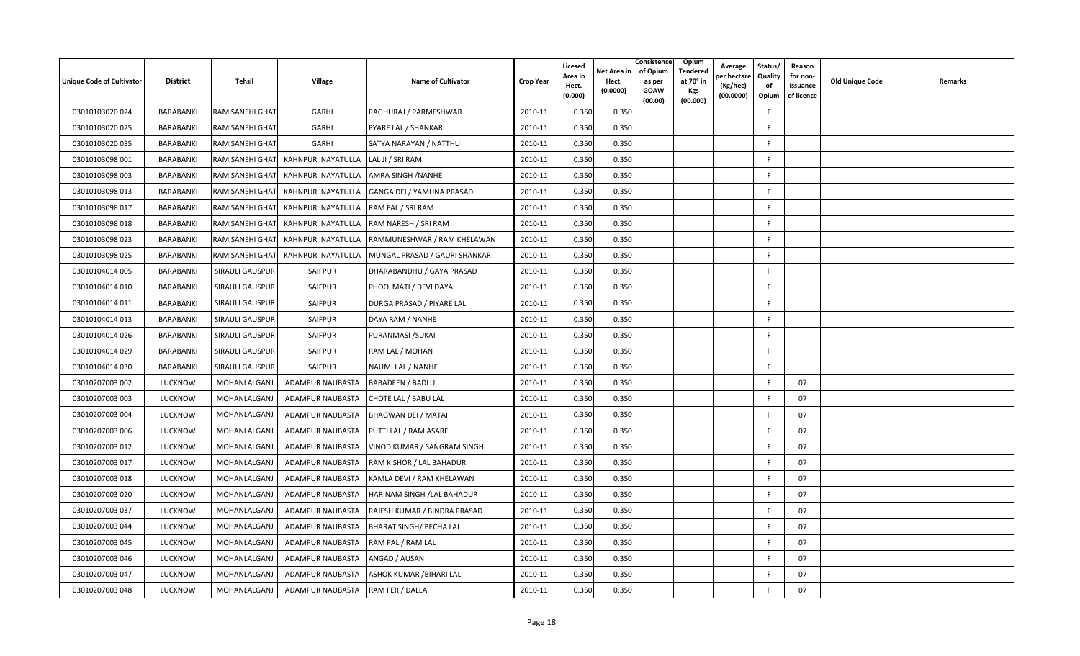| Unique Code of Cultivator | <b>District</b>  | Tehsil                 | Village            | <b>Name of Cultivator</b>      | <b>Crop Year</b> | Licesed<br>Area in<br>Hect.<br>(0.000) | Net Area in<br>Hect.<br>(0.0000) | Consistence<br>Opium<br>of Opium<br>Tendered<br>at 70° in<br>as per<br>GOAW<br>Kgs<br>(00.000)<br>(00.00) | Average<br>per hectare<br>(Kg/hec)<br>(00.0000) | Status/<br>Quality<br>of<br>Opium | Reason<br>for non-<br>issuance<br>of licence | Old Unique Code | Remarks |
|---------------------------|------------------|------------------------|--------------------|--------------------------------|------------------|----------------------------------------|----------------------------------|-----------------------------------------------------------------------------------------------------------|-------------------------------------------------|-----------------------------------|----------------------------------------------|-----------------|---------|
| 03010103020 024           | BARABANKI        | RAM SANEHI GHAT        | GARHI              | RAGHURAJ / PARMESHWAR          | 2010-11          | 0.350                                  | 0.350                            |                                                                                                           |                                                 | E                                 |                                              |                 |         |
| 03010103020 025           | BARABANKI        | RAM SANEHI GHAT        | GARHI              | PYARE LAL / SHANKAR            | 2010-11          | 0.350                                  | 0.350                            |                                                                                                           |                                                 | F                                 |                                              |                 |         |
| 03010103020 035           | BARABANKI        | RAM SANEHI GHAT        | GARHI              | SATYA NARAYAN / NATTHU         | 2010-11          | 0.350                                  | 0.350                            |                                                                                                           |                                                 | F.                                |                                              |                 |         |
| 03010103098 001           | BARABANKI        | RAM SANEHI GHAT        | KAHNPUR INAYATULLA | LAL JI / SRI RAM               | 2010-11          | 0.350                                  | 0.350                            |                                                                                                           |                                                 | F                                 |                                              |                 |         |
| 03010103098 003           | BARABANKI        | RAM SANEHI GHAT        | KAHNPUR INAYATULLA | AMRA SINGH / NANHE             | 2010-11          | 0.350                                  | 0.350                            |                                                                                                           |                                                 | F.                                |                                              |                 |         |
| 03010103098 013           | BARABANKI        | RAM SANEHI GHAT        | KAHNPUR INAYATULLA | GANGA DEI / YAMUNA PRASAD      | 2010-11          | 0.350                                  | 0.350                            |                                                                                                           |                                                 | F.                                |                                              |                 |         |
| 03010103098 017           | BARABANKI        | RAM SANEHI GHAT        | KAHNPUR INAYATULLA | RAM FAL / SRI RAM              | 2010-11          | 0.350                                  | 0.350                            |                                                                                                           |                                                 | F                                 |                                              |                 |         |
| 03010103098 018           | BARABANKI        | RAM SANEHI GHAT        | KAHNPUR INAYATULLA | RAM NARESH / SRI RAM           | 2010-11          | 0.350                                  | 0.350                            |                                                                                                           |                                                 | F                                 |                                              |                 |         |
| 03010103098 023           | BARABANKI        | RAM SANEHI GHAT        | KAHNPUR INAYATULLA | RAMMUNESHWAR / RAM KHELAWAN    | 2010-11          | 0.350                                  | 0.350                            |                                                                                                           |                                                 | F                                 |                                              |                 |         |
| 03010103098 025           | <b>BARABANKI</b> | RAM SANEHI GHAT        | KAHNPUR INAYATULLA | MUNGAL PRASAD / GAURI SHANKAR  | 2010-11          | 0.350                                  | 0.350                            |                                                                                                           |                                                 | F                                 |                                              |                 |         |
| 03010104014 005           | BARABANKI        | <b>SIRAULI GAUSPUR</b> | SAIFPUR            | DHARABANDHU / GAYA PRASAD      | 2010-11          | 0.350                                  | 0.350                            |                                                                                                           |                                                 | F.                                |                                              |                 |         |
| 03010104014 010           | BARABANKI        | <b>SIRAULI GAUSPUR</b> | SAIFPUR            | PHOOLMATI / DEVI DAYAL         | 2010-11          | 0.350                                  | 0.350                            |                                                                                                           |                                                 | F.                                |                                              |                 |         |
| 03010104014 011           | BARABANKI        | SIRAULI GAUSPUR        | <b>SAIFPUR</b>     | DURGA PRASAD / PIYARE LAL      | 2010-11          | 0.350                                  | 0.350                            |                                                                                                           |                                                 | E                                 |                                              |                 |         |
| 03010104014 013           | BARABANKI        | SIRAULI GAUSPUR        | SAIFPUR            | DAYA RAM / NANHE               | 2010-11          | 0.350                                  | 0.350                            |                                                                                                           |                                                 | F.                                |                                              |                 |         |
| 03010104014 026           | BARABANKI        | <b>SIRAULI GAUSPUR</b> | <b>SAIFPUR</b>     | PURANMASI / SUKAI              | 2010-11          | 0.350                                  | 0.350                            |                                                                                                           |                                                 | F.                                |                                              |                 |         |
| 03010104014 029           | BARABANKI        | SIRAULI GAUSPUR        | SAIFPUR            | RAM LAL / MOHAN                | 2010-11          | 0.350                                  | 0.350                            |                                                                                                           |                                                 | F.                                |                                              |                 |         |
| 03010104014 030           | <b>BARABANKI</b> | SIRAULI GAUSPUR        | SAIFPUR            | NAUMI LAL / NANHE              | 2010-11          | 0.350                                  | 0.350                            |                                                                                                           |                                                 | F                                 |                                              |                 |         |
| 03010207003 002           | <b>LUCKNOW</b>   | MOHANLALGANJ           | ADAMPUR NAUBASTA   | <b>BABADEEN / BADLU</b>        | 2010-11          | 0.350                                  | 0.350                            |                                                                                                           |                                                 |                                   | 07                                           |                 |         |
| 03010207003 003           | <b>LUCKNOW</b>   | MOHANLALGANJ           | ADAMPUR NAUBASTA   | CHOTE LAL / BABU LAL           | 2010-11          | 0.350                                  | 0.350                            |                                                                                                           |                                                 | F                                 | 07                                           |                 |         |
| 03010207003 004           | LUCKNOW          | MOHANLALGANJ           | ADAMPUR NAUBASTA   | <b>BHAGWAN DEI / MATAI</b>     | 2010-11          | 0.350                                  | 0.350                            |                                                                                                           |                                                 | F                                 | 07                                           |                 |         |
| 03010207003 006           | <b>LUCKNOW</b>   | MOHANLALGANJ           | ADAMPUR NAUBASTA   | PUTTI LAL / RAM ASARE          | 2010-11          | 0.350                                  | 0.350                            |                                                                                                           |                                                 | E                                 | 07                                           |                 |         |
| 03010207003 012           | <b>LUCKNOW</b>   | MOHANLALGANJ           | ADAMPUR NAUBASTA   | VINOD KUMAR / SANGRAM SINGH    | 2010-11          | 0.350                                  | 0.350                            |                                                                                                           |                                                 | F                                 | 07                                           |                 |         |
| 03010207003 017           | <b>LUCKNOW</b>   | MOHANLALGANJ           | ADAMPUR NAUBASTA   | RAM KISHOR / LAL BAHADUR       | 2010-11          | 0.350                                  | 0.350                            |                                                                                                           |                                                 | F                                 | 07                                           |                 |         |
| 03010207003 018           | <b>LUCKNOW</b>   | MOHANLALGANJ           | ADAMPUR NAUBASTA   | KAMLA DEVI / RAM KHELAWAN      | 2010-11          | 0.350                                  | 0.350                            |                                                                                                           |                                                 | E                                 | 07                                           |                 |         |
| 03010207003 020           | <b>LUCKNOW</b>   | MOHANLALGANJ           | ADAMPUR NAUBASTA   | HARINAM SINGH /LAL BAHADUR     | 2010-11          | 0.350                                  | 0.350                            |                                                                                                           |                                                 | $\mathsf{F}$                      | 07                                           |                 |         |
| 03010207003 037           | <b>LUCKNOW</b>   | MOHANLALGANJ           | ADAMPUR NAUBASTA   | RAJESH KUMAR / BINDRA PRASAD   | 2010-11          | 0.350                                  | 0.350                            |                                                                                                           |                                                 | E                                 | 07                                           |                 |         |
| 03010207003 044           | <b>LUCKNOW</b>   | MOHANLALGANJ           | ADAMPUR NAUBASTA   | <b>BHARAT SINGH/ BECHA LAL</b> | 2010-11          | 0.350                                  | 0.350                            |                                                                                                           |                                                 | F                                 | 07                                           |                 |         |
| 03010207003 045           | <b>LUCKNOW</b>   | MOHANLALGANJ           | ADAMPUR NAUBASTA   | RAM PAL / RAM LAL              | 2010-11          | 0.350                                  | 0.350                            |                                                                                                           |                                                 | F                                 | 07                                           |                 |         |
| 03010207003 046           | <b>LUCKNOW</b>   | MOHANLALGANJ           | ADAMPUR NAUBASTA   | ANGAD / AUSAN                  | 2010-11          | 0.350                                  | 0.350                            |                                                                                                           |                                                 | -F                                | 07                                           |                 |         |
| 03010207003 047           | <b>LUCKNOW</b>   | MOHANLALGANJ           | ADAMPUR NAUBASTA   | ASHOK KUMAR /BIHARI LAL        | 2010-11          | 0.350                                  | 0.350                            |                                                                                                           |                                                 | E                                 | 07                                           |                 |         |
| 03010207003 048           | <b>LUCKNOW</b>   | MOHANLALGANJ           | ADAMPUR NAUBASTA   | RAM FER / DALLA                | 2010-11          | 0.350                                  | 0.350                            |                                                                                                           |                                                 | F                                 | 07                                           |                 |         |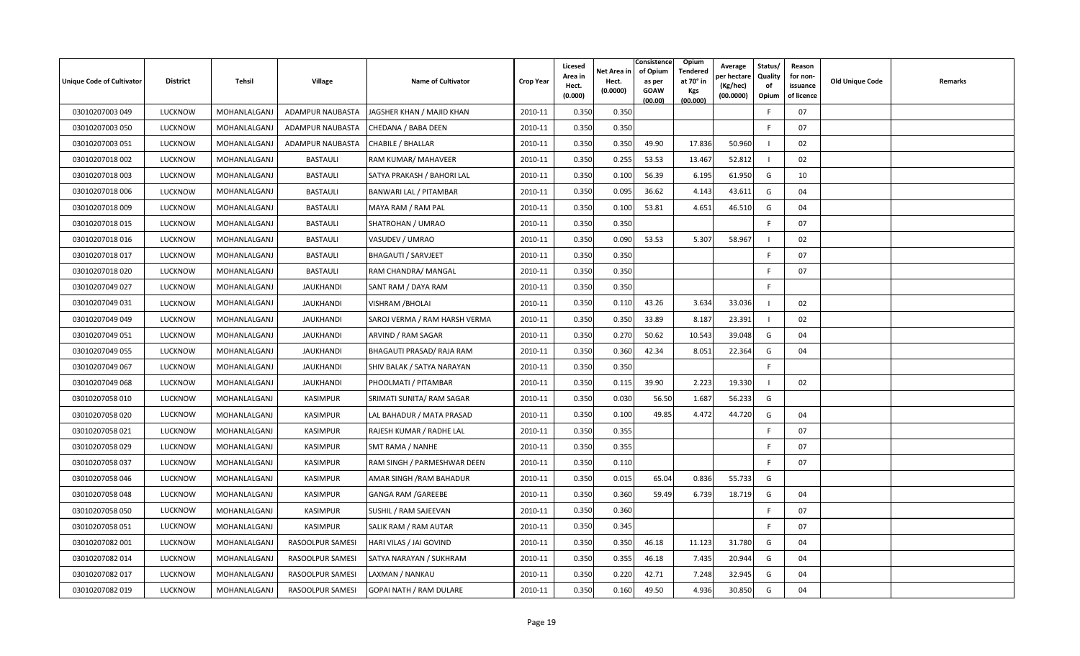| Unique Code of Cultivator | <b>District</b> | Tehsil              | Village          | <b>Name of Cultivator</b>      | <b>Crop Year</b> | Licesed<br>Area in<br>Hect.<br>(0.000) | Net Area in<br>Hect.<br>(0.0000) | Consistence<br>of Opium<br>as per<br>GOAW<br>(00.00) | Opium<br>Tendered<br>at 70° in<br>Kgs<br>(00.000) | Average<br>oer hectare<br>(Kg/hec)<br>(00.0000) | Status/<br>Quality<br>of<br>Opium | Reason<br>for non-<br>issuance<br>of licence | Old Unique Code | Remarks |
|---------------------------|-----------------|---------------------|------------------|--------------------------------|------------------|----------------------------------------|----------------------------------|------------------------------------------------------|---------------------------------------------------|-------------------------------------------------|-----------------------------------|----------------------------------------------|-----------------|---------|
| 03010207003 049           | <b>LUCKNOW</b>  | MOHANLALGANJ        | ADAMPUR NAUBASTA | JAGSHER KHAN / MAJID KHAN      | 2010-11          | 0.350                                  | 0.350                            |                                                      |                                                   |                                                 | E                                 | 07                                           |                 |         |
| 03010207003 050           | <b>LUCKNOW</b>  | MOHANLALGANJ        | ADAMPUR NAUBASTA | CHEDANA / BABA DEEN            | 2010-11          | 0.350                                  | 0.350                            |                                                      |                                                   |                                                 | F                                 | 07                                           |                 |         |
| 03010207003 051           | <b>LUCKNOW</b>  | MOHANLALGANJ        | ADAMPUR NAUBASTA | CHABILE / BHALLAR              | 2010-11          | 0.350                                  | 0.350                            | 49.90                                                | 17.836                                            | 50.960                                          |                                   | 02                                           |                 |         |
| 03010207018 002           | <b>LUCKNOW</b>  | MOHANLALGANJ        | <b>BASTAULI</b>  | RAM KUMAR/ MAHAVEER            | 2010-11          | 0.350                                  | 0.255                            | 53.53                                                | 13.467                                            | 52.812                                          |                                   | 02                                           |                 |         |
| 03010207018 003           | <b>LUCKNOW</b>  | MOHANLALGANJ        | <b>BASTAULI</b>  | SATYA PRAKASH / BAHORI LAL     | 2010-11          | 0.350                                  | 0.100                            | 56.39                                                | 6.195                                             | 61.950                                          | G                                 | 10                                           |                 |         |
| 03010207018 006           | <b>LUCKNOW</b>  | MOHANLALGANJ        | <b>BASTAULI</b>  | BANWARI LAL / PITAMBAR         | 2010-11          | 0.350                                  | 0.095                            | 36.62                                                | 4.143                                             | 43.611                                          | G                                 | 04                                           |                 |         |
| 03010207018 009           | <b>LUCKNOW</b>  | MOHANLALGANJ        | <b>BASTAULI</b>  | MAYA RAM / RAM PAL             | 2010-11          | 0.350                                  | 0.100                            | 53.81                                                | 4.651                                             | 46.510                                          | G                                 | 04                                           |                 |         |
| 03010207018 015           | <b>LUCKNOW</b>  | MOHANLALGANJ        | <b>BASTAULI</b>  | SHATROHAN / UMRAO              | 2010-11          | 0.350                                  | 0.350                            |                                                      |                                                   |                                                 | F.                                | 07                                           |                 |         |
| 03010207018 016           | <b>LUCKNOW</b>  | MOHANLALGANJ        | <b>BASTAULI</b>  | VASUDEV / UMRAO                | 2010-11          | 0.350                                  | 0.090                            | 53.53                                                | 5.307                                             | 58.967                                          |                                   | 02                                           |                 |         |
| 03010207018 017           | <b>LUCKNOW</b>  | MOHANLALGANJ        | <b>BASTAULI</b>  | <b>BHAGAUTI / SARVJEET</b>     | 2010-11          | 0.350                                  | 0.350                            |                                                      |                                                   |                                                 | E                                 | 07                                           |                 |         |
| 03010207018020            | <b>LUCKNOW</b>  | MOHANLALGANJ        | <b>BASTAULI</b>  | RAM CHANDRA/ MANGAL            | 2010-11          | 0.350                                  | 0.350                            |                                                      |                                                   |                                                 | E                                 | 07                                           |                 |         |
| 03010207049 027           | <b>LUCKNOW</b>  | MOHANLALGANJ        | <b>JAUKHANDI</b> | SANT RAM / DAYA RAM            | 2010-11          | 0.350                                  | 0.350                            |                                                      |                                                   |                                                 | F.                                |                                              |                 |         |
| 03010207049 031           | <b>LUCKNOW</b>  | MOHANLALGANJ        | <b>JAUKHANDI</b> | <b>VISHRAM / BHOLAI</b>        | 2010-11          | 0.350                                  | 0.110                            | 43.26                                                | 3.634                                             | 33.036                                          |                                   | 02                                           |                 |         |
| 03010207049 049           | <b>LUCKNOW</b>  | MOHANLALGANJ        | <b>JAUKHANDI</b> | SAROJ VERMA / RAM HARSH VERMA  | 2010-11          | 0.350                                  | 0.350                            | 33.89                                                | 8.187                                             | 23.391                                          |                                   | 02                                           |                 |         |
| 03010207049 051           | <b>LUCKNOW</b>  | MOHANLALGAN.        | <b>JAUKHANDI</b> | ARVIND / RAM SAGAR             | 2010-11          | 0.350                                  | 0.270                            | 50.62                                                | 10.543                                            | 39.048                                          | G                                 | 04                                           |                 |         |
| 03010207049 055           | <b>LUCKNOW</b>  | MOHANLALGANJ        | JAUKHANDI        | BHAGAUTI PRASAD/ RAJA RAM      | 2010-11          | 0.350                                  | 0.360                            | 42.34                                                | 8.051                                             | 22.364                                          | G                                 | 04                                           |                 |         |
| 03010207049 067           | <b>LUCKNOW</b>  | MOHANLALGANJ        | <b>JAUKHANDI</b> | SHIV BALAK / SATYA NARAYAN     | 2010-11          | 0.350                                  | 0.350                            |                                                      |                                                   |                                                 | F.                                |                                              |                 |         |
| 03010207049 068           | <b>LUCKNOW</b>  | MOHANLALGANJ        | <b>JAUKHANDI</b> | PHOOLMATI / PITAMBAR           | 2010-11          | 0.350                                  | 0.115                            | 39.90                                                | 2.223                                             | 19.330                                          |                                   | 02                                           |                 |         |
| 03010207058 010           | <b>LUCKNOW</b>  | MOHANLALGANJ        | <b>KASIMPUR</b>  | SRIMATI SUNITA/ RAM SAGAR      | 2010-11          | 0.350                                  | 0.030                            | 56.50                                                | 1.687                                             | 56.233                                          | G                                 |                                              |                 |         |
| 03010207058 020           | <b>LUCKNOW</b>  | <b>MOHANLALGANJ</b> | KASIMPUR         | LAL BAHADUR / MATA PRASAD      | 2010-11          | 0.350                                  | 0.100                            | 49.85                                                | 4.472                                             | 44.720                                          | G                                 | 04                                           |                 |         |
| 03010207058 021           | <b>LUCKNOW</b>  | MOHANLALGANJ        | KASIMPUR         | RAJESH KUMAR / RADHE LAL       | 2010-11          | 0.350                                  | 0.355                            |                                                      |                                                   |                                                 | E                                 | 07                                           |                 |         |
| 03010207058 029           | <b>LUCKNOW</b>  | MOHANLALGANJ        | KASIMPUR         | SMT RAMA / NANHE               | 2010-11          | 0.350                                  | 0.355                            |                                                      |                                                   |                                                 | F                                 | 07                                           |                 |         |
| 03010207058 037           | <b>LUCKNOW</b>  | MOHANLALGANJ        | <b>KASIMPUR</b>  | RAM SINGH / PARMESHWAR DEEN    | 2010-11          | 0.350                                  | 0.110                            |                                                      |                                                   |                                                 | E                                 | 07                                           |                 |         |
| 03010207058 046           | <b>LUCKNOW</b>  | MOHANLALGANJ        | <b>KASIMPUR</b>  | AMAR SINGH / RAM BAHADUR       | 2010-11          | 0.350                                  | 0.015                            | 65.04                                                | 0.836                                             | 55.733                                          | G                                 |                                              |                 |         |
| 03010207058 048           | <b>LUCKNOW</b>  | <b>MOHANLALGANJ</b> | KASIMPUR         | <b>GANGA RAM / GAREEBE</b>     | 2010-11          | 0.350                                  | 0.360                            | 59.49                                                | 6.739                                             | 18.719                                          | G                                 | 04                                           |                 |         |
| 03010207058 050           | <b>LUCKNOW</b>  | MOHANLALGANJ        | KASIMPUR         | SUSHIL / RAM SAJEEVAN          | 2010-11          | 0.350                                  | 0.360                            |                                                      |                                                   |                                                 | -F                                | 07                                           |                 |         |
| 03010207058 051           | <b>LUCKNOW</b>  | MOHANLALGANJ        | KASIMPUR         | SALIK RAM / RAM AUTAR          | 2010-11          | 0.350                                  | 0.345                            |                                                      |                                                   |                                                 | F                                 | 07                                           |                 |         |
| 03010207082 001           | <b>LUCKNOW</b>  | MOHANLALGANJ        | RASOOLPUR SAMESI | HARI VILAS / JAI GOVIND        | 2010-11          | 0.350                                  | 0.350                            | 46.18                                                | 11.123                                            | 31.780                                          | G                                 | 04                                           |                 |         |
| 03010207082 014           | <b>LUCKNOW</b>  | MOHANLALGAN.        | RASOOLPUR SAMESI | SATYA NARAYAN / SUKHRAM        | 2010-11          | 0.350                                  | 0.355                            | 46.18                                                | 7.435                                             | 20.944                                          | G                                 | 04                                           |                 |         |
| 03010207082 017           | <b>LUCKNOW</b>  | MOHANLALGAN.        | RASOOLPUR SAMESI | AXMAN / NANKAU                 | 2010-11          | 0.350                                  | 0.220                            | 42.71                                                | 7.248                                             | 32.945                                          | G                                 | 04                                           |                 |         |
| 03010207082 019           | <b>LUCKNOW</b>  | MOHANLALGANJ        | RASOOLPUR SAMESI | <b>GOPAI NATH / RAM DULARE</b> | 2010-11          | 0.350                                  | 0.160                            | 49.50                                                | 4.936                                             | 30.850                                          | G                                 | 04                                           |                 |         |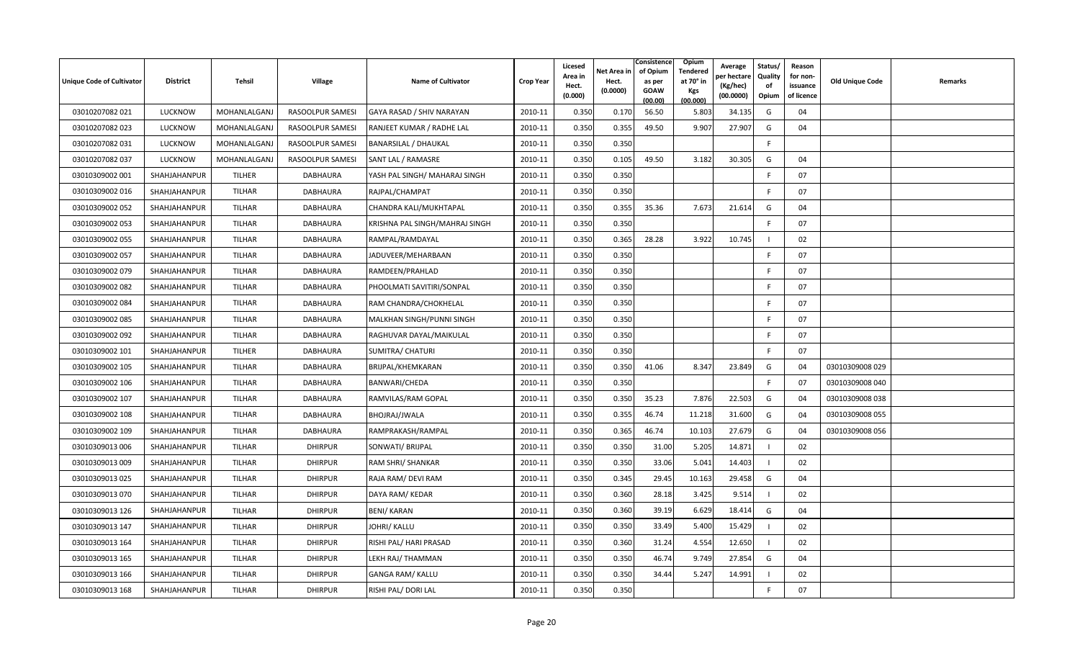| <b>Unique Code of Cultivator</b> | <b>District</b> | Tehsil        | Village          | <b>Name of Cultivator</b>      | <b>Crop Year</b> | Licesed<br>Area in<br>Hect.<br>(0.000) | Net Area in<br>Hect.<br>(0.0000) | Consistence<br>of Opium<br>as per<br><b>GOAW</b><br>(00.00) | Opium<br>Tendered<br>at 70° in<br>Kgs<br>(00.000) | Average<br>oer hectar<br>(Kg/hec)<br>(00.0000) | Status/<br>Quality<br>of<br>Opium | Reason<br>for non-<br>issuance<br>of licence | Old Unique Code | Remarks |
|----------------------------------|-----------------|---------------|------------------|--------------------------------|------------------|----------------------------------------|----------------------------------|-------------------------------------------------------------|---------------------------------------------------|------------------------------------------------|-----------------------------------|----------------------------------------------|-----------------|---------|
| 03010207082 021                  | <b>LUCKNOW</b>  | MOHANLALGANJ  | RASOOLPUR SAMESI | GAYA RASAD / SHIV NARAYAN      | 2010-11          | 0.350                                  | 0.170                            | 56.50                                                       | 5.803                                             | 34.135                                         | G                                 | 04                                           |                 |         |
| 03010207082 023                  | LUCKNOW         | MOHANLALGANJ  | RASOOLPUR SAMESI | RANJEET KUMAR / RADHE LAL      | 2010-11          | 0.350                                  | 0.355                            | 49.50                                                       | 9.907                                             | 27.907                                         | G                                 | 04                                           |                 |         |
| 03010207082 031                  | <b>LUCKNOW</b>  | MOHANLALGAN.  | RASOOLPUR SAMESI | <b>BANARSILAL / DHAUKAL</b>    | 2010-11          | 0.350                                  | 0.350                            |                                                             |                                                   |                                                | F.                                |                                              |                 |         |
| 03010207082 037                  | <b>LUCKNOW</b>  | MOHANLALGANJ  | RASOOLPUR SAMESI | SANT LAL / RAMASRE             | 2010-11          | 0.350                                  | 0.105                            | 49.50                                                       | 3.182                                             | 30.305                                         | G                                 | 04                                           |                 |         |
| 03010309002 001                  | SHAHJAHANPUR    | TILHER        | DABHAURA         | YASH PAL SINGH/ MAHARAJ SINGH  | 2010-11          | 0.350                                  | 0.350                            |                                                             |                                                   |                                                | -F                                | 07                                           |                 |         |
| 03010309002 016                  | SHAHJAHANPUR    | TILHAR        | DABHAURA         | RAJPAL/CHAMPAT                 | 2010-11          | 0.350                                  | 0.350                            |                                                             |                                                   |                                                | -F                                | 07                                           |                 |         |
| 03010309002 052                  | SHAHJAHANPUR    | TILHAR        | <b>DABHAURA</b>  | CHANDRA KALI/MUKHTAPAL         | 2010-11          | 0.350                                  | 0.355                            | 35.36                                                       | 7.673                                             | 21.614                                         | G                                 | 04                                           |                 |         |
| 03010309002 053                  | SHAHJAHANPUR    | TILHAR        | DABHAURA         | KRISHNA PAL SINGH/MAHRAJ SINGH | 2010-11          | 0.350                                  | 0.350                            |                                                             |                                                   |                                                | F.                                | 07                                           |                 |         |
| 03010309002 055                  | SHAHJAHANPUR    | TILHAR        | <b>DABHAURA</b>  | RAMPAL/RAMDAYAL                | 2010-11          | 0.350                                  | 0.365                            | 28.28                                                       | 3.922                                             | 10.745                                         |                                   | 02                                           |                 |         |
| 03010309002 057                  | SHAHJAHANPUR    | TILHAR        | DABHAURA         | JADUVEER/MEHARBAAN             | 2010-11          | 0.350                                  | 0.350                            |                                                             |                                                   |                                                | F                                 | 07                                           |                 |         |
| 03010309002 079                  | SHAHJAHANPUR    | TILHAR        | <b>DABHAURA</b>  | RAMDEEN/PRAHLAD                | 2010-11          | 0.350                                  | 0.350                            |                                                             |                                                   |                                                | E                                 | 07                                           |                 |         |
| 03010309002 082                  | SHAHJAHANPUR    | TILHAR        | <b>DABHAURA</b>  | PHOOLMATI SAVITIRI/SONPAL      | 2010-11          | 0.350                                  | 0.350                            |                                                             |                                                   |                                                | F                                 | 07                                           |                 |         |
| 03010309002 084                  | SHAHJAHANPUR    | TILHAR        | DABHAURA         | RAM CHANDRA/CHOKHELAL          | 2010-11          | 0.350                                  | 0.350                            |                                                             |                                                   |                                                | E                                 | 07                                           |                 |         |
| 03010309002 085                  | SHAHJAHANPUR    | TILHAR        | DABHAURA         | MALKHAN SINGH/PUNNI SINGH      | 2010-11          | 0.350                                  | 0.350                            |                                                             |                                                   |                                                | -F                                | 07                                           |                 |         |
| 03010309002 092                  | SHAHJAHANPUR    | TILHAR        | DABHAURA         | RAGHUVAR DAYAL/MAIKULAL        | 2010-11          | 0.350                                  | 0.350                            |                                                             |                                                   |                                                | F                                 | 07                                           |                 |         |
| 03010309002 101                  | SHAHJAHANPUR    | TILHER        | DABHAURA         | SUMITRA/ CHATURI               | 2010-11          | 0.350                                  | 0.350                            |                                                             |                                                   |                                                | -F                                | 07                                           |                 |         |
| 03010309002 105                  | SHAHJAHANPUR    | TILHAR        | DABHAURA         | BRIJPAL/KHEMKARAN              | 2010-11          | 0.350                                  | 0.350                            | 41.06                                                       | 8.347                                             | 23.849                                         | G                                 | 04                                           | 03010309008 029 |         |
| 03010309002 106                  | SHAHJAHANPUR    | TILHAR        | DABHAURA         | <b>BANWARI/CHEDA</b>           | 2010-11          | 0.350                                  | 0.350                            |                                                             |                                                   |                                                | E                                 | 07                                           | 03010309008 040 |         |
| 03010309002 107                  | SHAHJAHANPUR    | TILHAR        | <b>DABHAURA</b>  | RAMVILAS/RAM GOPAL             | 2010-11          | 0.350                                  | 0.350                            | 35.23                                                       | 7.876                                             | 22.503                                         | G                                 | 04                                           | 03010309008 038 |         |
| 03010309002 108                  | SHAHJAHANPUR    | TILHAR        | DABHAURA         | BHOJRAJ/JWALA                  | 2010-11          | 0.350                                  | 0.355                            | 46.74                                                       | 11.218                                            | 31.600                                         | G                                 | 04                                           | 03010309008 055 |         |
| 03010309002 109                  | SHAHJAHANPUR    | TILHAR        | DABHAURA         | RAMPRAKASH/RAMPAL              | 2010-11          | 0.350                                  | 0.365                            | 46.74                                                       | 10.103                                            | 27.679                                         | G                                 | 04                                           | 03010309008 056 |         |
| 03010309013 006                  | SHAHJAHANPUR    | TILHAR        | <b>DHIRPUR</b>   | SONWATI/ BRIJPAL               | 2010-11          | 0.350                                  | 0.350                            | 31.00                                                       | 5.205                                             | 14.871                                         |                                   | 02                                           |                 |         |
| 03010309013 009                  | SHAHJAHANPUR    | TILHAR        | <b>DHIRPUR</b>   | RAM SHRI/ SHANKAR              | 2010-11          | 0.350                                  | 0.350                            | 33.06                                                       | 5.041                                             | 14.403                                         |                                   | 02                                           |                 |         |
| 03010309013 025                  | SHAHJAHANPUR    | TILHAR        | <b>DHIRPUR</b>   | RAJA RAM/ DEVI RAM             | 2010-11          | 0.350                                  | 0.345                            | 29.45                                                       | 10.163                                            | 29.458                                         | G                                 | 04                                           |                 |         |
| 03010309013 070                  | SHAHJAHANPUR    | <b>TILHAR</b> | <b>DHIRPUR</b>   | DAYA RAM/KEDAR                 | 2010-11          | 0.350                                  | 0.360                            | 28.18                                                       | 3.425                                             | 9.514                                          |                                   | 02                                           |                 |         |
| 03010309013 126                  | SHAHJAHANPUR    | TILHAR        | <b>DHIRPUR</b>   | <b>BENI/ KARAN</b>             | 2010-11          | 0.350                                  | 0.360                            | 39.19                                                       | 6.629                                             | 18.414                                         | G                                 | 04                                           |                 |         |
| 03010309013 147                  | SHAHJAHANPUR    | TILHAR        | <b>DHIRPUR</b>   | <b>JOHRI/ KALLU</b>            | 2010-11          | 0.350                                  | 0.350                            | 33.49                                                       | 5.400                                             | 15.429                                         |                                   | 02                                           |                 |         |
| 03010309013 164                  | SHAHJAHANPUR    | TILHAR        | <b>DHIRPUR</b>   | RISHI PAL/ HARI PRASAD         | 2010-11          | 0.350                                  | 0.360                            | 31.24                                                       | 4.554                                             | 12.650                                         |                                   | 02                                           |                 |         |
| 03010309013 165                  | SHAHJAHANPUR    | TILHAR        | <b>DHIRPUR</b>   | LEKH RAJ/ THAMMAN              | 2010-11          | 0.350                                  | 0.350                            | 46.74                                                       | 9.749                                             | 27.854                                         | G                                 | 04                                           |                 |         |
| 03010309013 166                  | SHAHJAHANPUR    | <b>TILHAR</b> | <b>DHIRPUR</b>   | <b>GANGA RAM/ KALLU</b>        | 2010-11          | 0.350                                  | 0.350                            | 34.44                                                       | 5.247                                             | 14.991                                         |                                   | 02                                           |                 |         |
| 03010309013 168                  | SHAHJAHANPUR    | TILHAR        | <b>DHIRPUR</b>   | RISHI PAL/ DORI LAL            | 2010-11          | 0.350                                  | 0.350                            |                                                             |                                                   |                                                | F                                 | 07                                           |                 |         |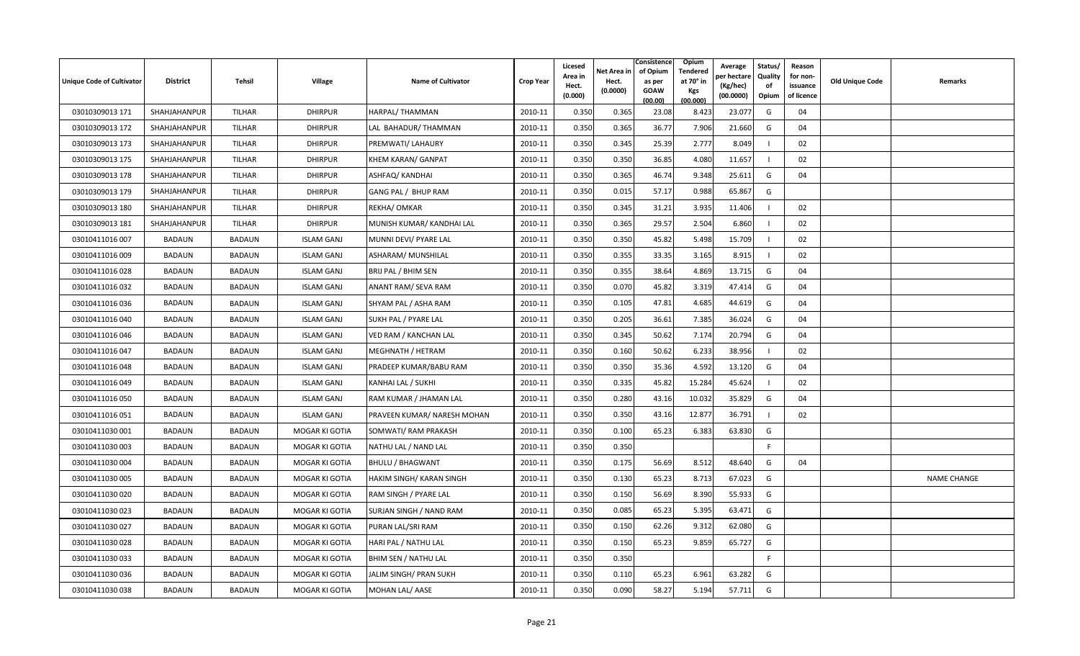| Unique Code of Cultivator | <b>District</b> | Tehsil        | <b>Village</b>        | <b>Name of Cultivator</b>   | <b>Crop Year</b> | Licesed<br>Area in | Net Area in<br>Hect. | Consistence<br>of Opium<br>as per | Opium<br>Tendered<br>at 70° in | Average<br>er hectar  | Status/<br>Quality | Reason<br>for non-     | <b>Old Unique Code</b> | Remarks            |
|---------------------------|-----------------|---------------|-----------------------|-----------------------------|------------------|--------------------|----------------------|-----------------------------------|--------------------------------|-----------------------|--------------------|------------------------|------------------------|--------------------|
|                           |                 |               |                       |                             |                  | Hect.<br>(0.000)   | (0.0000)             | <b>GOAW</b><br>(00.00)            | Kgs<br>(00.000)                | (Kg/hec)<br>(00.0000) | of<br>Opium        | issuance<br>of licence |                        |                    |
| 03010309013 171           | SHAHJAHANPUR    | TILHAR        | <b>DHIRPUR</b>        | HARPAL/THAMMAN              | 2010-11          | 0.350              | 0.365                | 23.08                             | 8.423                          | 23.077                | G                  | 04                     |                        |                    |
| 03010309013 172           | SHAHJAHANPUR    | TILHAR        | <b>DHIRPUR</b>        | LAL BAHADUR/THAMMAN         | 2010-11          | 0.350              | 0.365                | 36.77                             | 7.906                          | 21.660                | G                  | 04                     |                        |                    |
| 03010309013 173           | SHAHJAHANPUR    | TILHAR        | <b>DHIRPUR</b>        | PREMWATI/ LAHAURY           | 2010-11          | 0.350              | 0.345                | 25.39                             | 2.777                          | 8.049                 |                    | 02                     |                        |                    |
| 03010309013 175           | SHAHJAHANPUR    | TILHAR        | <b>DHIRPUR</b>        | <b>KHEM KARAN/ GANPAT</b>   | 2010-11          | 0.350              | 0.350                | 36.85                             | 4.080                          | 11.657                | - 1                | 02                     |                        |                    |
| 03010309013 178           | SHAHJAHANPUR    | TILHAR        | <b>DHIRPUR</b>        | ASHFAQ/ KANDHAI             | 2010-11          | 0.350              | 0.365                | 46.74                             | 9.348                          | 25.611                | G                  | 04                     |                        |                    |
| 03010309013 179           | SHAHJAHANPUR    | TILHAR        | <b>DHIRPUR</b>        | GANG PAL / BHUP RAM         | 2010-11          | 0.350              | 0.015                | 57.17                             | 0.988                          | 65.867                | G                  |                        |                        |                    |
| 03010309013 180           | SHAHJAHANPUR    | TILHAR        | <b>DHIRPUR</b>        | REKHA/ OMKAR                | 2010-11          | 0.350              | 0.345                | 31.21                             | 3.935                          | 11.406                |                    | 02                     |                        |                    |
| 03010309013 181           | SHAHJAHANPUR    | TILHAR        | <b>DHIRPUR</b>        | MUNISH KUMAR/ KANDHAI LAL   | 2010-11          | 0.350              | 0.365                | 29.57                             | 2.504                          | 6.860                 |                    | 02                     |                        |                    |
| 03010411016 007           | BADAUN          | <b>BADAUN</b> | <b>ISLAM GANJ</b>     | MUNNI DEVI/ PYARE LAL       | 2010-11          | 0.350              | 0.350                | 45.82                             | 5.498                          | 15.709                |                    | 02                     |                        |                    |
| 03010411016 009           | <b>BADAUN</b>   | <b>BADAUN</b> | <b>ISLAM GANJ</b>     | ASHARAM/ MUNSHILAL          | 2010-11          | 0.350              | 0.355                | 33.35                             | 3.165                          | 8.915                 |                    | 02                     |                        |                    |
| 03010411016 028           | <b>BADAUN</b>   | <b>BADAUN</b> | <b>ISLAM GANJ</b>     | BRIJ PAL / BHIM SEN         | 2010-11          | 0.350              | 0.355                | 38.64                             | 4.869                          | 13.715                | G                  | 04                     |                        |                    |
| 03010411016 032           | BADAUN          | <b>BADAUN</b> | <b>ISLAM GANJ</b>     | ANANT RAM/ SEVA RAM         | 2010-11          | 0.350              | 0.070                | 45.82                             | 3.319                          | 47.414                | G                  | 04                     |                        |                    |
| 03010411016 036           | BADAUN          | <b>BADAUN</b> | <b>ISLAM GANJ</b>     | SHYAM PAL / ASHA RAM        | 2010-11          | 0.350              | 0.105                | 47.81                             | 4.685                          | 44.619                | G                  | 04                     |                        |                    |
| 03010411016 040           | BADAUN          | <b>BADAUN</b> | <b>ISLAM GANJ</b>     | SUKH PAL / PYARE LAL        | 2010-11          | 0.350              | 0.205                | 36.61                             | 7.385                          | 36.024                | G                  | 04                     |                        |                    |
| 03010411016 046           | BADAUN          | <b>BADAUN</b> | <b>ISLAM GANJ</b>     | VED RAM / KANCHAN LAL       | 2010-11          | 0.350              | 0.345                | 50.62                             | 7.174                          | 20.794                | G                  | 04                     |                        |                    |
| 03010411016 047           | BADAUN          | <b>BADAUN</b> | <b>ISLAM GANJ</b>     | MEGHNATH / HETRAM           | 2010-11          | 0.350              | 0.160                | 50.62                             | 6.233                          | 38.956                |                    | 02                     |                        |                    |
| 03010411016 048           | BADAUN          | <b>BADAUN</b> | <b>ISLAM GANJ</b>     | PRADEEP KUMAR/BABU RAM      | 2010-11          | 0.350              | 0.350                | 35.36                             | 4.592                          | 13.120                | G                  | 04                     |                        |                    |
| 03010411016 049           | BADAUN          | <b>BADAUN</b> | <b>ISLAM GANJ</b>     | KANHAI LAL / SUKHI          | 2010-11          | 0.350              | 0.335                | 45.82                             | 15.284                         | 45.624                |                    | 02                     |                        |                    |
| 03010411016 050           | BADAUN          | <b>BADAUN</b> | <b>ISLAM GANJ</b>     | RAM KUMAR / JHAMAN LAL      | 2010-11          | 0.350              | 0.280                | 43.16                             | 10.032                         | 35.829                | G                  | 04                     |                        |                    |
| 03010411016 051           | <b>BADAUN</b>   | <b>BADAUN</b> | <b>ISLAM GANJ</b>     | PRAVEEN KUMAR/ NARESH MOHAN | 2010-11          | 0.350              | 0.350                | 43.16                             | 12.877                         | 36.791                |                    | 02                     |                        |                    |
| 03010411030 001           | BADAUN          | <b>BADAUN</b> | MOGAR KI GOTIA        | SOMWATI/ RAM PRAKASH        | 2010-11          | 0.350              | 0.100                | 65.23                             | 6.383                          | 63.830                | G                  |                        |                        |                    |
| 03010411030 003           | <b>BADAUN</b>   | <b>BADAUN</b> | MOGAR KI GOTIA        | NATHU LAL / NAND LAL        | 2010-11          | 0.350              | 0.350                |                                   |                                |                       | -F                 |                        |                        |                    |
| 03010411030 004           | BADAUN          | <b>BADAUN</b> | MOGAR KI GOTIA        | <b>BHULU / BHAGWANT</b>     | 2010-11          | 0.350              | 0.175                | 56.69                             | 8.512                          | 48.640                | G                  | 04                     |                        |                    |
| 03010411030 005           | BADAUN          | <b>BADAUN</b> | MOGAR KI GOTIA        | HAKIM SINGH/KARAN SINGH     | 2010-11          | 0.350              | 0.130                | 65.23                             | 8.713                          | 67.023                | G                  |                        |                        | <b>NAME CHANGE</b> |
| 03010411030 020           | BADAUN          | <b>BADAUN</b> | MOGAR KI GOTIA        | RAM SINGH / PYARE LAL       | 2010-11          | 0.350              | 0.150                | 56.69                             | 8.390                          | 55.933                | G                  |                        |                        |                    |
| 03010411030 023           | BADAUN          | <b>BADAUN</b> | MOGAR KI GOTIA        | SURJAN SINGH / NAND RAM     | 2010-11          | 0.350              | 0.085                | 65.23                             | 5.395                          | 63.471                | G                  |                        |                        |                    |
| 03010411030 027           | <b>BADAUN</b>   | <b>BADAUN</b> | MOGAR KI GOTIA        | PURAN LAL/SRI RAM           | 2010-11          | 0.350              | 0.150                | 62.26                             | 9.312                          | 62.080                | G                  |                        |                        |                    |
| 03010411030 028           | BADAUN          | <b>BADAUN</b> | MOGAR KI GOTIA        | HARI PAL / NATHU LAL        | 2010-11          | 0.350              | 0.150                | 65.23                             | 9.859                          | 65.727                | G                  |                        |                        |                    |
| 03010411030 033           | BADAUN          | <b>BADAUN</b> | <b>MOGAR KI GOTIA</b> | BHIM SEN / NATHU LAL        | 2010-11          | 0.350              | 0.350                |                                   |                                |                       | E                  |                        |                        |                    |
| 03010411030 036           | <b>BADAUN</b>   | <b>BADAUN</b> | MOGAR KI GOTIA        | JALIM SINGH/ PRAN SUKH      | 2010-11          | 0.350              | 0.110                | 65.23                             | 6.961                          | 63.282                | G                  |                        |                        |                    |
| 03010411030 038           | BADAUN          | <b>BADAUN</b> | MOGAR KI GOTIA        | MOHAN LAL/ AASE             | 2010-11          | 0.350              | 0.090                | 58.27                             | 5.194                          | 57.711                | G                  |                        |                        |                    |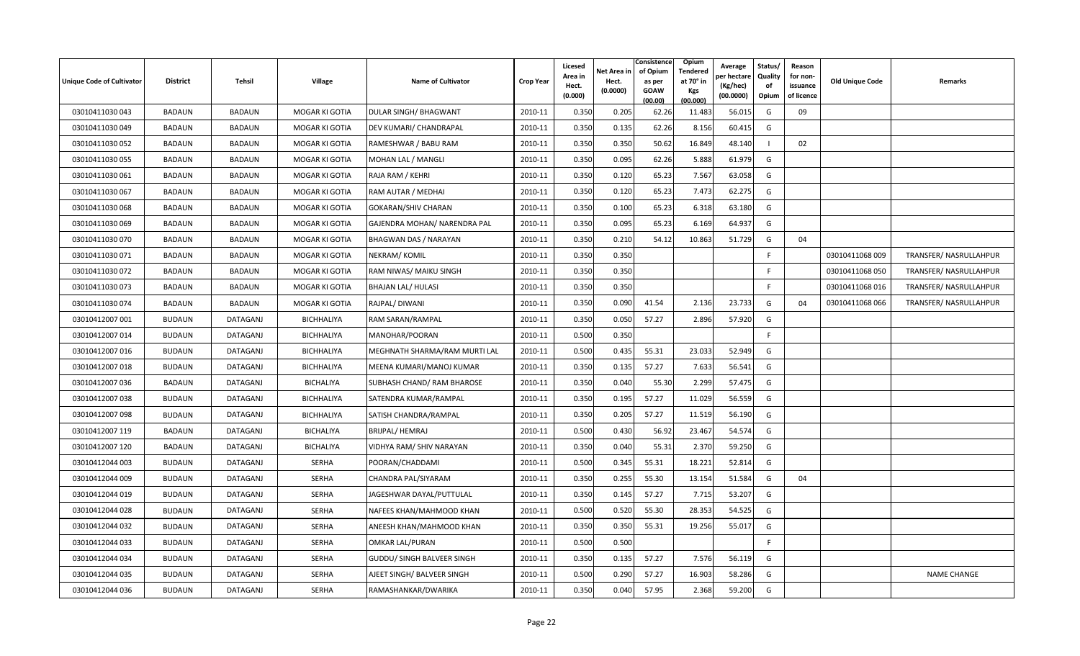| Unique Code of Cultivator | <b>District</b> | <b>Tehsil</b>   | Village           | <b>Name of Cultivator</b>         | <b>Crop Year</b> | Licesed<br>Area in<br>Hect.<br>(0.000) | Net Area in<br>Hect.<br>(0.0000) | Consistence<br>of Opium<br>as per<br><b>GOAW</b><br>(00.00) | Opium<br><b>Tendered</b><br>at 70° in<br><b>Kgs</b><br>(00.000) | Average<br>er hectar<br>(Kg/hec)<br>(00.0000) | Status/<br>Quality<br>of<br>Opium | Reason<br>for non-<br>issuance<br>of licence | <b>Old Unique Code</b> | <b>Remarks</b>         |
|---------------------------|-----------------|-----------------|-------------------|-----------------------------------|------------------|----------------------------------------|----------------------------------|-------------------------------------------------------------|-----------------------------------------------------------------|-----------------------------------------------|-----------------------------------|----------------------------------------------|------------------------|------------------------|
| 03010411030 043           | BADAUN          | <b>BADAUN</b>   | MOGAR KI GOTIA    | DULAR SINGH/ BHAGWANT             | 2010-11          | 0.350                                  | 0.205                            | 62.26                                                       | 11.483                                                          | 56.015                                        | G                                 | 09                                           |                        |                        |
| 03010411030049            | <b>BADAUN</b>   | <b>BADAUN</b>   | MOGAR KI GOTIA    | DEV KUMARI/ CHANDRAPAL            | 2010-11          | 0.350                                  | 0.135                            | 62.26                                                       | 8.156                                                           | 60.415                                        | G                                 |                                              |                        |                        |
| 03010411030 052           | <b>BADAUN</b>   | <b>BADAUN</b>   | MOGAR KI GOTIA    | RAMESHWAR / BABU RAM              | 2010-11          | 0.350                                  | 0.350                            | 50.62                                                       | 16.849                                                          | 48.140                                        |                                   | 02                                           |                        |                        |
| 03010411030 055           | <b>BADAUN</b>   | <b>BADAUN</b>   | MOGAR KI GOTIA    | MOHAN LAL / MANGLI                | 2010-11          | 0.350                                  | 0.095                            | 62.26                                                       | 5.888                                                           | 61.979                                        | G                                 |                                              |                        |                        |
| 03010411030 061           | <b>BADAUN</b>   | <b>BADAUN</b>   | MOGAR KI GOTIA    | RAJA RAM / KEHRI                  | 2010-11          | 0.350                                  | 0.120                            | 65.23                                                       | 7.567                                                           | 63.058                                        | G                                 |                                              |                        |                        |
| 03010411030 067           | BADAUN          | <b>BADAUN</b>   | MOGAR KI GOTIA    | RAM AUTAR / MEDHAI                | 2010-11          | 0.350                                  | 0.120                            | 65.23                                                       | 7.473                                                           | 62.275                                        | G                                 |                                              |                        |                        |
| 03010411030 068           | BADAUN          | <b>BADAUN</b>   | MOGAR KI GOTIA    | <b>GOKARAN/SHIV CHARAN</b>        | 2010-11          | 0.350                                  | 0.100                            | 65.23                                                       | 6.318                                                           | 63.180                                        | G                                 |                                              |                        |                        |
| 03010411030 069           | <b>BADAUN</b>   | <b>BADAUN</b>   | MOGAR KI GOTIA    | GAJENDRA MOHAN/ NARENDRA PAL      | 2010-11          | 0.350                                  | 0.095                            | 65.23                                                       | 6.169                                                           | 64.937                                        | G                                 |                                              |                        |                        |
| 03010411030 070           | BADAUN          | <b>BADAUN</b>   | MOGAR KI GOTIA    | <b>BHAGWAN DAS / NARAYAN</b>      | 2010-11          | 0.350                                  | 0.210                            | 54.12                                                       | 10.863                                                          | 51.729                                        | G                                 | 04                                           |                        |                        |
| 03010411030 071           | BADAUN          | <b>BADAUN</b>   | MOGAR KI GOTIA    | NEKRAM/KOMIL                      | 2010-11          | 0.350                                  | 0.350                            |                                                             |                                                                 |                                               | F.                                |                                              | 03010411068 009        | TRANSFER/ NASRULLAHPUR |
| 03010411030 072           | BADAUN          | <b>BADAUN</b>   | MOGAR KI GOTIA    | RAM NIWAS/ MAIKU SINGH            | 2010-11          | 0.350                                  | 0.350                            |                                                             |                                                                 |                                               | -F                                |                                              | 03010411068 050        | TRANSFER/ NASRULLAHPUR |
| 03010411030 073           | <b>BADAUN</b>   | <b>BADAUN</b>   | MOGAR KI GOTIA    | <b>BHAJAN LAL/ HULASI</b>         | 2010-11          | 0.350                                  | 0.350                            |                                                             |                                                                 |                                               | E                                 |                                              | 03010411068 016        | TRANSFER/ NASRULLAHPUR |
| 03010411030 074           | <b>BADAUN</b>   | <b>BADAUN</b>   | MOGAR KI GOTIA    | RAJPAL/DIWANI                     | 2010-11          | 0.350                                  | 0.090                            | 41.54                                                       | 2.136                                                           | 23.733                                        | G                                 | 04                                           | 03010411068 066        | TRANSFER/ NASRULLAHPUR |
| 03010412007 001           | <b>BUDAUN</b>   | DATAGANJ        | <b>BICHHALIYA</b> | RAM SARAN/RAMPAL                  | 2010-11          | 0.350                                  | 0.050                            | 57.27                                                       | 2.896                                                           | 57.920                                        | G                                 |                                              |                        |                        |
| 03010412007 014           | <b>BUDAUN</b>   | DATAGANJ        | <b>BICHHALIYA</b> | MANOHAR/POORAN                    | 2010-11          | 0.500                                  | 0.350                            |                                                             |                                                                 |                                               | F.                                |                                              |                        |                        |
| 03010412007 016           | <b>BUDAUN</b>   | DATAGANJ        | <b>BICHHALIYA</b> | MEGHNATH SHARMA/RAM MURTI LAL     | 2010-11          | 0.500                                  | 0.435                            | 55.31                                                       | 23.033                                                          | 52.949                                        | G                                 |                                              |                        |                        |
| 03010412007 018           | <b>BUDAUN</b>   | DATAGANJ        | <b>BICHHALIYA</b> | MEENA KUMARI/MANOJ KUMAR          | 2010-11          | 0.350                                  | 0.135                            | 57.27                                                       | 7.633                                                           | 56.541                                        | G                                 |                                              |                        |                        |
| 03010412007 036           | <b>BADAUN</b>   | <b>DATAGANJ</b> | BICHALIYA         | <b>SUBHASH CHAND/ RAM BHAROSE</b> | 2010-11          | 0.350                                  | 0.040                            | 55.30                                                       | 2.299                                                           | 57.475                                        | G                                 |                                              |                        |                        |
| 03010412007 038           | <b>BUDAUN</b>   | DATAGANJ        | <b>BICHHALIYA</b> | SATENDRA KUMAR/RAMPAL             | 2010-11          | 0.350                                  | 0.195                            | 57.27                                                       | 11.029                                                          | 56.559                                        | G                                 |                                              |                        |                        |
| 03010412007 098           | <b>BUDAUN</b>   | DATAGANJ        | <b>BICHHALIYA</b> | SATISH CHANDRA/RAMPAL             | 2010-11          | 0.350                                  | 0.205                            | 57.27                                                       | 11.519                                                          | 56.190                                        | G                                 |                                              |                        |                        |
| 03010412007 119           | <b>BADAUN</b>   | DATAGANJ        | BICHALIYA         | <b>BRIJPAL/ HEMRAJ</b>            | 2010-11          | 0.500                                  | 0.430                            | 56.92                                                       | 23.467                                                          | 54.574                                        | G                                 |                                              |                        |                        |
| 03010412007 120           | <b>BADAUN</b>   | <b>DATAGANJ</b> | <b>BICHALIYA</b>  | VIDHYA RAM/ SHIV NARAYAN          | 2010-11          | 0.350                                  | 0.040                            | 55.31                                                       | 2.370                                                           | 59.250                                        | G                                 |                                              |                        |                        |
| 03010412044 003           | <b>BUDAUN</b>   | DATAGANJ        | SERHA             | POORAN/CHADDAMI                   | 2010-11          | 0.500                                  | 0.345                            | 55.31                                                       | 18.221                                                          | 52.814                                        | G                                 |                                              |                        |                        |
| 03010412044 009           | <b>BUDAUN</b>   | DATAGANJ        | SERHA             | CHANDRA PAL/SIYARAM               | 2010-11          | 0.350                                  | 0.255                            | 55.30                                                       | 13.154                                                          | 51.584                                        | G                                 | 04                                           |                        |                        |
| 03010412044 019           | <b>BUDAUN</b>   | DATAGANJ        | SERHA             | JAGESHWAR DAYAL/PUTTULAL          | 2010-11          | 0.350                                  | 0.145                            | 57.27                                                       | 7.715                                                           | 53.207                                        | G                                 |                                              |                        |                        |
| 03010412044 028           | <b>BUDAUN</b>   | DATAGANJ        | SERHA             | NAFEES KHAN/MAHMOOD KHAN          | 2010-11          | 0.500                                  | 0.520                            | 55.30                                                       | 28.353                                                          | 54.525                                        | G                                 |                                              |                        |                        |
| 03010412044 032           | <b>BUDAUN</b>   | DATAGANJ        | SERHA             | <b>ANEESH KHAN/MAHMOOD KHAN</b>   | 2010-11          | 0.350                                  | 0.350                            | 55.31                                                       | 19.256                                                          | 55.017                                        | G                                 |                                              |                        |                        |
| 03010412044 033           | <b>BUDAUN</b>   | DATAGANJ        | SERHA             | OMKAR LAL/PURAN                   | 2010-11          | 0.500                                  | 0.500                            |                                                             |                                                                 |                                               | F.                                |                                              |                        |                        |
| 03010412044 034           | <b>BUDAUN</b>   | DATAGANJ        | SERHA             | <b>GUDDU/ SINGH BALVEER SINGH</b> | 2010-11          | 0.350                                  | 0.135                            | 57.27                                                       | 7.576                                                           | 56.119                                        | G                                 |                                              |                        |                        |
| 03010412044 035           | <b>BUDAUN</b>   | DATAGANJ        | SERHA             | AJEET SINGH/ BALVEER SINGH        | 2010-11          | 0.500                                  | 0.290                            | 57.27                                                       | 16.903                                                          | 58.286                                        | G                                 |                                              |                        | <b>NAME CHANGE</b>     |
| 03010412044 036           | <b>BUDAUN</b>   | DATAGANJ        | SERHA             | RAMASHANKAR/DWARIKA               | 2010-11          | 0.350                                  | 0.040                            | 57.95                                                       | 2.368                                                           | 59.200                                        | G                                 |                                              |                        |                        |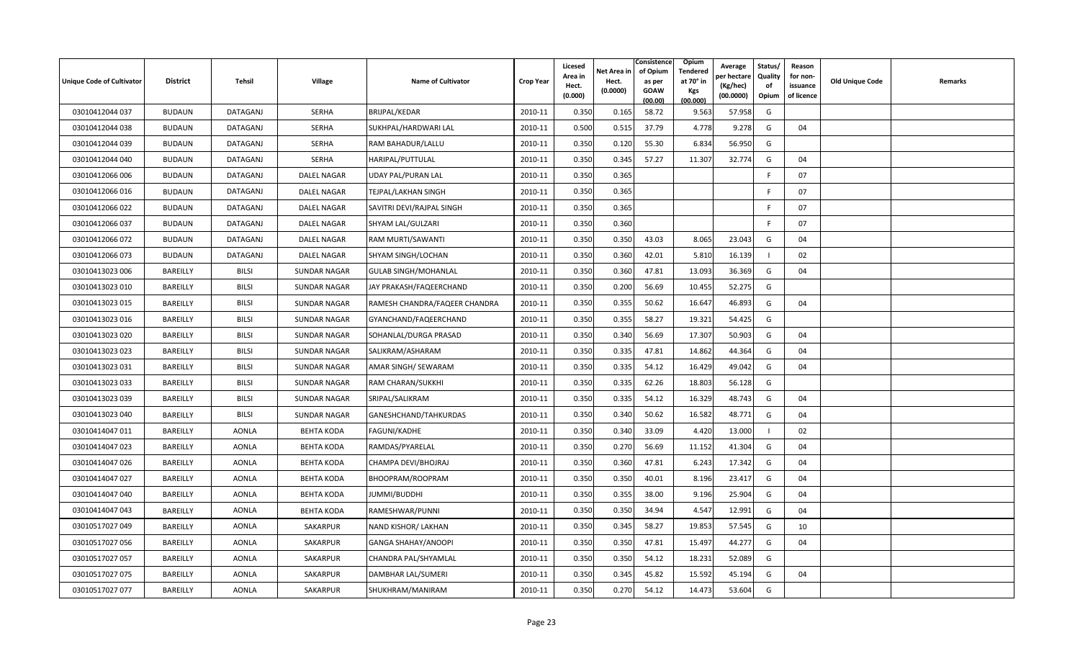| <b>Unique Code of Cultivator</b> | <b>District</b> | Tehsil       | <b>Village</b>      | <b>Name of Cultivator</b>     | <b>Crop Year</b> | Licesed<br>Area in<br>Hect. | Net Area in<br>Hect. | Consistence<br>of Opium<br>as per | <b>Opium</b><br>Tendered<br>at 70 $^{\circ}$ in | Average<br>วer hectarง<br>(Kg/hec) | Status/<br><b>Quality</b><br>of | Reason<br>for non-<br>issuance | <b>Old Unique Code</b> | Remarks |
|----------------------------------|-----------------|--------------|---------------------|-------------------------------|------------------|-----------------------------|----------------------|-----------------------------------|-------------------------------------------------|------------------------------------|---------------------------------|--------------------------------|------------------------|---------|
|                                  |                 |              |                     |                               |                  | (0.000)                     | (0.0000)             | <b>GOAW</b><br>(00.00)            | Kgs<br>(00.000)                                 | (00.0000)                          | Opium                           | of licence                     |                        |         |
| 03010412044 037                  | <b>BUDAUN</b>   | DATAGANJ     | <b>SERHA</b>        | BRIJPAL/KEDAR                 | 2010-11          | 0.350                       | 0.165                | 58.72                             | 9.563                                           | 57.958                             | G                               |                                |                        |         |
| 03010412044 038                  | <b>BUDAUN</b>   | DATAGANJ     | <b>SERHA</b>        | SUKHPAL/HARDWARI LAL          | 2010-11          | 0.500                       | 0.515                | 37.79                             | 4.778                                           | 9.278                              | G                               | 04                             |                        |         |
| 03010412044 039                  | <b>BUDAUN</b>   | DATAGANJ     | SERHA               | RAM BAHADUR/LALLU             | 2010-11          | 0.350                       | 0.120                | 55.30                             | 6.834                                           | 56.950                             | G                               |                                |                        |         |
| 03010412044 040                  | <b>BUDAUN</b>   | DATAGANJ     | <b>SERHA</b>        | HARIPAL/PUTTULAL              | 2010-11          | 0.350                       | 0.345                | 57.27                             | 11.307                                          | 32.774                             | G                               | 04                             |                        |         |
| 03010412066 006                  | <b>BUDAUN</b>   | DATAGANJ     | <b>DALEL NAGAR</b>  | <b>UDAY PAL/PURAN LAL</b>     | 2010-11          | 0.350                       | 0.365                |                                   |                                                 |                                    | F.                              | 07                             |                        |         |
| 03010412066 016                  | <b>BUDAUN</b>   | DATAGANJ     | <b>DALEL NAGAR</b>  | <b>TEJPAL/LAKHAN SINGH</b>    | 2010-11          | 0.350                       | 0.365                |                                   |                                                 |                                    | E                               | 07                             |                        |         |
| 03010412066022                   | <b>BUDAUN</b>   | DATAGANJ     | <b>DALEL NAGAR</b>  | SAVITRI DEVI/RAJPAL SINGH     | 2010-11          | 0.350                       | 0.365                |                                   |                                                 |                                    | F.                              | 07                             |                        |         |
| 03010412066 037                  | <b>BUDAUN</b>   | DATAGANJ     | <b>DALEL NAGAR</b>  | SHYAM LAL/GULZARI             | 2010-11          | 0.350                       | 0.360                |                                   |                                                 |                                    | F.                              | 07                             |                        |         |
| 03010412066 072                  | <b>BUDAUN</b>   | DATAGANJ     | <b>DALEL NAGAR</b>  | RAM MURTI/SAWANTI             | 2010-11          | 0.350                       | 0.350                | 43.03                             | 8.065                                           | 23.043                             | G                               | 04                             |                        |         |
| 03010412066 073                  | <b>BUDAUN</b>   | DATAGANJ     | <b>DALEL NAGAR</b>  | SHYAM SINGH/LOCHAN            | 2010-11          | 0.350                       | 0.360                | 42.01                             | 5.810                                           | 16.139                             |                                 | 02                             |                        |         |
| 03010413023 006                  | BAREILLY        | <b>BILSI</b> | <b>SUNDAR NAGAR</b> | <b>GULAB SINGH/MOHANLAL</b>   | 2010-11          | 0.350                       | 0.360                | 47.81                             | 13.093                                          | 36.369                             | G                               | 04                             |                        |         |
| 03010413023 010                  | BAREILLY        | <b>BILSI</b> | <b>SUNDAR NAGAR</b> | JAY PRAKASH/FAQEERCHAND       | 2010-11          | 0.350                       | 0.200                | 56.69                             | 10.455                                          | 52.275                             | G                               |                                |                        |         |
| 03010413023 015                  | BAREILLY        | <b>BILSI</b> | <b>SUNDAR NAGAR</b> | RAMESH CHANDRA/FAQEER CHANDRA | 2010-11          | 0.350                       | 0.355                | 50.62                             | 16.647                                          | 46.893                             | G                               | 04                             |                        |         |
| 03010413023 016                  | BAREILLY        | <b>BILSI</b> | <b>SUNDAR NAGAR</b> | GYANCHAND/FAQEERCHAND         | 2010-11          | 0.350                       | 0.355                | 58.27                             | 19.321                                          | 54.425                             | G                               |                                |                        |         |
| 03010413023 020                  | BAREILLY        | <b>BILSI</b> | <b>SUNDAR NAGAR</b> | SOHANLAL/DURGA PRASAD         | 2010-11          | 0.350                       | 0.340                | 56.69                             | 17.307                                          | 50.903                             | G                               | 04                             |                        |         |
| 03010413023 023                  | BAREILLY        | <b>BILSI</b> | <b>SUNDAR NAGAR</b> | SALIKRAM/ASHARAM              | 2010-11          | 0.350                       | 0.335                | 47.81                             | 14.862                                          | 44.364                             | G                               | 04                             |                        |         |
| 03010413023 031                  | BAREILLY        | <b>BILSI</b> | <b>SUNDAR NAGAR</b> | AMAR SINGH/ SEWARAM           | 2010-11          | 0.350                       | 0.335                | 54.12                             | 16.429                                          | 49.042                             | G                               | 04                             |                        |         |
| 03010413023 033                  | BAREILLY        | <b>BILSI</b> | <b>SUNDAR NAGAR</b> | RAM CHARAN/SUKKHI             | 2010-11          | 0.350                       | 0.335                | 62.26                             | 18.803                                          | 56.128                             | G                               |                                |                        |         |
| 03010413023 039                  | BAREILLY        | <b>BILSI</b> | <b>SUNDAR NAGAR</b> | SRIPAL/SALIKRAM               | 2010-11          | 0.350                       | 0.335                | 54.12                             | 16.329                                          | 48.743                             | G                               | 04                             |                        |         |
| 03010413023 040                  | BAREILLY        | <b>BILSI</b> | <b>SUNDAR NAGAR</b> | GANESHCHAND/TAHKURDAS         | 2010-11          | 0.350                       | 0.340                | 50.62                             | 16.582                                          | 48.771                             | G                               | 04                             |                        |         |
| 03010414047 011                  | BAREILLY        | <b>AONLA</b> | <b>BEHTA KODA</b>   | <b>FAGUNI/KADHE</b>           | 2010-11          | 0.350                       | 0.340                | 33.09                             | 4.420                                           | 13.000                             |                                 | 02                             |                        |         |
| 03010414047 023                  | BAREILLY        | <b>AONLA</b> | <b>BEHTA KODA</b>   | RAMDAS/PYARELAL               | 2010-11          | 0.350                       | 0.270                | 56.69                             | 11.152                                          | 41.304                             | G                               | 04                             |                        |         |
| 03010414047 026                  | BAREILLY        | <b>AONLA</b> | <b>BEHTA KODA</b>   | CHAMPA DEVI/BHOJRAJ           | 2010-11          | 0.350                       | 0.360                | 47.81                             | 6.243                                           | 17.342                             | G                               | 04                             |                        |         |
| 03010414047 027                  | BAREILLY        | <b>AONLA</b> | <b>BEHTA KODA</b>   | BHOOPRAM/ROOPRAM              | 2010-11          | 0.350                       | 0.350                | 40.01                             | 8.196                                           | 23.417                             | G                               | 04                             |                        |         |
| 03010414047 040                  | BAREILLY        | <b>AONLA</b> | <b>BEHTA KODA</b>   | JUMMI/BUDDHI                  | 2010-11          | 0.350                       | 0.355                | 38.00                             | 9.196                                           | 25.904                             | G                               | 04                             |                        |         |
| 03010414047 043                  | BAREILLY        | <b>AONLA</b> | <b>BEHTA KODA</b>   | RAMESHWAR/PUNNI               | 2010-11          | 0.350                       | 0.350                | 34.94                             | 4.547                                           | 12.991                             | G                               | 04                             |                        |         |
| 03010517027 049                  | BAREILLY        | <b>AONLA</b> | SAKARPUR            | NAND KISHOR/ LAKHAN           | 2010-11          | 0.350                       | 0.345                | 58.27                             | 19.853                                          | 57.545                             | G                               | 10                             |                        |         |
| 03010517027 056                  | BAREILLY        | <b>AONLA</b> | SAKARPUR            | <b>GANGA SHAHAY/ANOOPI</b>    | 2010-11          | 0.350                       | 0.350                | 47.81                             | 15.497                                          | 44.277                             | G                               | 04                             |                        |         |
| 03010517027 057                  | BAREILLY        | <b>AONLA</b> | SAKARPUR            | CHANDRA PAL/SHYAMLAL          | 2010-11          | 0.350                       | 0.350                | 54.12                             | 18.231                                          | 52.089                             | G                               |                                |                        |         |
| 03010517027 075                  | BAREILLY        | <b>AONLA</b> | SAKARPUR            | DAMBHAR LAL/SUMERI            | 2010-11          | 0.350                       | 0.345                | 45.82                             | 15.592                                          | 45.194                             | G                               | 04                             |                        |         |
| 03010517027 077                  | BAREILLY        | <b>AONLA</b> | SAKARPUR            | SHUKHRAM/MANIRAM              | 2010-11          | 0.350                       | 0.270                | 54.12                             | 14.473                                          | 53.604                             | G                               |                                |                        |         |